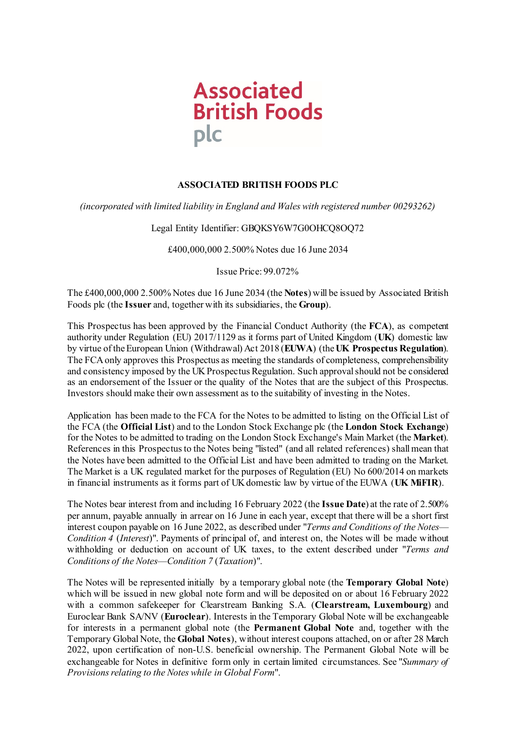

# **ASSOCIATED BRITISH FOODS PLC**

*(incorporated with limited liability in England and Wales with registered number 00293262)*

Legal Entity Identifier: GBQKSY6W7G0OHCQ8OQ72

£400,000,000 2.500% Notes due 16 June 2034

Issue Price: 99.072%

The £400,000,000 2.500% Notes due 16 June 2034 (the **Notes**) will be issued by Associated British Foods plc (the **Issuer** and, together with its subsidiaries, the **Group**).

This Prospectus has been approved by the Financial Conduct Authority (the **FCA**), as competent authority under Regulation (EU) 2017/1129 as it forms part of United Kingdom (**UK**) domestic law by virtue of the European Union (Withdrawal) Act 2018 (**EUWA**) (the **UK Prospectus Regulation**). The FCA only approves this Prospectus as meeting the standards of completeness, comprehensibility and consistency imposed by the UK Prospectus Regulation. Such approval should not be considered as an endorsement of the Issuer or the quality of the Notes that are the subject of this Prospectus. Investors should make their own assessment as to the suitability of investing in the Notes.

Application has been made to the FCA for the Notes to be admitted to listing on the Official List of the FCA (the **Official List**) and to the London Stock Exchange plc (the **London Stock Exchange**) for the Notes to be admitted to trading on the London Stock Exchange's Main Market (the **Market**). References in this Prospectus to the Notes being "listed" (and all related references) shall mean that the Notes have been admitted to the Official List and have been admitted to trading on the Market. The Market is a UK regulated market for the purposes of Regulation (EU) No 600/2014 on markets in financial instruments as it forms part of UK domestic law by virtue of the EUWA (**UK MiFIR**).

The Notes bear interest from and including 16 February 2022 (the **Issue Date**) at the rate of 2.500% per annum, payable annually in arrear on 16 June in each year, except that there will be a short first interest coupon payable on 16 June 2022, as described under "*Terms and Conditions of the Notes*— *Condition [4](#page-32-0)* (*Interest*)". Payments of principal of, and interest on, the Notes will be made without withholding or deduction on account of UK taxes, to the extent described under "*Terms and Conditions of the Notes*—*Conditio[n 7](#page-38-0)* (*Taxation*)".

The Notes will be represented initially by a temporary global note (the **Temporary Global Note**) which will be issued in new global note form and will be deposited on or about 16 February 2022 with a common safekeeper for Clearstream Banking S.A. (**Clearstream, Luxembourg**) and Euroclear Bank SA/NV (**Euroclear**). Interests in the Temporary Global Note will be exchangeable for interests in a permanent global note (the **Permanent Global Note** and, together with the Temporary Global Note, the **Global Notes**), without interest coupons attached, on or after 28 March 2022, upon certification of non-U.S. beneficial ownership. The Permanent Global Note will be exchangeable for Notes in definitive form only in certain limited circumstances. See "*Summary of Provisions relating to the Notes while in Global Form*".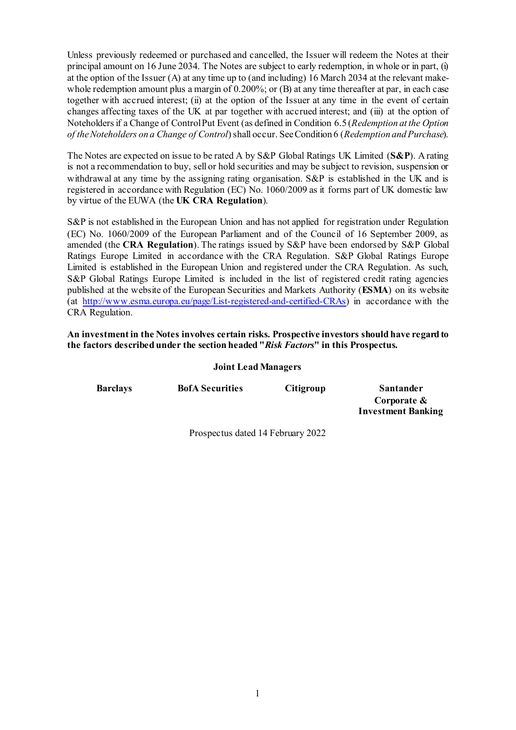Unless previously redeemed or purchased and cancelled, the Issuer will redeem the Notes at their principal amount on 16 June 2034. The Notes are subject to early redemption, in whole or in part, (i) at the option of the Issuer (A) at any time up to (and including) 16 March 2034 at the relevant makewhole redemption amount plus a margin of 0.200%; or (B) at any time thereafter at par, in each case together with accrued interest; (ii) at the option of the Issuer at any time in the event of certain changes affecting taxes of the UK at par together with accrued interest; and (iii) at the option of Noteholders if a Change of Control Put Event (as defined in Condition [6.5](#page-36-0) (*Redemption at the Option of the Noteholders on a Change of Control*) shall occur. See Conditio[n 6](#page-34-0) (*Redemption and Purchase*).

The Notes are expected on issue to be rated A by S&P Global Ratings UK Limited (**S&P**). A rating is not a recommendation to buy, sell or hold securities and may be subject to revision, suspension or withdrawal at any time by the assigning rating organisation.  $S\&P$  is established in the UK and is registered in accordance with Regulation (EC) No. 1060/2009 as it forms part of UK domestic law by virtue of the EUWA (the **UK CRA Regulation**).

S&P is not established in the European Union and has not applied for registration under Regulation (EC) No. 1060/2009 of the European Parliament and of the Council of 16 September 2009, as amended (the **CRA Regulation**). The ratings issued by S&P have been endorsed by S&P Global Ratings Europe Limited in accordance with the CRA Regulation. S&P Global Ratings Europe Limited is established in the European Union and registered under the CRA Regulation. As such, S&P Global Ratings Europe Limited is included in the list of registered credit rating agencies published at the website of the European Securities and Markets Authority (**ESMA**) on its website (at [http://www.esma.europa.eu/page/List-registered-and-certified-CRAs\)](http://www.esma.europa.eu/page/List-registered-and-certified-CRAs) in accordance with the CRA Regulation.

**An investment in the Notes involves certain risks. Prospective investors should have regard to the factors described under the section headed "***Risk Factors***" in this Prospectus.**

#### **Joint Lead Managers**

| <b>Barclays</b> | <b>BofA</b> Securities | <b>Citigroup</b> | <b>Santander</b>          |
|-----------------|------------------------|------------------|---------------------------|
|                 |                        |                  | Corporate $\&$            |
|                 |                        |                  | <b>Investment Banking</b> |
|                 |                        |                  |                           |

Prospectus dated 14 February 2022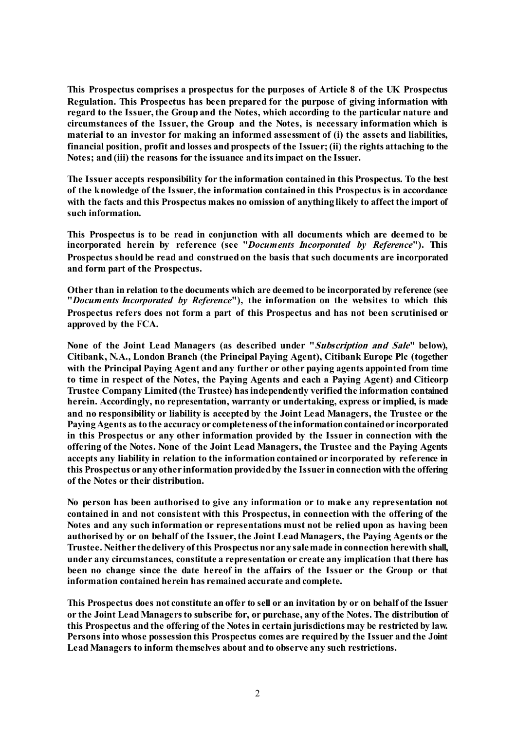**This Prospectus comprises a prospectus for the purposes of Article 8 of the UK Prospectus Regulation. This Prospectus has been prepared for the purpose of giving information with regard to the Issuer, the Group and the Notes, which according to the particular nature and circumstances of the Issuer, the Group and the Notes, is necessary information which is material to an investor for making an informed assessment of (i) the assets and liabilities, financial position, profit and losses and prospects of the Issuer; (ii) the rights attaching to the Notes; and (iii) the reasons for the issuance and its impact on the Issuer.** 

**The Issuer accepts responsibility for the information contained in this Prospectus. To the best of the knowledge of the Issuer, the information contained in this Prospectus is in accordance with the facts and this Prospectus makes no omission of anything likely to affect the import of such information.** 

**This Prospectus is to be read in conjunction with all documents which are deemed to be incorporated herein by reference (see "***Documents Incorporated by Reference***"). This Prospectus should be read and construed on the basis that such documents are incorporated and form part of the Prospectus.**

**Other than in relation to the documents which are deemed to be incorporated by reference (see "***Documents Incorporated by Reference***"), the information on the websites to which this Prospectus refers does not form a part of this Prospectus and has not been scrutinised or approved by the FCA.**

**None of the Joint Lead Managers (as described under "Subscription and Sale" below), Citibank, N.A., London Branch (the Principal Paying Agent), Citibank Europe Plc (together with the Principal Paying Agent and any further or other paying agents appointed from time to time in respect of the Notes, the Paying Agents and each a Paying Agent) and Citicorp Trustee Company Limited (the Trustee) has independently verified the information contained herein. Accordingly, no representation, warranty or undertaking, express or implied, is made and no responsibility or liability is accepted by the Joint Lead Managers, the Trustee or the Paying Agents as to the accuracy or completeness of the information contained or incorporated in this Prospectus or any other information provided by the Issuer in connection with the offering of the Notes. None of the Joint Lead Managers, the Trustee and the Paying Agents accepts any liability in relation to the information contained or incorporated by reference in this Prospectus or any other information provided by the Issuer in connection with the offering of the Notes or their distribution.**

**No person has been authorised to give any information or to make any representation not contained in and not consistent with this Prospectus, in connection with the offering of the Notes and any such information or representations must not be relied upon as having been authorised by or on behalf of the Issuer, the Joint Lead Managers, the Paying Agents or the Trustee. Neither the delivery of this Prospectus nor any sale made in connection herewith shall, under any circumstances, constitute a representation or create any implication that there has been no change since the date hereof in the affairs of the Issuer or the Group or that information contained herein has remained accurate and complete.** 

**This Prospectus does not constitute an offer to sell or an invitation by or on behalf of the Issuer or the Joint Lead Managers to subscribe for, or purchase, any of the Notes. The distribution of this Prospectus and the offering of the Notes in certain jurisdictions may be restricted by law. Persons into whose possession this Prospectus comes are required by the Issuer and the Joint Lead Managers to inform themselves about and to observe any such restrictions.**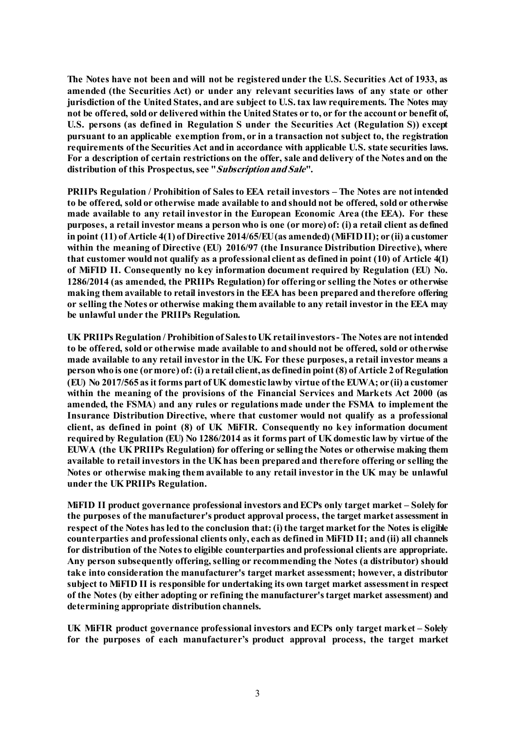**The Notes have not been and will not be registered under the U.S. Securities Act of 1933, as amended (the Securities Act) or under any relevant securities laws of any state or other jurisdiction of the United States, and are subject to U.S. tax law requirements. The Notes may not be offered, sold or delivered within the United States or to, or for the account or benefit of, U.S. persons (as defined in Regulation S under the Securities Act (Regulation S)) except pursuant to an applicable exemption from, or in a transaction not subject to, the registration requirements of the Securities Act and in accordance with applicable U.S. state securities laws. For a description of certain restrictions on the offer, sale and delivery of the Notes and on the distribution of this Prospectus, see "Subscription and Sale".**

**PRIIPs Regulation / Prohibition of Sales to EEA retail investors – The Notes are not intended to be offered, sold or otherwise made available to and should not be offered, sold or otherwise made available to any retail investor in the European Economic Area (the EEA). For these purposes, a retail investor means a person who is one (or more) of: (i) a retail client as defined in point (11) of Article 4(1) of Directive 2014/65/EU (as amended) (MiFID II); or (ii) a customer within the meaning of Directive (EU) 2016/97 (the Insurance Distribution Directive), where that customer would not qualify as a professional client as defined in point (10) of Article 4(1) of MiFID II. Consequently no key information document required by Regulation (EU) No. 1286/2014 (as amended, the PRIIPs Regulation) for offering or selling the Notes or otherwise making them available to retail investors in the EEA has been prepared and therefore offering or selling the Notes or otherwise making them available to any retail investor in the EEA may be unlawful under the PRIIPs Regulation.**

**UK PRIIPs Regulation / Prohibition of Sales to UK retail investors -The Notes are not intended to be offered, sold or otherwise made available to and should not be offered, sold or otherwise made available to any retail investor in the UK. For these purposes, a retail investor means a person who is one (or more) of: (i) a retail client, as defined in point (8) of Article 2 of Regulation (EU) No 2017/565 as it forms part of UK domestic law by virtue of the EUWA; or (ii) a customer within the meaning of the provisions of the Financial Services and Markets Act 2000 (as amended, the FSMA**) **and any rules or regulations made under the FSMA to implement the Insurance Distribution Directive, where that customer would not qualify as a professional client, as defined in point (8) of UK MiFIR. Consequently no key information document required by Regulation (EU) No 1286/2014 as it forms part of UK domestic law by virtue of the EUWA (the UK PRIIPs Regulation) for offering or selling the Notes or otherwise making them available to retail investors in the UK has been prepared and therefore offering or selling the Notes or otherwise making them available to any retail investor in the UK may be unlawful under the UK PRIIPs Regulation.**

**MiFID II product governance professional investors and ECPs only target market – Solely for the purposes of the manufacturer's product approval process, the target market assessment in respect of the Notes has led to the conclusion that: (i) the target market for the Notes is eligible counterparties and professional clients only, each as defined in MiFID II; and (ii) all channels for distribution of the Notes to eligible counterparties and professional clients are appropriate. Any person subsequently offering, selling or recommending the Notes (a distributor) should take into consideration the manufacturer's target market assessment; however, a distributor subject to MiFID II is responsible for undertaking its own target market assessment in respect of the Notes (by either adopting or refining the manufacturer's target market assessment) and determining appropriate distribution channels.**

**UK MiFIR product governance professional investors and ECPs only target market – Solely for the purposes of each manufacturer's product approval process, the target market**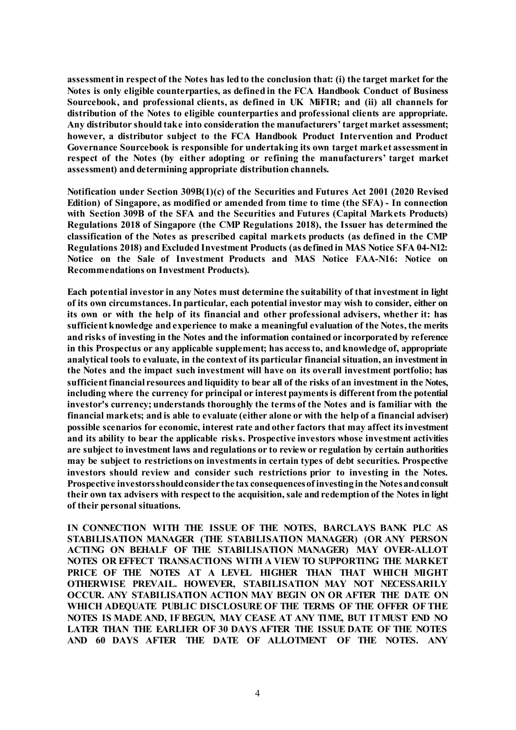**assessment in respect of the Notes has led to the conclusion that: (i) the target market for the Notes is only eligible counterparties, as defined in the FCA Handbook Conduct of Business Sourcebook, and professional clients, as defined in UK MiFIR; and (ii) all channels for distribution of the Notes to eligible counterparties and professional clients are appropriate. Any distributor should take into consideration the manufacturers' target market assessment; however, a distributor subject to the FCA Handbook Product Intervention and Product Governance Sourcebook is responsible for undertaking its own target market assessment in respect of the Notes (by either adopting or refining the manufacturers' target market assessment) and determining appropriate distribution channels.**

**Notification under Section 309B(1)(c) of the Securities and Futures Act 2001 (2020 Revised Edition) of Singapore, as modified or amended from time to time (the SFA) - In connection with Section 309B of the SFA and the Securities and Futures (Capital Markets Products) Regulations 2018 of Singapore (the CMP Regulations 2018), the Issuer has determined the classification of the Notes as prescribed capital markets products (as defined in the CMP Regulations 2018) and Excluded Investment Products (as defined in MAS Notice SFA 04-N12: Notice on the Sale of Investment Products and MAS Notice FAA-N16: Notice on Recommendations on Investment Products).**

**Each potential investor in any Notes must determine the suitability of that investment in light of its own circumstances. In particular, each potential investor may wish to consider, either on its own or with the help of its financial and other professional advisers, whether it: has sufficient knowledge and experience to make a meaningful evaluation of the Notes, the merits and risks of investing in the Notes and the information contained or incorporated by reference in this Prospectus or any applicable supplement; has access to, and knowledge of, appropriate analytical tools to evaluate, in the context of its particular financial situation, an investment in the Notes and the impact such investment will have on its overall investment portfolio; has sufficient financial resources and liquidity to bear all of the risks of an investment in the Notes, including where the currency for principal or interest payments is different from the potential investor's currency; understands thoroughly the terms of the Notes and is familiar with the financial markets; and is able to evaluate (either alone or with the help of a financial adviser) possible scenarios for economic, interest rate and other factors that may affect its investment and its ability to bear the applicable risks. Prospective investors whose investment activities are subject to investment laws and regulations or to review or regulation by certain authorities may be subject to restrictions on investments in certain types of debt securities. Prospective investors should review and consider such restrictions prior to investing in the Notes. Prospective investors should consider the tax consequences of investing in the Notes and consult their own tax advisers with respect to the acquisition, sale and redemption of the Notes in light of their personal situations.**

**IN CONNECTION WITH THE ISSUE OF THE NOTES, BARCLAYS BANK PLC AS STABILISATION MANAGER (THE STABILISATION MANAGER) (OR ANY PERSON ACTING ON BEHALF OF THE STABILISATION MANAGER) MAY OVER-ALLOT NOTES OR EFFECT TRANSACTIONS WITH A VIEW TO SUPPORTING THE MARKET PRICE OF THE NOTES AT A LEVEL HIGHER THAN THAT WHICH MIGHT OTHERWISE PREVAIL. HOWEVER, STABILISATION MAY NOT NECESSARILY OCCUR. ANY STABILISATION ACTION MAY BEGIN ON OR AFTER THE DATE ON WHICH ADEQUATE PUBLIC DISCLOSURE OF THE TERMS OF THE OFFER OF THE NOTES IS MADE AND, IF BEGUN, MAY CEASE AT ANY TIME, BUT IT MUST END NO LATER THAN THE EARLIER OF 30 DAYS AFTER THE ISSUE DATE OF THE NOTES AND 60 DAYS AFTER THE DATE OF ALLOTMENT OF THE NOTES. ANY**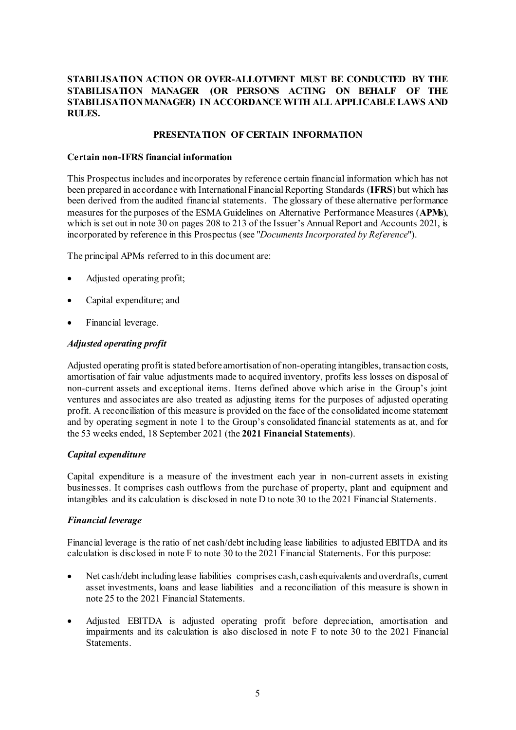# **STABILISATION ACTION OR OVER-ALLOTMENT MUST BE CONDUCTED BY THE STABILISATION MANAGER (OR PERSONS ACTING ON BEHALF OF THE STABILISATION MANAGER) IN ACCORDANCE WITH ALL APPLICABLE LAWS AND RULES.**

# **PRESENTATION OF CERTAIN INFORMATION**

#### **Certain non-IFRS financial information**

This Prospectus includes and incorporates by reference certain financial information which has not been prepared in accordance with International Financial Reporting Standards (**IFRS**) but which has been derived from the audited financial statements. The glossary of these alternative performance measures for the purposes of the ESMA Guidelines on Alternative Performance Measures (**APMs**), which is set out in note 30 on pages 208 to 213 of the Issuer's Annual Report and Accounts 2021, is incorporated by reference in this Prospectus (see "*Documents Incorporated by Reference*").

The principal APMs referred to in this document are:

- Adjusted operating profit;
- Capital expenditure; and
- Financial leverage.

#### *Adjusted operating profit*

Adjusted operating profit is stated before amortisation of non-operating intangibles, transaction costs, amortisation of fair value adjustments made to acquired inventory, profits less losses on disposal of non-current assets and exceptional items. Items defined above which arise in the Group's joint ventures and associates are also treated as adjusting items for the purposes of adjusted operating profit. A reconciliation of this measure is provided on the face of the consolidated income statement and by operating segment in note 1 to the Group's consolidated financial statements as at, and for the 53 weeks ended, 18 September 2021 (the **2021 Financial Statements**).

#### *Capital expenditure*

Capital expenditure is a measure of the investment each year in non-current assets in existing businesses. It comprises cash outflows from the purchase of property, plant and equipment and intangibles and its calculation is disclosed in note D to note 30 to the 2021 Financial Statements.

#### *Financial leverage*

Financial leverage is the ratio of net cash/debt including lease liabilities to adjusted EBITDA and its calculation is disclosed in note F to note 30 to the 2021 Financial Statements. For this purpose:

- Net cash/debt including lease liabilities comprises cash, cash equivalents and overdrafts, current asset investments, loans and lease liabilities and a reconciliation of this measure is shown in note 25 to the 2021 Financial Statements.
- Adjusted EBITDA is adjusted operating profit before depreciation, amortisation and impairments and its calculation is also disclosed in note F to note 30 to the 2021 Financial Statements.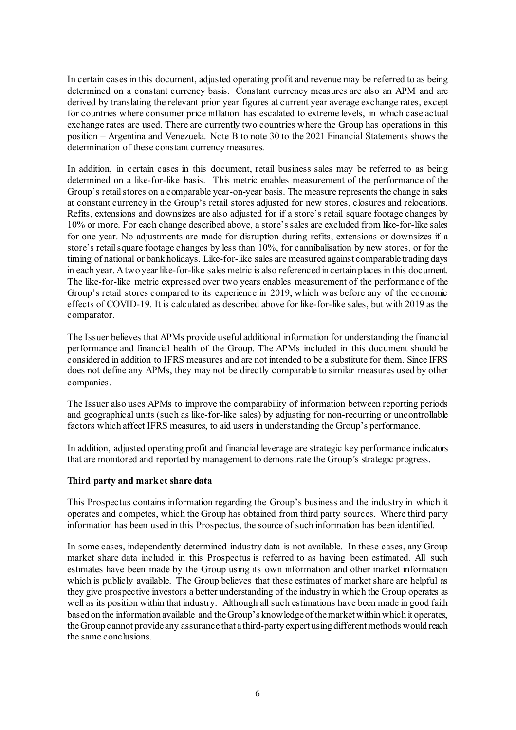In certain cases in this document, adjusted operating profit and revenue may be referred to as being determined on a constant currency basis. Constant currency measures are also an APM and are derived by translating the relevant prior year figures at current year average exchange rates, except for countries where consumer price inflation has escalated to extreme levels, in which case actual exchange rates are used. There are currently two countries where the Group has operations in this position – Argentina and Venezuela. Note B to note 30 to the 2021 Financial Statements shows the determination of these constant currency measures.

In addition, in certain cases in this document, retail business sales may be referred to as being determined on a like-for-like basis. This metric enables measurement of the performance of the Group's retail stores on a comparable year-on-year basis. The measure represents the change in sales at constant currency in the Group's retail stores adjusted for new stores, closures and relocations. Refits, extensions and downsizes are also adjusted for if a store's retail square footage changes by 10% or more. For each change described above, a store's sales are excluded from like-for-like sales for one year. No adjustments are made for disruption during refits, extensions or downsizes if a store's retail square footage changes by less than 10%, for cannibalisation by new stores, or for the timing of national or bank holidays. Like-for-like sales are measured against comparable trading days in each year. A two year like-for-like sales metric is also referenced in certain places in this document. The like-for-like metric expressed over two years enables measurement of the performance of the Group's retail stores compared to its experience in 2019, which was before any of the economic effects of COVID-19. It is calculated as described above for like-for-like sales, but with 2019 as the comparator.

The Issuer believes that APMs provide useful additional information for understanding the financial performance and financial health of the Group. The APMs included in this document should be considered in addition to IFRS measures and are not intended to be a substitute for them. Since IFRS does not define any APMs, they may not be directly comparable to similar measures used by other companies.

The Issuer also uses APMs to improve the comparability of information between reporting periods and geographical units (such as like-for-like sales) by adjusting for non-recurring or uncontrollable factors which affect IFRS measures, to aid users in understanding the Group's performance.

In addition, adjusted operating profit and financial leverage are strategic key performance indicators that are monitored and reported by management to demonstrate the Group's strategic progress.

#### **Third party and market share data**

This Prospectus contains information regarding the Group's business and the industry in which it operates and competes, which the Group has obtained from third party sources. Where third party information has been used in this Prospectus, the source of such information has been identified.

In some cases, independently determined industry data is not available. In these cases, any Group market share data included in this Prospectus is referred to as having been estimated. All such estimates have been made by the Group using its own information and other market information which is publicly available. The Group believes that these estimates of market share are helpful as they give prospective investors a better understanding of the industry in which the Group operates as well as its position within that industry. Although all such estimations have been made in good faith based on the information available and the Group's knowledge of the market within which it operates, the Group cannot provide any assurance that a third-party expert using different methods would reach the same conclusions.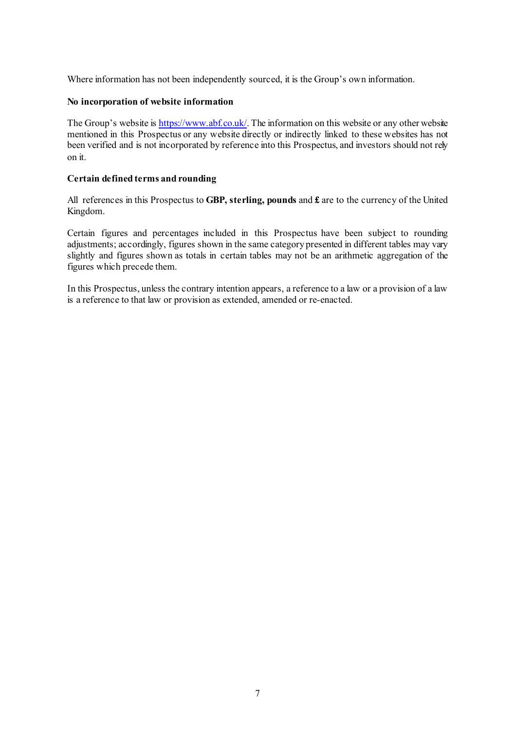Where information has not been independently sourced, it is the Group's own information.

### **No incorporation of website information**

The Group's website i[s https://www.abf.co.uk/.](https://www.abf.co.uk/) The information on this website or any other website mentioned in this Prospectus or any website directly or indirectly linked to these websites has not been verified and is not incorporated by reference into this Prospectus, and investors should not rely on it.

# **Certain defined terms and rounding**

All references in this Prospectus to **GBP, sterling, pounds** and **£** are to the currency of the United Kingdom.

Certain figures and percentages included in this Prospectus have been subject to rounding adjustments; accordingly, figures shown in the same category presented in different tables may vary slightly and figures shown as totals in certain tables may not be an arithmetic aggregation of the figures which precede them.

In this Prospectus, unless the contrary intention appears, a reference to a law or a provision of a law is a reference to that law or provision as extended, amended or re-enacted.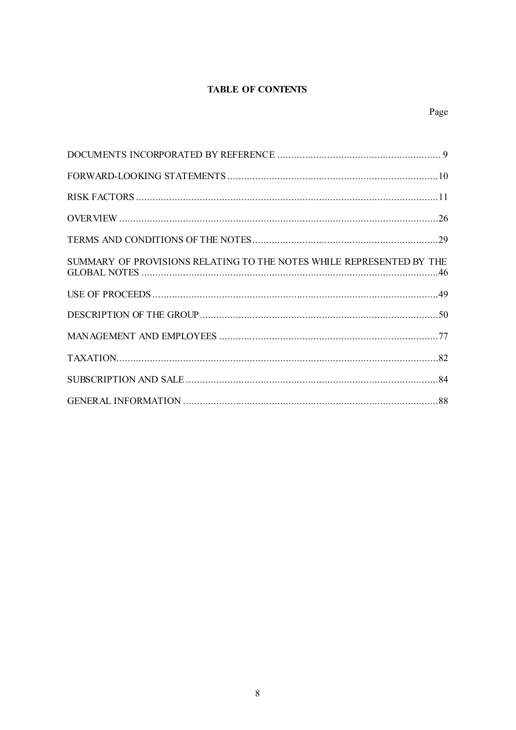# **TABLE OF CONTENTS**

| SUMMARY OF PROVISIONS RELATING TO THE NOTES WHILE REPRESENTED BY THE |  |
|----------------------------------------------------------------------|--|
|                                                                      |  |
|                                                                      |  |
|                                                                      |  |
|                                                                      |  |
|                                                                      |  |
|                                                                      |  |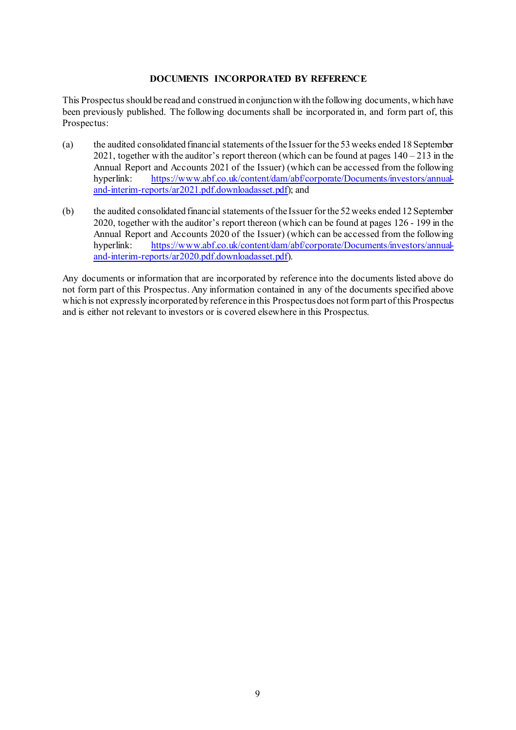# **DOCUMENTS INCORPORATED BY REFERENCE**

This Prospectus should be read and construed in conjunction with the following documents, which have been previously published. The following documents shall be incorporated in, and form part of, this Prospectus:

- (a) the audited consolidated financial statements of the Issuer for the 53 weeks ended 18 September 2021, together with the auditor's report thereon (which can be found at pages  $140 - 213$  in the Annual Report and Accounts 2021 of the Issuer) (which can be accessed from the following hyperlink: [https://www.abf.co.uk/content/dam/abf/corporate/Documents/investors/annual](https://www.abf.co.uk/content/dam/abf/corporate/Documents/investors/annual-and-interim-reports/ar2021.pdf.downloadasset.pdf)[and-interim-reports/ar2021.pdf.downloadasset.pdf](https://www.abf.co.uk/content/dam/abf/corporate/Documents/investors/annual-and-interim-reports/ar2021.pdf.downloadasset.pdf)); and
- (b) the audited consolidated financial statements of the Issuer for the 52 weeks ended 12 September 2020, together with the auditor's report thereon (which can be found at pages 126 - 199 in the Annual Report and Accounts 2020 of the Issuer) (which can be accessed from the following hyperlink: [https://www.abf.co.uk/content/dam/abf/corporate/Documents/investors/annual](https://www.abf.co.uk/content/dam/abf/corporate/Documents/investors/annual-and-interim-reports/ar2020.pdf.downloadasset.pdf)[and-interim-reports/ar2020.pdf.downloadasset.pdf](https://www.abf.co.uk/content/dam/abf/corporate/Documents/investors/annual-and-interim-reports/ar2020.pdf.downloadasset.pdf)).

Any documents or information that are incorporated by reference into the documents listed above do not form part of this Prospectus. Any information contained in any of the documents specified above which is not expressly incorporated by reference in this Prospectus does not form part of this Prospectus and is either not relevant to investors or is covered elsewhere in this Prospectus.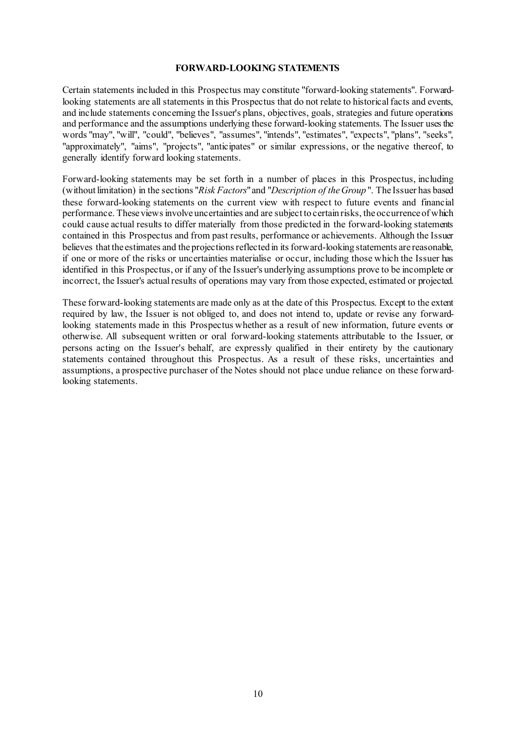#### **FORWARD-LOOKING STATEMENTS**

Certain statements included in this Prospectus may constitute "forward-looking statements". Forwardlooking statements are all statements in this Prospectus that do not relate to historical facts and events, and include statements concerning the Issuer's plans, objectives, goals, strategies and future operations and performance and the assumptions underlying these forward-looking statements. The Issuer uses the words "may", "will", "could", "believes", "assumes", "intends", "estimates", "expects", "plans", "seeks", "approximately", "aims", "projects", "anticipates" or similar expressions, or the negative thereof, to generally identify forward looking statements.

Forward-looking statements may be set forth in a number of places in this Prospectus, including (without limitation) in the sections "*Risk Factors*" and "*Description of the Group* ". The Issuer has based these forward-looking statements on the current view with respect to future events and financial performance. These views involve uncertainties and are subject to certain risks, the occurrence of which could cause actual results to differ materially from those predicted in the forward-looking statements contained in this Prospectus and from past results, performance or achievements. Although the Issuer believes that the estimates and the projections reflected in its forward-looking statements are reasonable, if one or more of the risks or uncertainties materialise or occur, including those which the Issuer has identified in this Prospectus, or if any of the Issuer's underlying assumptions prove to be incomplete or incorrect, the Issuer's actual results of operations may vary from those expected, estimated or projected.

These forward-looking statements are made only as at the date of this Prospectus. Except to the extent required by law, the Issuer is not obliged to, and does not intend to, update or revise any forwardlooking statements made in this Prospectus whether as a result of new information, future events or otherwise. All subsequent written or oral forward-looking statements attributable to the Issuer, or persons acting on the Issuer's behalf, are expressly qualified in their entirety by the cautionary statements contained throughout this Prospectus. As a result of these risks, uncertainties and assumptions, a prospective purchaser of the Notes should not place undue reliance on these forwardlooking statements.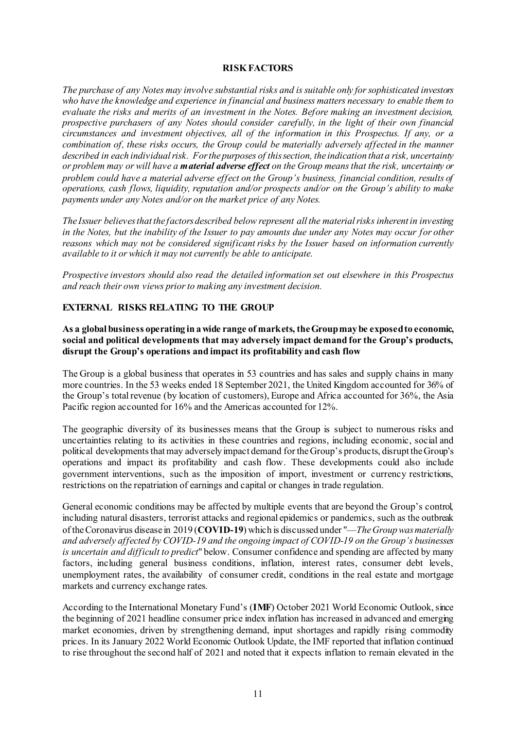#### **RISK FACTORS**

*The purchase of any Notes may involve substantial risks and is suitable only for sophisticated investors who have the knowledge and experience in financial and business matters necessary to enable them to evaluate the risks and merits of an investment in the Notes. Before making an investment decision, prospective purchasers of any Notes should consider carefully, in the light of their own financial circumstances and investment objectives, all of the information in this Prospectus. If any, or a combination of, these risks occurs, the Group could be materially adversely affected in the manner described in each individual risk. For the purposes of this section, the indication that a risk, uncertainty or problem may or will have a material adverse effect on the Group means that the risk, uncertainty or problem could have a material adverse effect on the Group's business, financial condition, results of operations, cash flows, liquidity, reputation and/or prospects and/or on the Group's ability to make payments under any Notes and/or on the market price of any Notes.*

*The Issuer believes that the factors described below represent all the material risks inherent in investing in the Notes, but the inability of the Issuer to pay amounts due under any Notes may occur for other reasons which may not be considered significant risks by the Issuer based on information currently available to it or which it may not currently be able to anticipate.*

*Prospective investors should also read the detailed information set out elsewhere in this Prospectus and reach their own views prior to making any investment decision.*

# **EXTERNAL RISKS RELATING TO THE GROUP**

# **As a global business operating in a wide range of markets, the Group may be exposed to economic, social and political developments that may adversely impact demand for the Group's products, disrupt the Group's operations and impact its profitability and cash flow**

The Group is a global business that operates in 53 countries and has sales and supply chains in many more countries. In the 53 weeks ended 18 September 2021, the United Kingdom accounted for 36% of the Group's total revenue (by location of customers), Europe and Africa accounted for 36%, the Asia Pacific region accounted for 16% and the Americas accounted for 12%.

The geographic diversity of its businesses means that the Group is subject to numerous risks and uncertainties relating to its activities in these countries and regions, including economic, social and political developments that may adversely impact demand for the Group's products, disrupt the Group's operations and impact its profitability and cash flow. These developments could also include government interventions, such as the imposition of import, investment or currency restrictions, restrictions on the repatriation of earnings and capital or changes in trade regulation.

General economic conditions may be affected by multiple events that are beyond the Group's control, including natural disasters, terrorist attacks and regional epidemics or pandemics, such as the outbreak of the Coronavirus disease in 2019 (**COVID-19**) which is discussed under "—*The Group was materially and adversely affected by COVID-19 and the ongoing impact of COVID-19 on the Group's businesses is uncertain and difficult to predict*" below. Consumer confidence and spending are affected by many factors, including general business conditions, inflation, interest rates, consumer debt levels, unemployment rates, the availability of consumer credit, conditions in the real estate and mortgage markets and currency exchange rates.

According to the International Monetary Fund's (**IMF**) October 2021 World Economic Outlook, since the beginning of 2021 headline consumer price index inflation has increased in advanced and emerging market economies, driven by strengthening demand, input shortages and rapidly rising commodity prices. In its January 2022 World Economic Outlook Update, the IMF reported that inflation continued to rise throughout the second half of 2021 and noted that it expects inflation to remain elevated in the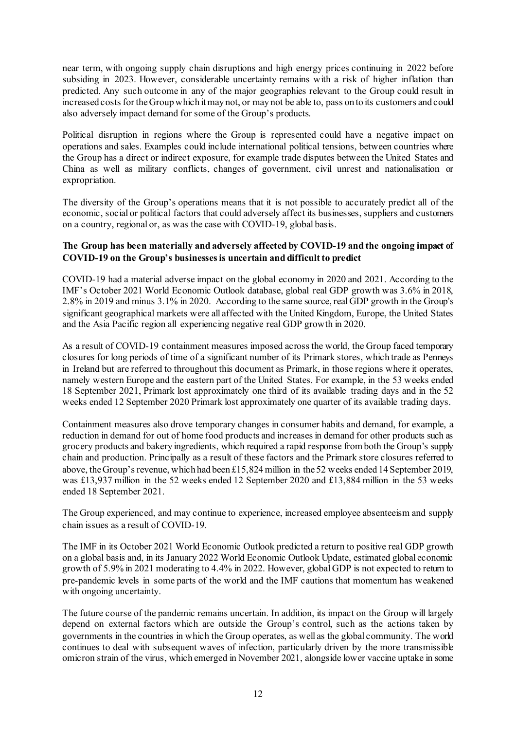near term, with ongoing supply chain disruptions and high energy prices continuing in 2022 before subsiding in 2023. However, considerable uncertainty remains with a risk of higher inflation than predicted. Any such outcome in any of the major geographies relevant to the Group could result in increased costs for the Group which it may not, or may not be able to, pass on to its customers and could also adversely impact demand for some of the Group's products.

Political disruption in regions where the Group is represented could have a negative impact on operations and sales. Examples could include international political tensions, between countries where the Group has a direct or indirect exposure, for example trade disputes between the United States and China as well as military conflicts, changes of government, civil unrest and nationalisation or expropriation.

The diversity of the Group's operations means that it is not possible to accurately predict all of the economic, social or political factors that could adversely affect its businesses, suppliers and customers on a country, regional or, as was the case with COVID-19, global basis.

# **The Group has been materially and adversely affected by COVID-19 and the ongoing impact of COVID-19 on the Group's businesses is uncertain and difficult to predict**

COVID-19 had a material adverse impact on the global economy in 2020 and 2021. According to the IMF's October 2021 World Economic Outlook database, global real GDP growth was 3.6% in 2018, 2.8% in 2019 and minus 3.1% in 2020. According to the same source, real GDP growth in the Group's significant geographical markets were all affected with the United Kingdom, Europe, the United States and the Asia Pacific region all experiencing negative real GDP growth in 2020.

As a result of COVID-19 containment measures imposed across the world, the Group faced temporary closures for long periods of time of a significant number of its Primark stores, which trade as Penneys in Ireland but are referred to throughout this document as Primark, in those regions where it operates, namely western Europe and the eastern part of the United States. For example, in the 53 weeks ended 18 September 2021, Primark lost approximately one third of its available trading days and in the 52 weeks ended 12 September 2020 Primark lost approximately one quarter of its available trading days.

Containment measures also drove temporary changes in consumer habits and demand, for example, a reduction in demand for out of home food products and increases in demand for other products such as grocery products and bakery ingredients, which required a rapid response fromboth the Group's supply chain and production. Principally as a result of these factors and the Primark store closures referred to above, the Group's revenue, which had been £15,824 million in the 52 weeks ended 14 September 2019, was £13,937 million in the 52 weeks ended 12 September 2020 and £13,884 million in the 53 weeks ended 18 September 2021.

The Group experienced, and may continue to experience, increased employee absenteeism and supply chain issues as a result of COVID-19.

The IMF in its October 2021 World Economic Outlook predicted a return to positive real GDP growth on a global basis and, in its January 2022 World Economic Outlook Update, estimated global economic growth of 5.9% in 2021 moderating to 4.4% in 2022. However, global GDP is not expected to return to pre-pandemic levels in some parts of the world and the IMF cautions that momentum has weakened with ongoing uncertainty.

The future course of the pandemic remains uncertain. In addition, its impact on the Group will largely depend on external factors which are outside the Group's control, such as the actions taken by governments in the countries in which the Group operates, as well as the global community. The world continues to deal with subsequent waves of infection, particularly driven by the more transmissible omicron strain of the virus, which emerged in November 2021, alongside lower vaccine uptake in some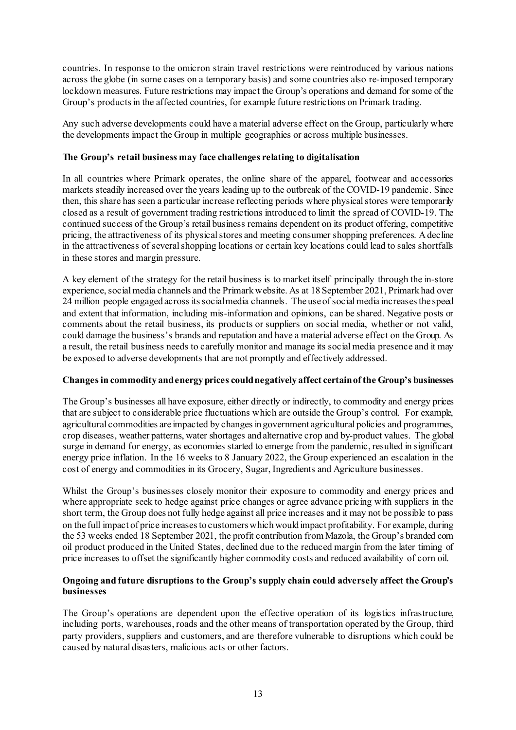countries. In response to the omicron strain travel restrictions were reintroduced by various nations across the globe (in some cases on a temporary basis) and some countries also re-imposed temporary lockdown measures. Future restrictions may impact the Group's operations and demand for some of the Group's products in the affected countries, for example future restrictions on Primark trading.

Any such adverse developments could have a material adverse effect on the Group, particularly where the developments impact the Group in multiple geographies or across multiple businesses.

# **The Group's retail business may face challenges relating to digitalisation**

In all countries where Primark operates, the online share of the apparel, footwear and accessories markets steadily increased over the years leading up to the outbreak of the COVID-19 pandemic. Since then, this share has seen a particular increase reflecting periods where physical stores were temporarily closed as a result of government trading restrictions introduced to limit the spread of COVID-19. The continued success of the Group's retail business remains dependent on its product offering, competitive pricing, the attractiveness of its physical stores and meeting consumer shopping preferences. A decline in the attractiveness of several shopping locations or certain key locations could lead to sales shortfalls in these stores and margin pressure.

A key element of the strategy for the retail business is to market itself principally through the in-store experience, socialmedia channels and the Primark website. As at 18 September 2021, Primark had over 24 million people engaged across its social media channels. The use of social media increases the speed and extent that information, including mis-information and opinions, can be shared. Negative posts or comments about the retail business, its products or suppliers on social media, whether or not valid, could damage the business's brands and reputation and have a material adverse effect on the Group. As a result, the retail business needs to carefully monitor and manage its social media presence and it may be exposed to adverse developments that are not promptly and effectively addressed.

#### **Changes in commodity and energy prices could negatively affect certain of the Group's businesses**

The Group's businesses all have exposure, either directly or indirectly, to commodity and energy prices that are subject to considerable price fluctuations which are outside the Group's control. For example, agricultural commodities are impacted by changes in government agricultural policies and programmes, crop diseases, weather patterns, water shortages and alternative crop and by-product values. The global surge in demand for energy, as economies started to emerge from the pandemic, resulted in significant energy price inflation. In the 16 weeks to 8 January 2022, the Group experienced an escalation in the cost of energy and commodities in its Grocery, Sugar, Ingredients and Agriculture businesses.

Whilst the Group's businesses closely monitor their exposure to commodity and energy prices and where appropriate seek to hedge against price changes or agree advance pricing with suppliers in the short term, the Group does not fully hedge against all price increases and it may not be possible to pass on the full impact of price increases to customers which would impact profitability. For example, during the 53 weeks ended 18 September 2021, the profit contribution from Mazola, the Group's branded corn oil product produced in the United States, declined due to the reduced margin from the later timing of price increases to offset the significantly higher commodity costs and reduced availability of corn oil.

# **Ongoing and future disruptions to the Group's supply chain could adversely affect the Group's businesses**

The Group's operations are dependent upon the effective operation of its logistics infrastructure, including ports, warehouses, roads and the other means of transportation operated by the Group, third party providers, suppliers and customers, and are therefore vulnerable to disruptions which could be caused by natural disasters, malicious acts or other factors.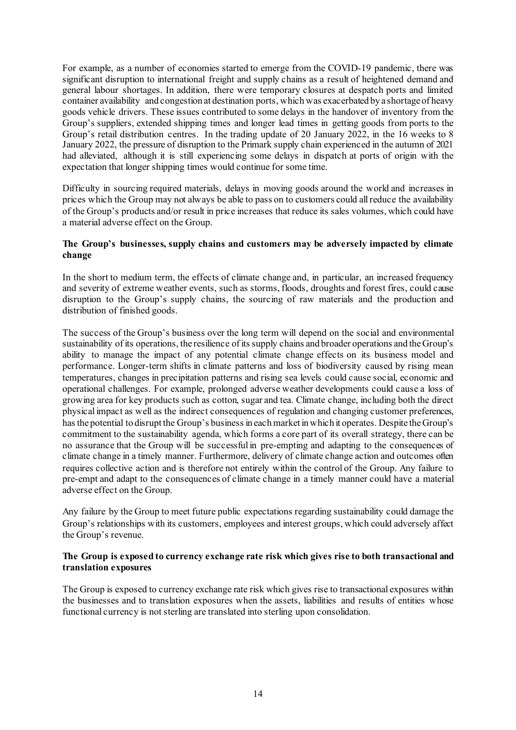For example, as a number of economies started to emerge from the COVID-19 pandemic, there was significant disruption to international freight and supply chains as a result of heightened demand and general labour shortages. In addition, there were temporary closures at despatch ports and limited container availability and congestion at destination ports, which was exacerbated by a shortage of heavy goods vehicle drivers. These issues contributed to some delays in the handover of inventory from the Group's suppliers, extended shipping times and longer lead times in getting goods from ports to the Group's retail distribution centres. In the trading update of 20 January 2022, in the 16 weeks to 8 January 2022, the pressure of disruption to the Primark supply chain experienced in the autumn of 2021 had alleviated, although it is still experiencing some delays in dispatch at ports of origin with the expectation that longer shipping times would continue for some time.

Difficulty in sourcing required materials, delays in moving goods around the world and increases in prices which the Group may not always be able to pass on to customers could all reduce the availability of the Group's products and/or result in price increases that reduce its sales volumes, which could have a material adverse effect on the Group.

# **The Group's businesses, supply chains and customers may be adversely impacted by climate change**

In the short to medium term, the effects of climate change and, in particular, an increased frequency and severity of extreme weather events, such as storms, floods, droughts and forest fires, could cause disruption to the Group's supply chains, the sourcing of raw materials and the production and distribution of finished goods.

The success of the Group's business over the long term will depend on the social and environmental sustainability of its operations, the resilience of its supply chains and broader operations and the Group's ability to manage the impact of any potential climate change effects on its business model and performance. Longer-term shifts in climate patterns and loss of biodiversity caused by rising mean temperatures, changes in precipitation patterns and rising sea levels could cause social, economic and operational challenges. For example, prolonged adverse weather developments could cause a loss of growing area for key products such as cotton, sugar and tea. Climate change, including both the direct physical impact as well as the indirect consequences of regulation and changing customer preferences, has the potential to disrupt the Group's business in each market in which it operates. Despite the Group's commitment to the sustainability agenda, which forms a core part of its overall strategy, there can be no assurance that the Group will be successful in pre-empting and adapting to the consequences of climate change in a timely manner. Furthermore, delivery of climate change action and outcomes often requires collective action and is therefore not entirely within the control of the Group. Any failure to pre-empt and adapt to the consequences of climate change in a timely manner could have a material adverse effect on the Group.

Any failure by the Group to meet future public expectations regarding sustainability could damage the Group's relationships with its customers, employees and interest groups, which could adversely affect the Group's revenue.

# **The Group is exposed to currency exchange rate risk which gives rise to both transactional and translation exposures**

The Group is exposed to currency exchange rate risk which gives rise to transactional exposures within the businesses and to translation exposures when the assets, liabilities and results of entities whose functional currency is not sterling are translated into sterling upon consolidation.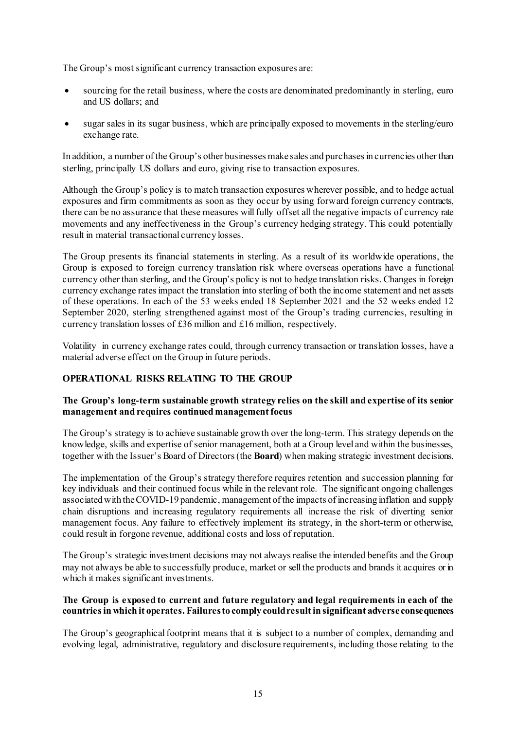The Group's most significant currency transaction exposures are:

- sourcing for the retail business, where the costs are denominated predominantly in sterling, euro and US dollars; and
- sugar sales in its sugar business, which are principally exposed to movements in the sterling/euro exchange rate.

In addition, a number of the Group's other businesses make sales and purchases in currencies other than sterling, principally US dollars and euro, giving rise to transaction exposures.

Although the Group's policy is to match transaction exposures wherever possible, and to hedge actual exposures and firm commitments as soon as they occur by using forward foreign currency contracts, there can be no assurance that these measures will fully offset all the negative impacts of currency rate movements and any ineffectiveness in the Group's currency hedging strategy. This could potentially result in material transactional currency losses.

The Group presents its financial statements in sterling. As a result of its worldwide operations, the Group is exposed to foreign currency translation risk where overseas operations have a functional currency other than sterling, and the Group's policy is not to hedge translation risks. Changes in foreign currency exchange rates impact the translation into sterling of both the income statement and net assets of these operations. In each of the 53 weeks ended 18 September 2021 and the 52 weeks ended 12 September 2020, sterling strengthened against most of the Group's trading currencies, resulting in currency translation losses of £36 million and £16 million, respectively.

Volatility in currency exchange rates could, through currency transaction or translation losses, have a material adverse effect on the Group in future periods.

# **OPERATIONAL RISKS RELATING TO THE GROUP**

# **The Group's long-term sustainable growth strategy relies on the skill and expertise of its senior management and requires continued management focus**

The Group's strategy is to achieve sustainable growth over the long-term. This strategy depends on the knowledge, skills and expertise of senior management, both at a Group level and within the businesses, together with the Issuer's Board of Directors (the **Board**) when making strategic investment decisions.

The implementation of the Group's strategy therefore requires retention and succession planning for key individuals and their continued focus while in the relevant role. The significant ongoing challenges associated with the COVID-19 pandemic, management of the impacts of increasing inflation and supply chain disruptions and increasing regulatory requirements all increase the risk of diverting senior management focus. Any failure to effectively implement its strategy, in the short-term or otherwise, could result in forgone revenue, additional costs and loss of reputation.

The Group's strategic investment decisions may not always realise the intended benefits and the Group may not always be able to successfully produce, market or sell the products and brands it acquires or in which it makes significant investments.

# **The Group is exposed to current and future regulatory and legal requirements in each of the countries in which it operates. Failures to comply could result in significant adverse consequences**

The Group's geographical footprint means that it is subject to a number of complex, demanding and evolving legal, administrative, regulatory and disclosure requirements, including those relating to the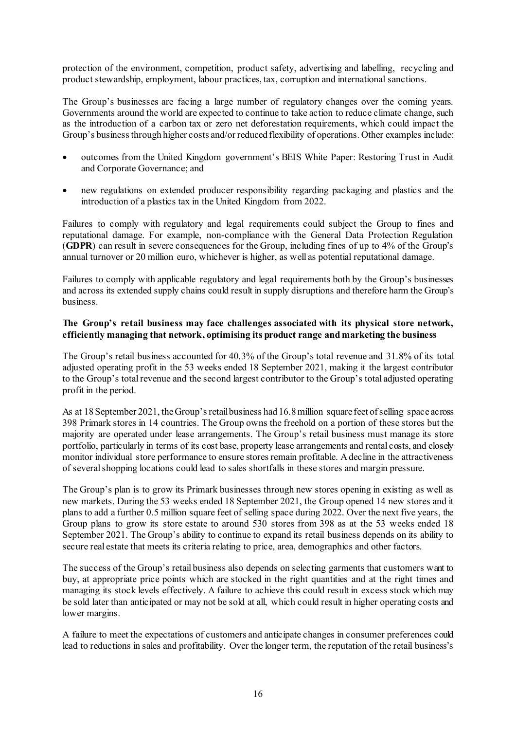protection of the environment, competition, product safety, advertising and labelling, recycling and product stewardship, employment, labour practices, tax, corruption and international sanctions.

The Group's businesses are facing a large number of regulatory changes over the coming years. Governments around the world are expected to continue to take action to reduce climate change, such as the introduction of a carbon tax or zero net deforestation requirements, which could impact the Group's business through higher costs and/or reduced flexibility of operations. Other examples include:

- outcomes from the United Kingdom government's BEIS White Paper: Restoring Trust in Audit and Corporate Governance; and
- new regulations on extended producer responsibility regarding packaging and plastics and the introduction of a plastics tax in the United Kingdom from 2022.

Failures to comply with regulatory and legal requirements could subject the Group to fines and reputational damage. For example, non-compliance with the General Data Protection Regulation (**GDPR**) can result in severe consequences for the Group, including fines of up to 4% of the Group's annual turnover or 20 million euro, whichever is higher, as well as potential reputational damage.

Failures to comply with applicable regulatory and legal requirements both by the Group's businesses and across its extended supply chains could result in supply disruptions and therefore harm the Group's business.

# **The Group's retail business may face challenges associated with its physical store network, efficiently managing that network, optimising its product range and marketing the business**

The Group's retail business accounted for 40.3% of the Group's total revenue and 31.8% of its total adjusted operating profit in the 53 weeks ended 18 September 2021, making it the largest contributor to the Group's total revenue and the second largest contributor to the Group's total adjusted operating profit in the period.

As at 18 September 2021, the Group's retail business had 16.8 million square feet of selling space across 398 Primark stores in 14 countries. The Group owns the freehold on a portion of these stores but the majority are operated under lease arrangements. The Group's retail business must manage its store portfolio, particularly in terms of its cost base, property lease arrangements and rental costs, and closely monitor individual store performance to ensure stores remain profitable. A decline in the attractiveness of several shopping locations could lead to sales shortfalls in these stores and margin pressure.

The Group's plan is to grow its Primark businesses through new stores opening in existing as well as new markets. During the 53 weeks ended 18 September 2021, the Group opened 14 new stores and it plans to add a further 0.5 million square feet of selling space during 2022. Over the next five years, the Group plans to grow its store estate to around 530 stores from 398 as at the 53 weeks ended 18 September 2021. The Group's ability to continue to expand its retail business depends on its ability to secure real estate that meets its criteria relating to price, area, demographics and other factors.

The success of the Group's retail business also depends on selecting garments that customers want to buy, at appropriate price points which are stocked in the right quantities and at the right times and managing its stock levels effectively. A failure to achieve this could result in excess stock which may be sold later than anticipated or may not be sold at all, which could result in higher operating costs and lower margins.

A failure to meet the expectations of customers and anticipate changes in consumer preferences could lead to reductions in sales and profitability. Over the longer term, the reputation of the retail business's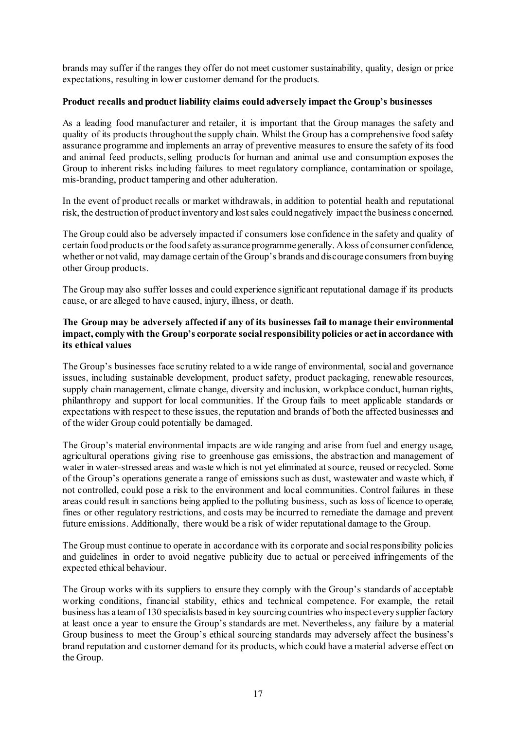brands may suffer if the ranges they offer do not meet customer sustainability, quality, design or price expectations, resulting in lower customer demand for the products.

# **Product recalls and product liability claims could adversely impact the Group's businesses**

As a leading food manufacturer and retailer, it is important that the Group manages the safety and quality of its products throughout the supply chain. Whilst the Group has a comprehensive food safety assurance programme and implements an array of preventive measures to ensure the safety of its food and animal feed products, selling products for human and animal use and consumption exposes the Group to inherent risks including failures to meet regulatory compliance, contamination or spoilage, mis-branding, product tampering and other adulteration.

In the event of product recalls or market withdrawals, in addition to potential health and reputational risk, the destruction of product inventory and lost sales could negatively impact the business concerned.

The Group could also be adversely impacted if consumers lose confidence in the safety and quality of certain food products or the food safety assurance programme generally. A loss of consumer confidence, whether or not valid, may damage certain of the Group's brands and discourage consumers from buying other Group products.

The Group may also suffer losses and could experience significant reputational damage if its products cause, or are alleged to have caused, injury, illness, or death.

# **The Group may be adversely affected if any of its businesses fail to manage their environmental impact, comply with the Group's corporate social responsibility policies or act in accordance with its ethical values**

The Group's businesses face scrutiny related to a wide range of environmental, social and governance issues, including sustainable development, product safety, product packaging, renewable resources, supply chain management, climate change, diversity and inclusion, workplace conduct, human rights, philanthropy and support for local communities. If the Group fails to meet applicable standards or expectations with respect to these issues, the reputation and brands of both the affected businesses and of the wider Group could potentially be damaged.

The Group's material environmental impacts are wide ranging and arise from fuel and energy usage, agricultural operations giving rise to greenhouse gas emissions, the abstraction and management of water in water-stressed areas and waste which is not yet eliminated at source, reused or recycled. Some of the Group's operations generate a range of emissions such as dust, wastewater and waste which, if not controlled, could pose a risk to the environment and local communities. Control failures in these areas could result in sanctions being applied to the polluting business, such as loss of licence to operate, fines or other regulatory restrictions, and costs may be incurred to remediate the damage and prevent future emissions. Additionally, there would be a risk of wider reputational damage to the Group.

The Group must continue to operate in accordance with its corporate and social responsibility policies and guidelines in order to avoid negative publicity due to actual or perceived infringements of the expected ethical behaviour.

The Group works with its suppliers to ensure they comply with the Group's standards of acceptable working conditions, financial stability, ethics and technical competence. For example, the retail business has a team of 130 specialists based in key sourcing countries who inspect every supplier factory at least once a year to ensure the Group's standards are met. Nevertheless, any failure by a material Group business to meet the Group's ethical sourcing standards may adversely affect the business's brand reputation and customer demand for its products, which could have a material adverse effect on the Group.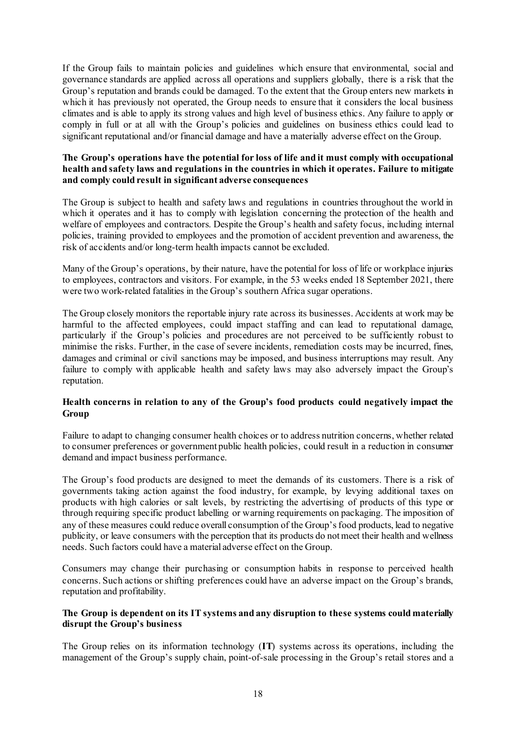If the Group fails to maintain policies and guidelines which ensure that environmental, social and governance standards are applied across all operations and suppliers globally, there is a risk that the Group's reputation and brands could be damaged. To the extent that the Group enters new markets in which it has previously not operated, the Group needs to ensure that it considers the local business climates and is able to apply its strong values and high level of business ethics. Any failure to apply or comply in full or at all with the Group's policies and guidelines on business ethics could lead to significant reputational and/or financial damage and have a materially adverse effect on the Group.

# **The Group's operations have the potential for loss of life and it must comply with occupational health and safety laws and regulations in the countries in which it operates. Failure to mitigate and comply could result in significant adverse consequences**

The Group is subject to health and safety laws and regulations in countries throughout the world in which it operates and it has to comply with legislation concerning the protection of the health and welfare of employees and contractors. Despite the Group's health and safety focus, including internal policies, training provided to employees and the promotion of accident prevention and awareness, the risk of accidents and/or long-term health impacts cannot be excluded.

Many of the Group's operations, by their nature, have the potential for loss of life or workplace injuries to employees, contractors and visitors. For example, in the 53 weeks ended 18 September 2021, there were two work-related fatalities in the Group's southern Africa sugar operations.

The Group closely monitors the reportable injury rate across its businesses. Accidents at work may be harmful to the affected employees, could impact staffing and can lead to reputational damage, particularly if the Group's policies and procedures are not perceived to be sufficiently robust to minimise the risks. Further, in the case of severe incidents, remediation costs may be incurred, fines, damages and criminal or civil sanctions may be imposed, and business interruptions may result. Any failure to comply with applicable health and safety laws may also adversely impact the Group's reputation.

# **Health concerns in relation to any of the Group's food products could negatively impact the Group**

Failure to adapt to changing consumer health choices or to address nutrition concerns, whether related to consumer preferences or government public health policies, could result in a reduction in consumer demand and impact business performance.

The Group's food products are designed to meet the demands of its customers. There is a risk of governments taking action against the food industry, for example, by levying additional taxes on products with high calories or salt levels, by restricting the advertising of products of this type or through requiring specific product labelling or warning requirements on packaging. The imposition of any of these measures could reduce overall consumption of the Group's food products, lead to negative publicity, or leave consumers with the perception that its products do not meet their health and wellness needs. Such factors could have a material adverse effect on the Group.

Consumers may change their purchasing or consumption habits in response to perceived health concerns. Such actions or shifting preferences could have an adverse impact on the Group's brands, reputation and profitability.

# **The Group is dependent on its IT systems and any disruption to these systems could materially disrupt the Group's business**

The Group relies on its information technology (**IT**) systems across its operations, including the management of the Group's supply chain, point-of-sale processing in the Group's retail stores and a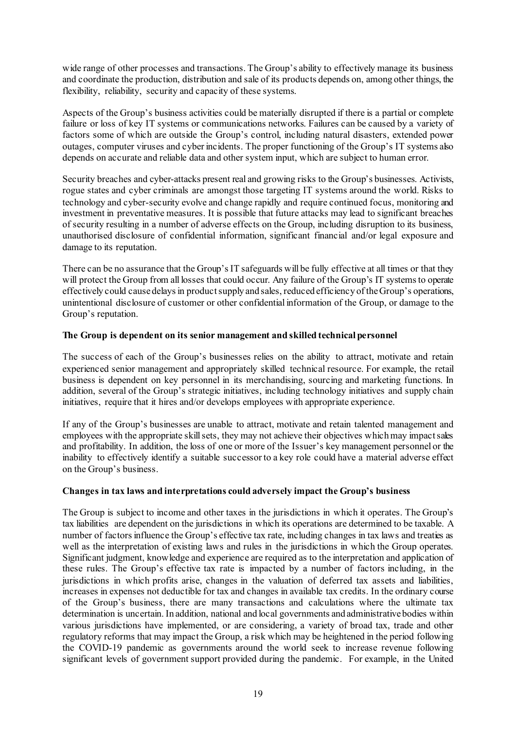wide range of other processes and transactions. The Group's ability to effectively manage its business and coordinate the production, distribution and sale of its products depends on, among other things, the flexibility, reliability, security and capacity of these systems.

Aspects of the Group's business activities could be materially disrupted if there is a partial or complete failure or loss of key IT systems or communications networks. Failures can be caused by a variety of factors some of which are outside the Group's control, including natural disasters, extended power outages, computer viruses and cyber incidents. The proper functioning of the Group's IT systems also depends on accurate and reliable data and other system input, which are subject to human error.

Security breaches and cyber-attacks present real and growing risks to the Group's businesses. Activists, rogue states and cyber criminals are amongst those targeting IT systems around the world. Risks to technology and cyber-security evolve and change rapidly and require continued focus, monitoring and investment in preventative measures. It is possible that future attacks may lead to significant breaches of security resulting in a number of adverse effects on the Group, including disruption to its business, unauthorised disclosure of confidential information, significant financial and/or legal exposure and damage to its reputation.

There can be no assurance that the Group's IT safeguards will be fully effective at all times or that they will protect the Group from all losses that could occur. Any failure of the Group's IT systems to operate effectively could cause delays in product supply and sales, reduced efficiency of the Group's operations, unintentional disclosure of customer or other confidential information of the Group, or damage to the Group's reputation.

# **The Group is dependent on its senior management and skilled technical personnel**

The success of each of the Group's businesses relies on the ability to attract, motivate and retain experienced senior management and appropriately skilled technical resource. For example, the retail business is dependent on key personnel in its merchandising, sourcing and marketing functions. In addition, several of the Group's strategic initiatives, including technology initiatives and supply chain initiatives, require that it hires and/or develops employees with appropriate experience.

If any of the Group's businesses are unable to attract, motivate and retain talented management and employees with the appropriate skill sets, they may not achieve their objectives which may impact sales and profitability. In addition, the loss of one or more of the Issuer's key management personnel or the inability to effectively identify a suitable successor to a key role could have a material adverse effect on the Group's business.

# **Changes in tax laws and interpretations could adversely impact the Group's business**

The Group is subject to income and other taxes in the jurisdictions in which it operates. The Group's tax liabilities are dependent on the jurisdictions in which its operations are determined to be taxable. A number of factors influence the Group's effective tax rate, including changes in tax laws and treaties as well as the interpretation of existing laws and rules in the jurisdictions in which the Group operates. Significant judgment, knowledge and experience are required as to the interpretation and application of these rules. The Group's effective tax rate is impacted by a number of factors including, in the jurisdictions in which profits arise, changes in the valuation of deferred tax assets and liabilities, increases in expenses not deductible for tax and changes in available tax credits. In the ordinary course of the Group's business, there are many transactions and calculations where the ultimate tax determination is uncertain. In addition, national and local governments and administrative bodies within various jurisdictions have implemented, or are considering, a variety of broad tax, trade and other regulatory reforms that may impact the Group, a risk which may be heightened in the period following the COVID-19 pandemic as governments around the world seek to increase revenue following significant levels of government support provided during the pandemic. For example, in the United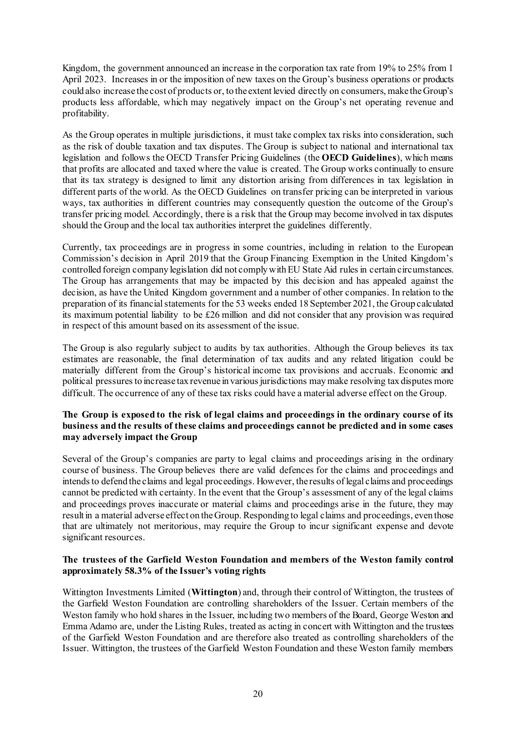Kingdom, the government announced an increase in the corporation tax rate from 19% to 25% from 1 April 2023. Increases in or the imposition of new taxes on the Group's business operations or products could also increase the cost of products or, to the extent levied directly on consumers, make the Group's products less affordable, which may negatively impact on the Group's net operating revenue and profitability.

As the Group operates in multiple jurisdictions, it must take complex tax risks into consideration, such as the risk of double taxation and tax disputes. The Group is subject to national and international tax legislation and follows the OECD Transfer Pricing Guidelines (the **OECD Guidelines**), which means that profits are allocated and taxed where the value is created. The Group works continually to ensure that its tax strategy is designed to limit any distortion arising from differences in tax legislation in different parts of the world. As the OECD Guidelines on transfer pricing can be interpreted in various ways, tax authorities in different countries may consequently question the outcome of the Group's transfer pricing model. Accordingly, there is a risk that the Group may become involved in tax disputes should the Group and the local tax authorities interpret the guidelines differently.

Currently, tax proceedings are in progress in some countries, including in relation to the European Commission's decision in April 2019 that the Group Financing Exemption in the United Kingdom's controlled foreign company legislation did not comply with EU State Aid rules in certain circumstances. The Group has arrangements that may be impacted by this decision and has appealed against the decision, as have the United Kingdom government and a number of other companies. In relation to the preparation of its financial statements for the 53 weeks ended 18 September 2021, the Group calculated its maximum potential liability to be £26 million and did not consider that any provision was required in respect of this amount based on its assessment of the issue.

The Group is also regularly subject to audits by tax authorities. Although the Group believes its tax estimates are reasonable, the final determination of tax audits and any related litigation could be materially different from the Group's historical income tax provisions and accruals. Economic and political pressures to increase tax revenue in various jurisdictions may make resolving tax disputes more difficult. The occurrence of any of these tax risks could have a material adverse effect on the Group.

# **The Group is exposed to the risk of legal claims and proceedings in the ordinary course of its business and the results of these claims and proceedings cannot be predicted and in some cases may adversely impact the Group**

Several of the Group's companies are party to legal claims and proceedings arising in the ordinary course of business. The Group believes there are valid defences for the claims and proceedings and intends to defend the claims and legal proceedings. However, the results of legal claims and proceedings cannot be predicted with certainty. In the event that the Group's assessment of any of the legal claims and proceedings proves inaccurate or material claims and proceedings arise in the future, they may result in a material adverse effect on the Group. Responding to legal claims and proceedings, even those that are ultimately not meritorious, may require the Group to incur significant expense and devote significant resources.

# **The trustees of the Garfield Weston Foundation and members of the Weston family control approximately 58.3% of the Issuer's voting rights**

Wittington Investments Limited (**Wittington**) and, through their control of Wittington, the trustees of the Garfield Weston Foundation are controlling shareholders of the Issuer. Certain members of the Weston family who hold shares in the Issuer, including two members of the Board, George Weston and Emma Adamo are, under the Listing Rules, treated as acting in concert with Wittington and the trustees of the Garfield Weston Foundation and are therefore also treated as controlling shareholders of the Issuer. Wittington, the trustees of the Garfield Weston Foundation and these Weston family members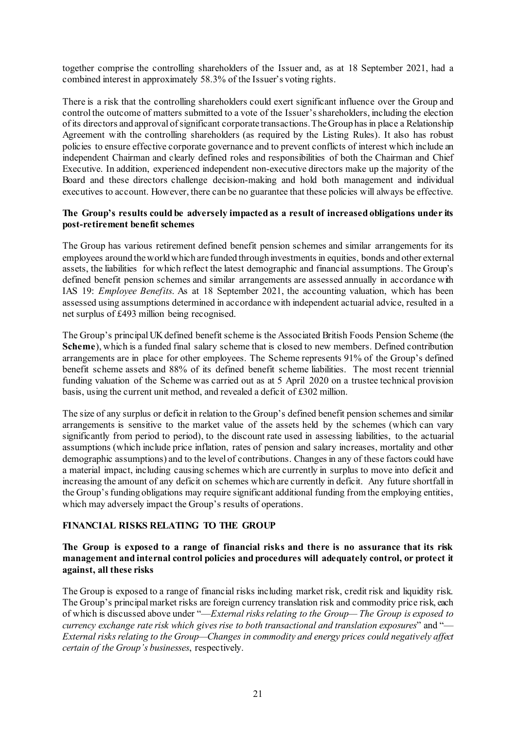together comprise the controlling shareholders of the Issuer and, as at 18 September 2021, had a combined interest in approximately 58.3% of the Issuer's voting rights.

There is a risk that the controlling shareholders could exert significant influence over the Group and control the outcome of matters submitted to a vote of the Issuer's shareholders, including the election of its directors and approval of significant corporate transactions. The Group has in place a Relationship Agreement with the controlling shareholders (as required by the Listing Rules). It also has robust policies to ensure effective corporate governance and to prevent conflicts of interest which include an independent Chairman and clearly defined roles and responsibilities of both the Chairman and Chief Executive. In addition, experienced independent non-executive directors make up the majority of the Board and these directors challenge decision-making and hold both management and individual executives to account. However, there can be no guarantee that these policies will always be effective.

### **The Group's results could be adversely impacted as a result of increased obligations under its post-retirement benefit schemes**

The Group has various retirement defined benefit pension schemes and similar arrangements for its employees around the world which are funded through investments in equities, bonds and other external assets, the liabilities for which reflect the latest demographic and financial assumptions. The Group's defined benefit pension schemes and similar arrangements are assessed annually in accordance with IAS 19: *Employee Benefits*. As at 18 September 2021, the accounting valuation, which has been assessed using assumptions determined in accordance with independent actuarial advice, resulted in a net surplus of £493 million being recognised.

The Group's principal UK defined benefit scheme is the Associated British Foods Pension Scheme (the **Scheme**), which is a funded final salary scheme that is closed to new members. Defined contribution arrangements are in place for other employees. The Scheme represents 91% of the Group's defined benefit scheme assets and 88% of its defined benefit scheme liabilities. The most recent triennial funding valuation of the Scheme was carried out as at 5 April 2020 on a trustee technical provision basis, using the current unit method, and revealed a deficit of £302 million.

The size of any surplus or deficit in relation to the Group's defined benefit pension schemes and similar arrangements is sensitive to the market value of the assets held by the schemes (which can vary significantly from period to period), to the discount rate used in assessing liabilities, to the actuarial assumptions (which include price inflation, rates of pension and salary increases, mortality and other demographic assumptions) and to the level of contributions. Changes in any of these factors could have a material impact, including causing schemes which are currently in surplus to move into deficit and increasing the amount of any deficit on schemes which are currently in deficit. Any future shortfall in the Group's funding obligations may require significant additional funding from the employing entities, which may adversely impact the Group's results of operations.

# **FINANCIAL RISKS RELATING TO THE GROUP**

# **The Group is exposed to a range of financial risks and there is no assurance that its risk management and internal control policies and procedures will adequately control, or protect it against, all these risks**

The Group is exposed to a range of financial risks including market risk, credit risk and liquidity risk. The Group's principal market risks are foreign currency translation risk and commodity price risk, each of which is discussed above under "—*External risks relating to the Group— The Group is exposed to currency exchange rate risk which gives rise to both transactional and translation exposures*" and "— *External risks relating to the Group—Changes in commodity and energy prices could negatively affect certain of the Group's businesses*, respectively.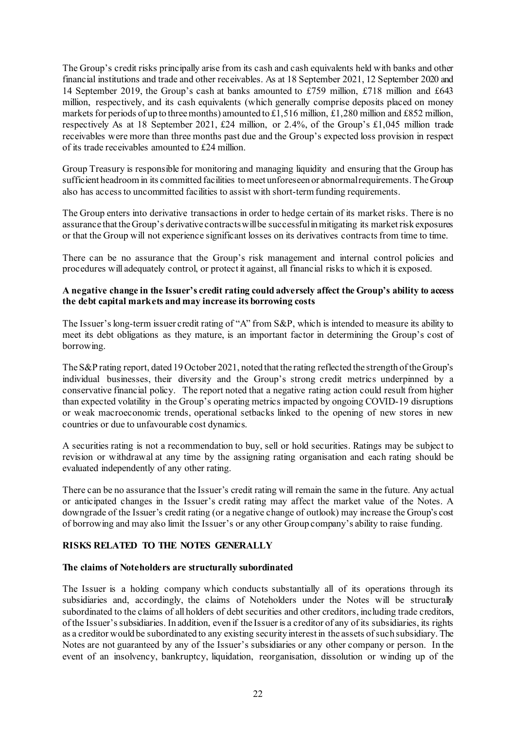The Group's credit risks principally arise from its cash and cash equivalents held with banks and other financial institutions and trade and other receivables. As at 18 September 2021, 12 September 2020 and 14 September 2019, the Group's cash at banks amounted to £759 million, £718 million and £643 million, respectively, and its cash equivalents (which generally comprise deposits placed on money markets for periods of up to three months) amounted to £1,516 million, £1,280 million and £852 million, respectively As at 18 September 2021, £24 million, or 2.4%, of the Group's £1,045 million trade receivables were more than three months past due and the Group's expected loss provision in respect of its trade receivables amounted to £24 million.

Group Treasury is responsible for monitoring and managing liquidity and ensuring that the Group has sufficient headroom in its committed facilities to meet unforeseen or abnormal requirements. The Group also has access to uncommitted facilities to assist with short-term funding requirements.

The Group enters into derivative transactions in order to hedge certain of its market risks. There is no assurance that the Group's derivative contracts will be successful in mitigating its market risk exposures or that the Group will not experience significant losses on its derivatives contracts from time to time.

There can be no assurance that the Group's risk management and internal control policies and procedures will adequately control, or protect it against, all financial risks to which it is exposed.

# **A negative change in the Issuer's credit rating could adversely affect the Group's ability to access the debt capital markets and may increase its borrowing costs**

The Issuer's long-term issuer credit rating of "A" from S&P, which is intended to measure its ability to meet its debt obligations as they mature, is an important factor in determining the Group's cost of borrowing.

The S&P rating report, dated 19 October 2021, noted that the rating reflected the strength of the Group's individual businesses, their diversity and the Group's strong credit metrics underpinned by a conservative financial policy. The report noted that a negative rating action could result from higher than expected volatility in the Group's operating metrics impacted by ongoing COVID-19 disruptions or weak macroeconomic trends, operational setbacks linked to the opening of new stores in new countries or due to unfavourable cost dynamics.

A securities rating is not a recommendation to buy, sell or hold securities. Ratings may be subject to revision or withdrawal at any time by the assigning rating organisation and each rating should be evaluated independently of any other rating.

There can be no assurance that the Issuer's credit rating will remain the same in the future. Any actual or anticipated changes in the Issuer's credit rating may affect the market value of the Notes. A downgrade of the Issuer's credit rating (or a negative change of outlook) may increase the Group's cost of borrowing and may also limit the Issuer's or any other Group company's ability to raise funding.

#### **RISKS RELATED TO THE NOTES GENERALLY**

#### **The claims of Noteholders are structurally subordinated**

The Issuer is a holding company which conducts substantially all of its operations through its subsidiaries and, accordingly, the claims of Noteholders under the Notes will be structurally subordinated to the claims of all holders of debt securities and other creditors, including trade creditors, of the Issuer's subsidiaries. In addition, even if the Issuer is a creditor of any of its subsidiaries, its rights as a creditor would be subordinated to any existing security interest in the assets of such subsidiary. The Notes are not guaranteed by any of the Issuer's subsidiaries or any other company or person. In the event of an insolvency, bankruptcy, liquidation, reorganisation, dissolution or winding up of the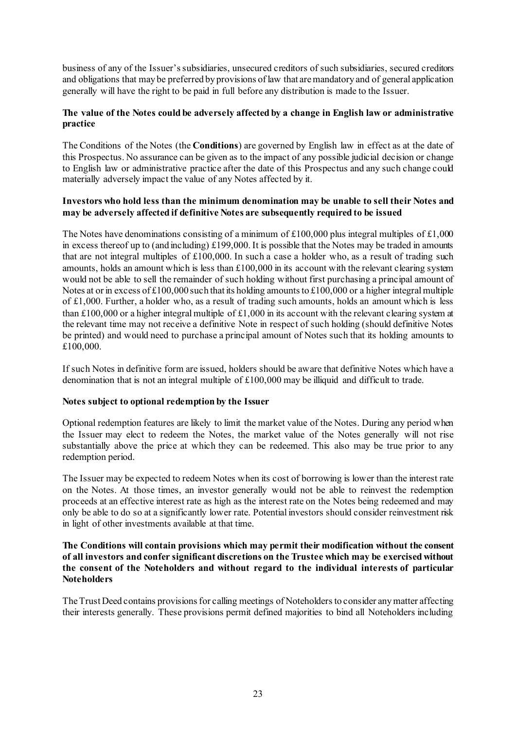business of any of the Issuer's subsidiaries, unsecured creditors of such subsidiaries, secured creditors and obligations that may be preferred by provisions of law that are mandatory and of general application generally will have the right to be paid in full before any distribution is made to the Issuer.

# **The value of the Notes could be adversely affected by a change in English law or administrative practice**

The Conditions of the Notes (the **Conditions**) are governed by English law in effect as at the date of this Prospectus. No assurance can be given as to the impact of any possible judicial decision or change to English law or administrative practice after the date of this Prospectus and any such change could materially adversely impact the value of any Notes affected by it.

# **Investors who hold less than the minimum denomination may be unable to sell their Notes and may be adversely affected if definitive Notes are subsequently required to be issued**

The Notes have denominations consisting of a minimum of  $£100,000$  plus integral multiples of £1,000 in excess thereof up to (and including) £199,000. It is possible that the Notes may be traded in amounts that are not integral multiples of £100,000. In such a case a holder who, as a result of trading such amounts, holds an amount which is less than  $\pounds 100,000$  in its account with the relevant clearing system would not be able to sell the remainder of such holding without first purchasing a principal amount of Notes at or in excess of £100,000 such that its holding amounts to £100,000 or a higher integral multiple of £1,000. Further, a holder who, as a result of trading such amounts, holds an amount which is less than £100,000 or a higher integral multiple of £1,000 in its account with the relevant clearing system at the relevant time may not receive a definitive Note in respect of such holding (should definitive Notes be printed) and would need to purchase a principal amount of Notes such that its holding amounts to £100,000.

If such Notes in definitive form are issued, holders should be aware that definitive Notes which have a denomination that is not an integral multiple of £100,000 may be illiquid and difficult to trade.

# **Notes subject to optional redemption by the Issuer**

Optional redemption features are likely to limit the market value of the Notes. During any period when the Issuer may elect to redeem the Notes, the market value of the Notes generally will not rise substantially above the price at which they can be redeemed. This also may be true prior to any redemption period.

The Issuer may be expected to redeem Notes when its cost of borrowing is lower than the interest rate on the Notes. At those times, an investor generally would not be able to reinvest the redemption proceeds at an effective interest rate as high as the interest rate on the Notes being redeemed and may only be able to do so at a significantly lower rate. Potential investors should consider reinvestment risk in light of other investments available at that time.

# **The Conditions will contain provisions which may permit their modification without the consent of all investors and confer significant discretions on the Trustee which may be exercised without the consent of the Noteholders and without regard to the individual interests of particular Noteholders**

The Trust Deed contains provisions for calling meetings of Noteholders to consider any matter affecting their interests generally. These provisions permit defined majorities to bind all Noteholders including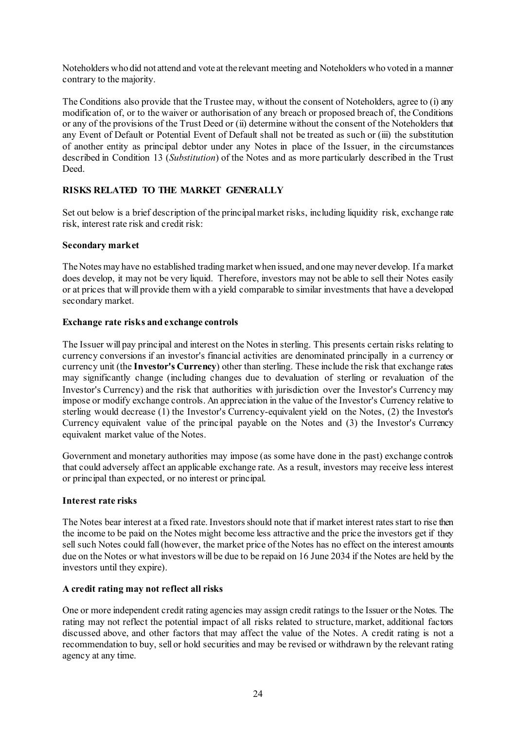Noteholders who did not attend and vote at the relevant meeting and Noteholders who voted in a manner contrary to the majority.

The Conditions also provide that the Trustee may, without the consent of Noteholders, agree to (i) any modification of, or to the waiver or authorisation of any breach or proposed breach of, the Conditions or any of the provisions of the Trust Deed or (ii) determine without the consent of the Noteholders that any Event of Default or Potential Event of Default shall not be treated as such or (iii) the substitution of another entity as principal debtor under any Notes in place of the Issuer, in the circumstances described in Condition [13](#page-42-0) (*Substitution*) of the Notes and as more particularly described in the Trust Deed.

# **RISKS RELATED TO THE MARKET GENERALLY**

Set out below is a brief description of the principal market risks, including liquidity risk, exchange rate risk, interest rate risk and credit risk:

# **Secondary market**

The Notes may have no established trading market when issued, and one may never develop. If a market does develop, it may not be very liquid. Therefore, investors may not be able to sell their Notes easily or at prices that will provide them with a yield comparable to similar investments that have a developed secondary market.

# **Exchange rate risks and exchange controls**

The Issuer will pay principal and interest on the Notes in sterling. This presents certain risks relating to currency conversions if an investor's financial activities are denominated principally in a currency or currency unit (the **Investor's Currency**) other than sterling. These include the risk that exchange rates may significantly change (including changes due to devaluation of sterling or revaluation of the Investor's Currency) and the risk that authorities with jurisdiction over the Investor's Currency may impose or modify exchange controls. An appreciation in the value of the Investor's Currency relative to sterling would decrease (1) the Investor's Currency-equivalent yield on the Notes, (2) the Investor's Currency equivalent value of the principal payable on the Notes and (3) the Investor's Currency equivalent market value of the Notes.

Government and monetary authorities may impose (as some have done in the past) exchange controls that could adversely affect an applicable exchange rate. As a result, investors may receive less interest or principal than expected, or no interest or principal.

# **Interest rate risks**

The Notes bear interest at a fixed rate. Investors should note that if market interest rates start to rise then the income to be paid on the Notes might become less attractive and the price the investors get if they sell such Notes could fall (however, the market price of the Notes has no effect on the interest amounts due on the Notes or what investors will be due to be repaid on 16 June 2034 if the Notes are held by the investors until they expire).

#### **A credit rating may not reflect all risks**

One or more independent credit rating agencies may assign credit ratings to the Issuer or the Notes. The rating may not reflect the potential impact of all risks related to structure, market, additional factors discussed above, and other factors that may affect the value of the Notes. A credit rating is not a recommendation to buy, sell or hold securities and may be revised or withdrawn by the relevant rating agency at any time.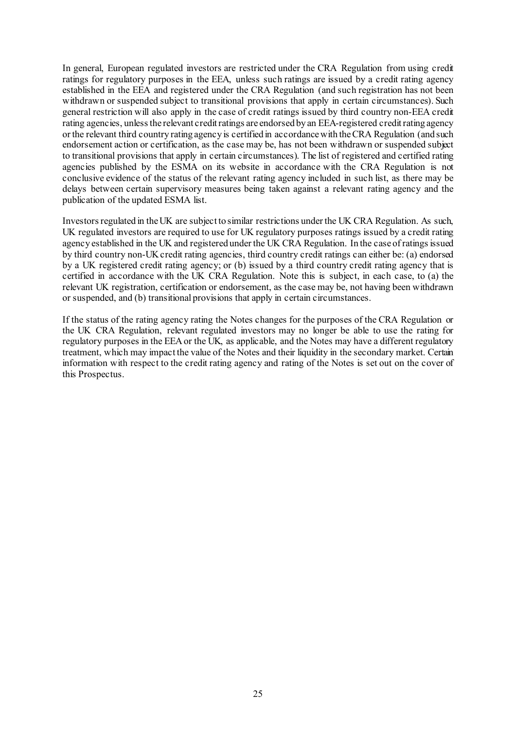In general, European regulated investors are restricted under the CRA Regulation from using credit ratings for regulatory purposes in the EEA, unless such ratings are issued by a credit rating agency established in the EEA and registered under the CRA Regulation (and such registration has not been withdrawn or suspended subject to transitional provisions that apply in certain circumstances). Such general restriction will also apply in the case of credit ratings issued by third country non-EEA credit rating agencies, unless the relevant credit ratings are endorsed by an EEA-registered credit rating agency or the relevant third country rating agency is certified in accordance with the CRA Regulation (and such endorsement action or certification, as the case may be, has not been withdrawn or suspended subject to transitional provisions that apply in certain circumstances). The list of registered and certified rating agencies published by the ESMA on its website in accordance with the CRA Regulation is not conclusive evidence of the status of the relevant rating agency included in such list, as there may be delays between certain supervisory measures being taken against a relevant rating agency and the publication of the updated ESMA list.

Investors regulated in the UK are subject to similar restrictions under the UK CRA Regulation. As such, UK regulated investors are required to use for UK regulatory purposes ratings issued by a credit rating agency established in the UK and registered under the UK CRA Regulation. In the case of ratings issued by third country non-UK credit rating agencies, third country credit ratings can either be: (a) endorsed by a UK registered credit rating agency; or (b) issued by a third country credit rating agency that is certified in accordance with the UK CRA Regulation. Note this is subject, in each case, to (a) the relevant UK registration, certification or endorsement, as the case may be, not having been withdrawn or suspended, and (b) transitional provisions that apply in certain circumstances.

If the status of the rating agency rating the Notes changes for the purposes of the CRA Regulation or the UK CRA Regulation, relevant regulated investors may no longer be able to use the rating for regulatory purposes in the EEA or the UK, as applicable, and the Notes may have a different regulatory treatment, which may impact the value of the Notes and their liquidity in the secondary market. Certain information with respect to the credit rating agency and rating of the Notes is set out on the cover of this Prospectus.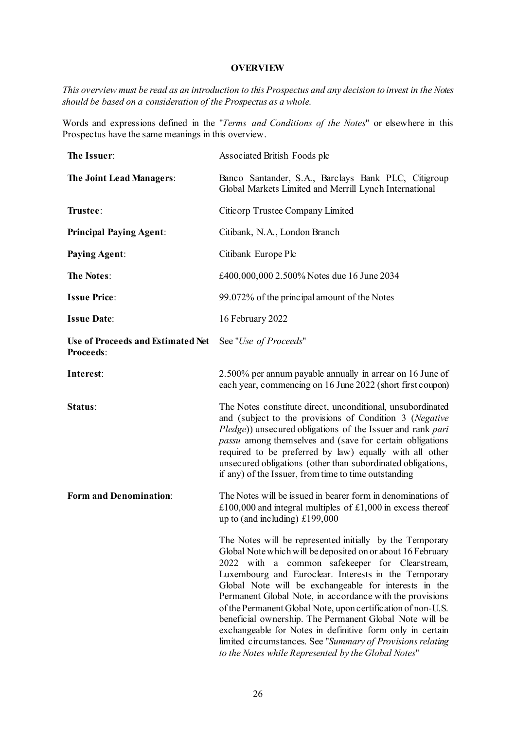#### **OVERVIEW**

*This overview must be read as an introduction to this Prospectus and any decision to invest in the Notes should be based on a consideration of the Prospectus as a whole.*

Words and expressions defined in the "*Terms and Conditions of the Notes*" or elsewhere in this Prospectus have the same meanings in this overview.

| The Issuer:                                           | Associated British Foods plc                                                                                                                                                                                                                                                                                                                                                                                                                                                                                                                                                                                                                                        |
|-------------------------------------------------------|---------------------------------------------------------------------------------------------------------------------------------------------------------------------------------------------------------------------------------------------------------------------------------------------------------------------------------------------------------------------------------------------------------------------------------------------------------------------------------------------------------------------------------------------------------------------------------------------------------------------------------------------------------------------|
| The Joint Lead Managers:                              | Banco Santander, S.A., Barclays Bank PLC, Citigroup<br>Global Markets Limited and Merrill Lynch International                                                                                                                                                                                                                                                                                                                                                                                                                                                                                                                                                       |
| Trustee:                                              | Citicorp Trustee Company Limited                                                                                                                                                                                                                                                                                                                                                                                                                                                                                                                                                                                                                                    |
| <b>Principal Paying Agent:</b>                        | Citibank, N.A., London Branch                                                                                                                                                                                                                                                                                                                                                                                                                                                                                                                                                                                                                                       |
| <b>Paying Agent:</b>                                  | Citibank Europe Plc                                                                                                                                                                                                                                                                                                                                                                                                                                                                                                                                                                                                                                                 |
| <b>The Notes:</b>                                     | £400,000,000 2.500% Notes due 16 June 2034                                                                                                                                                                                                                                                                                                                                                                                                                                                                                                                                                                                                                          |
| <b>Issue Price:</b>                                   | 99.072% of the principal amount of the Notes                                                                                                                                                                                                                                                                                                                                                                                                                                                                                                                                                                                                                        |
| <b>Issue Date:</b>                                    | 16 February 2022                                                                                                                                                                                                                                                                                                                                                                                                                                                                                                                                                                                                                                                    |
| Use of Proceeds and Estimated Net<br><b>Proceeds:</b> | See "Use of Proceeds"                                                                                                                                                                                                                                                                                                                                                                                                                                                                                                                                                                                                                                               |
| Interest:                                             | 2.500% per annum payable annually in arrear on 16 June of<br>each year, commencing on 16 June 2022 (short first coupon)                                                                                                                                                                                                                                                                                                                                                                                                                                                                                                                                             |
| Status:                                               | The Notes constitute direct, unconditional, unsubordinated<br>and (subject to the provisions of Condition 3 (Negative<br>Pledge)) unsecured obligations of the Issuer and rank pari<br>passu among themselves and (save for certain obligations<br>required to be preferred by law) equally with all other<br>unsecured obligations (other than subordinated obligations,<br>if any) of the Issuer, from time to time outstanding                                                                                                                                                                                                                                   |
| <b>Form and Denomination:</b>                         | The Notes will be issued in bearer form in denominations of<br>£100,000 and integral multiples of £1,000 in excess thereof<br>up to (and including) £199,000                                                                                                                                                                                                                                                                                                                                                                                                                                                                                                        |
|                                                       | The Notes will be represented initially by the Temporary<br>Global Note which will be deposited on or about 16 February<br>2022 with a common safekeeper for Clearstream,<br>Luxembourg and Euroclear. Interests in the Temporary<br>Global Note will be exchangeable for interests in the<br>Permanent Global Note, in accordance with the provisions<br>of the Permanent Global Note, upon certification of non-U.S.<br>beneficial ownership. The Permanent Global Note will be<br>exchangeable for Notes in definitive form only in certain<br>limited circumstances. See "Summary of Provisions relating<br>to the Notes while Represented by the Global Notes" |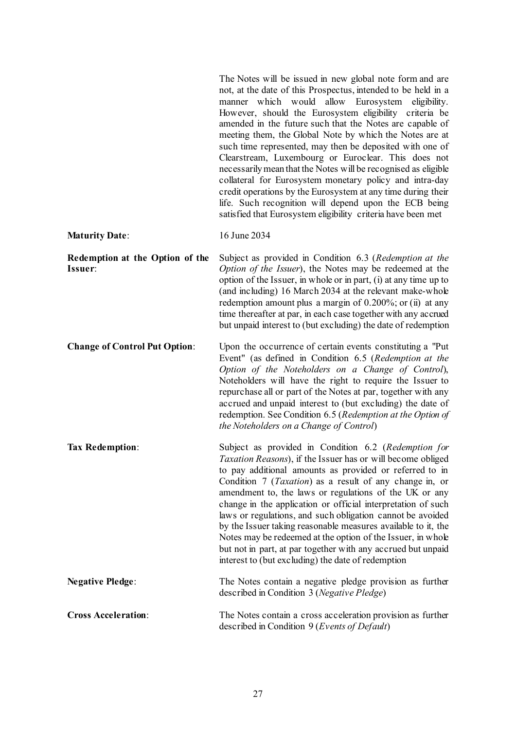|                                            | The Notes will be issued in new global note form and are<br>not, at the date of this Prospectus, intended to be held in a<br>manner which would allow Eurosystem eligibility.<br>However, should the Eurosystem eligibility criteria be<br>amended in the future such that the Notes are capable of<br>meeting them, the Global Note by which the Notes are at<br>such time represented, may then be deposited with one of<br>Clearstream, Luxembourg or Euroclear. This does not<br>necessarily mean that the Notes will be recognised as eligible<br>collateral for Eurosystem monetary policy and intra-day<br>credit operations by the Eurosystem at any time during their<br>life. Such recognition will depend upon the ECB being<br>satisfied that Eurosystem eligibility criteria have been met |
|--------------------------------------------|---------------------------------------------------------------------------------------------------------------------------------------------------------------------------------------------------------------------------------------------------------------------------------------------------------------------------------------------------------------------------------------------------------------------------------------------------------------------------------------------------------------------------------------------------------------------------------------------------------------------------------------------------------------------------------------------------------------------------------------------------------------------------------------------------------|
| <b>Maturity Date:</b>                      | 16 June 2034                                                                                                                                                                                                                                                                                                                                                                                                                                                                                                                                                                                                                                                                                                                                                                                            |
| Redemption at the Option of the<br>Issuer: | Subject as provided in Condition 6.3 (Redemption at the<br>Option of the Issuer), the Notes may be redeemed at the<br>option of the Issuer, in whole or in part, (i) at any time up to<br>(and including) 16 March 2034 at the relevant make-whole<br>redemption amount plus a margin of $0.200\%$ ; or (ii) at any<br>time thereafter at par, in each case together with any accrued<br>but unpaid interest to (but excluding) the date of redemption                                                                                                                                                                                                                                                                                                                                                  |
| <b>Change of Control Put Option:</b>       | Upon the occurrence of certain events constituting a "Put<br>Event" (as defined in Condition 6.5 (Redemption at the<br>Option of the Noteholders on a Change of Control),<br>Noteholders will have the right to require the Issuer to<br>repurchase all or part of the Notes at par, together with any<br>accrued and unpaid interest to (but excluding) the date of<br>redemption. See Condition 6.5 (Redemption at the Option of<br>the Noteholders on a Change of Control)                                                                                                                                                                                                                                                                                                                           |
| <b>Tax Redemption:</b>                     | Subject as provided in Condition 6.2 (Redemption for<br>Taxation Reasons), if the Issuer has or will become obliged<br>to pay additional amounts as provided or referred to in<br>Condition 7 ( <i>Taxation</i> ) as a result of any change in, or<br>amendment to, the laws or regulations of the UK or any<br>change in the application or official interpretation of such<br>laws or regulations, and such obligation cannot be avoided<br>by the Issuer taking reasonable measures available to it, the<br>Notes may be redeemed at the option of the Issuer, in whole<br>but not in part, at par together with any accrued but unpaid<br>interest to (but excluding) the date of redemption                                                                                                        |
| <b>Negative Pledge:</b>                    | The Notes contain a negative pledge provision as further<br>described in Condition 3 (Negative Pledge)                                                                                                                                                                                                                                                                                                                                                                                                                                                                                                                                                                                                                                                                                                  |
| <b>Cross Acceleration:</b>                 | The Notes contain a cross acceleration provision as further<br>described in Condition 9 (Events of Default)                                                                                                                                                                                                                                                                                                                                                                                                                                                                                                                                                                                                                                                                                             |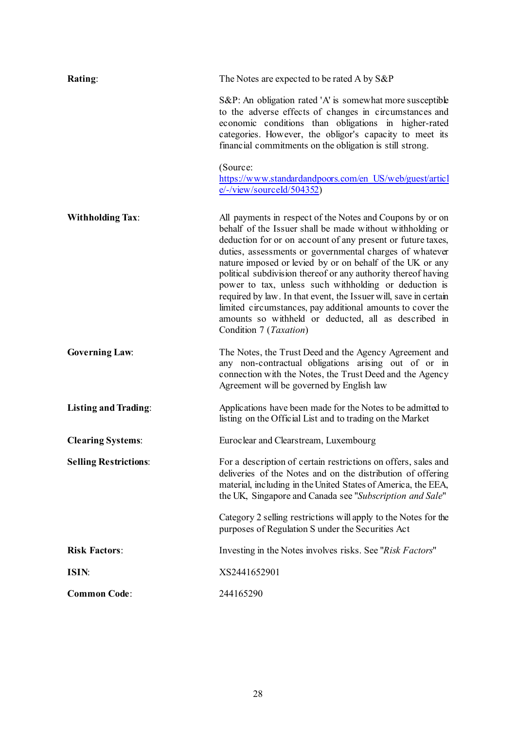| Rating:                      | The Notes are expected to be rated A by S&P                                                                                                                                                                                                                                                                                                                                                                                                                                                                                                                                                                                                                          |
|------------------------------|----------------------------------------------------------------------------------------------------------------------------------------------------------------------------------------------------------------------------------------------------------------------------------------------------------------------------------------------------------------------------------------------------------------------------------------------------------------------------------------------------------------------------------------------------------------------------------------------------------------------------------------------------------------------|
|                              | S&P: An obligation rated 'A' is somewhat more susceptible<br>to the adverse effects of changes in circumstances and<br>economic conditions than obligations in higher-rated<br>categories. However, the obligor's capacity to meet its<br>financial commitments on the obligation is still strong.                                                                                                                                                                                                                                                                                                                                                                   |
|                              | (Source:<br>https://www.standardandpoors.com/en_US/web/guest/articl<br>$e$ /-/view/sourceId/504352)                                                                                                                                                                                                                                                                                                                                                                                                                                                                                                                                                                  |
| <b>Withholding Tax:</b>      | All payments in respect of the Notes and Coupons by or on<br>behalf of the Issuer shall be made without withholding or<br>deduction for or on account of any present or future taxes,<br>duties, assessments or governmental charges of whatever<br>nature imposed or levied by or on behalf of the UK or any<br>political subdivision thereof or any authority thereof having<br>power to tax, unless such withholding or deduction is<br>required by law. In that event, the Issuer will, save in certain<br>limited circumstances, pay additional amounts to cover the<br>amounts so withheld or deducted, all as described in<br>Condition 7 ( <i>Taxation</i> ) |
| <b>Governing Law:</b>        | The Notes, the Trust Deed and the Agency Agreement and<br>any non-contractual obligations arising out of or in<br>connection with the Notes, the Trust Deed and the Agency<br>Agreement will be governed by English law                                                                                                                                                                                                                                                                                                                                                                                                                                              |
| <b>Listing and Trading:</b>  | Applications have been made for the Notes to be admitted to<br>listing on the Official List and to trading on the Market                                                                                                                                                                                                                                                                                                                                                                                                                                                                                                                                             |
| <b>Clearing Systems:</b>     | Euroclear and Clearstream, Luxembourg                                                                                                                                                                                                                                                                                                                                                                                                                                                                                                                                                                                                                                |
| <b>Selling Restrictions:</b> | For a description of certain restrictions on offers, sales and<br>deliveries of the Notes and on the distribution of offering<br>material, including in the United States of America, the EEA,<br>the UK, Singapore and Canada see "Subscription and Sale"                                                                                                                                                                                                                                                                                                                                                                                                           |
|                              | Category 2 selling restrictions will apply to the Notes for the<br>purposes of Regulation S under the Securities Act                                                                                                                                                                                                                                                                                                                                                                                                                                                                                                                                                 |
| <b>Risk Factors:</b>         | Investing in the Notes involves risks. See "Risk Factors"                                                                                                                                                                                                                                                                                                                                                                                                                                                                                                                                                                                                            |
| ISIN:                        | XS2441652901                                                                                                                                                                                                                                                                                                                                                                                                                                                                                                                                                                                                                                                         |
| <b>Common Code:</b>          | 244165290                                                                                                                                                                                                                                                                                                                                                                                                                                                                                                                                                                                                                                                            |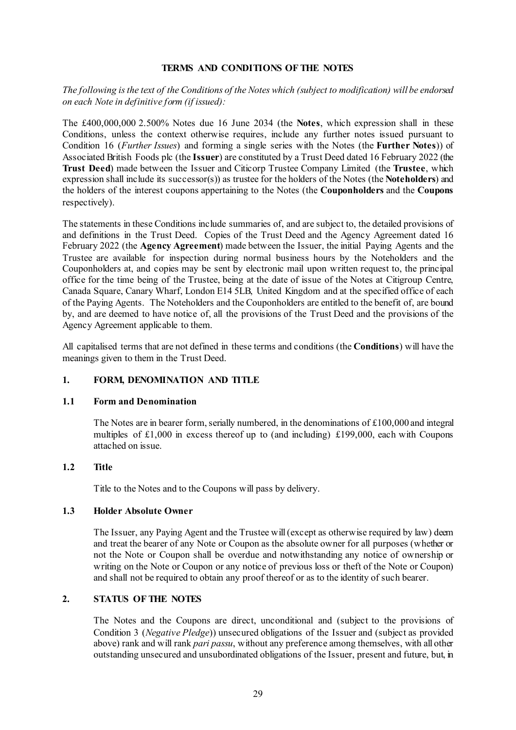### **TERMS AND CONDITIONS OF THE NOTES**

# *The following is the text of the Conditions of the Notes which (subject to modification) will be endorsed on each Note in definitive form (if issued):*

The £400,000,000 2.500% Notes due 16 June 2034 (the **Notes**, which expression shall in these Conditions, unless the context otherwise requires, include any further notes issued pursuant to Condition [16](#page-44-0) (*[Further Issues](#page-44-0)*) and forming a single series with the Notes (the **Further Notes**)) of Associated British Foods plc (the **Issuer**) are constituted by a Trust Deed dated 16 February 2022 (the **Trust Deed**) made between the Issuer and Citicorp Trustee Company Limited (the **Trustee**, which expression shall include its successor(s)) as trustee for the holders of the Notes (the **Noteholders**) and the holders of the interest coupons appertaining to the Notes (the **Couponholders** and the **Coupons** respectively).

The statements in these Conditions include summaries of, and are subject to, the detailed provisions of and definitions in the Trust Deed. Copies of the Trust Deed and the Agency Agreement dated 16 February 2022 (the **Agency Agreement**) made between the Issuer, the initial Paying Agents and the Trustee are available for inspection during normal business hours by the Noteholders and the Couponholders at, and copies may be sent by electronic mail upon written request to, the principal office for the time being of the Trustee, being at the date of issue of the Notes at Citigroup Centre, Canada Square, Canary Wharf, London E14 5LB, United Kingdom and at the specified office of each of the Paying Agents. The Noteholders and the Couponholders are entitled to the benefit of, are bound by, and are deemed to have notice of, all the provisions of the Trust Deed and the provisions of the Agency Agreement applicable to them.

All capitalised terms that are not defined in these terms and conditions (the **Conditions**) will have the meanings given to them in the Trust Deed.

# **1. FORM, DENOMINATION AND TITLE**

#### **1.1 Form and Denomination**

The Notes are in bearer form, serially numbered, in the denominations of  $£100,000$  and integral multiples of £1,000 in excess thereof up to (and including) £199,000, each with Coupons attached on issue.

### **1.2 Title**

Title to the Notes and to the Coupons will pass by delivery.

# **1.3 Holder Absolute Owner**

The Issuer, any Paying Agent and the Trustee will (except as otherwise required by law) deem and treat the bearer of any Note or Coupon as the absolute owner for all purposes (whether or not the Note or Coupon shall be overdue and notwithstanding any notice of ownership or writing on the Note or Coupon or any notice of previous loss or theft of the Note or Coupon) and shall not be required to obtain any proof thereof or as to the identity of such bearer.

# **2. STATUS OF THE NOTES**

The Notes and the Coupons are direct, unconditional and (subject to the provisions of Condition [3](#page-30-0) (*[Negative Pledge](#page-30-0)*)) unsecured obligations of the Issuer and (subject as provided above) rank and will rank *pari passu*, without any preference among themselves, with all other outstanding unsecured and unsubordinated obligations of the Issuer, present and future, but, in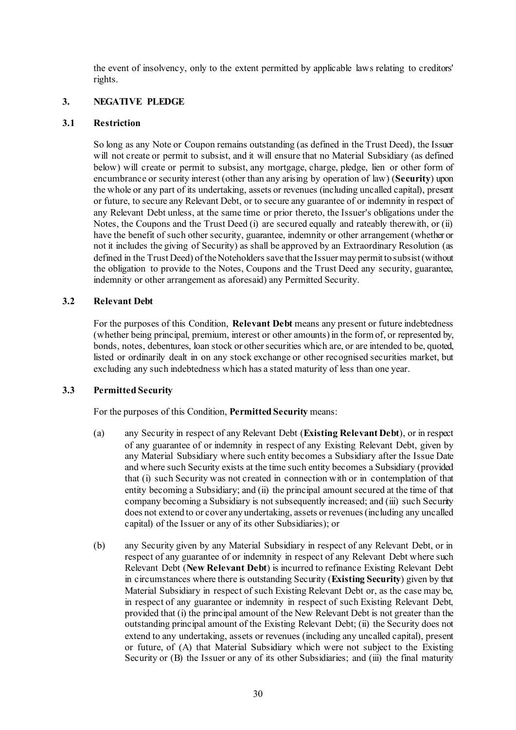the event of insolvency, only to the extent permitted by applicable laws relating to creditors' rights.

# <span id="page-30-0"></span>**3. NEGATIVE PLEDGE**

#### **3.1 Restriction**

So long as any Note or Coupon remains outstanding (as defined in the Trust Deed), the Issuer will not create or permit to subsist, and it will ensure that no Material Subsidiary (as defined below) will create or permit to subsist, any mortgage, charge, pledge, lien or other form of encumbrance or security interest (other than any arising by operation of law) (**Security**) upon the whole or any part of its undertaking, assets or revenues (including uncalled capital), present or future, to secure any Relevant Debt, or to secure any guarantee of or indemnity in respect of any Relevant Debt unless, at the same time or prior thereto, the Issuer's obligations under the Notes, the Coupons and the Trust Deed (i) are secured equally and rateably therewith, or (ii) have the benefit of such other security, guarantee, indemnity or other arrangement (whether or not it includes the giving of Security) as shall be approved by an Extraordinary Resolution (as defined in the Trust Deed) of the Noteholders save that the Issuer may permit to subsist (without the obligation to provide to the Notes, Coupons and the Trust Deed any security, guarantee, indemnity or other arrangement as aforesaid) any Permitted Security.

#### **3.2 Relevant Debt**

For the purposes of this Condition, **Relevant Debt** means any present or future indebtedness (whether being principal, premium, interest or other amounts) in the form of, or represented by, bonds, notes, debentures, loan stock or other securities which are, or are intended to be, quoted, listed or ordinarily dealt in on any stock exchange or other recognised securities market, but excluding any such indebtedness which has a stated maturity of less than one year.

#### **3.3 Permitted Security**

For the purposes of this Condition, **Permitted Security** means:

- (a) any Security in respect of any Relevant Debt (**Existing Relevant Debt**), or in respect of any guarantee of or indemnity in respect of any Existing Relevant Debt, given by any Material Subsidiary where such entity becomes a Subsidiary after the Issue Date and where such Security exists at the time such entity becomes a Subsidiary (provided that (i) such Security was not created in connection with or in contemplation of that entity becoming a Subsidiary; and (ii) the principal amount secured at the time of that company becoming a Subsidiary is not subsequently increased; and (iii) such Security does not extend to or cover any undertaking, assets or revenues (including any uncalled capital) of the Issuer or any of its other Subsidiaries); or
- (b) any Security given by any Material Subsidiary in respect of any Relevant Debt, or in respect of any guarantee of or indemnity in respect of any Relevant Debt where such Relevant Debt (**New Relevant Debt**) is incurred to refinance Existing Relevant Debt in circumstances where there is outstanding Security (**Existing Security**) given by that Material Subsidiary in respect of such Existing Relevant Debt or, as the case may be, in respect of any guarantee or indemnity in respect of such Existing Relevant Debt, provided that (i) the principal amount of the New Relevant Debt is not greater than the outstanding principal amount of the Existing Relevant Debt; (ii) the Security does not extend to any undertaking, assets or revenues (including any uncalled capital), present or future, of (A) that Material Subsidiary which were not subject to the Existing Security or (B) the Issuer or any of its other Subsidiaries; and (iii) the final maturity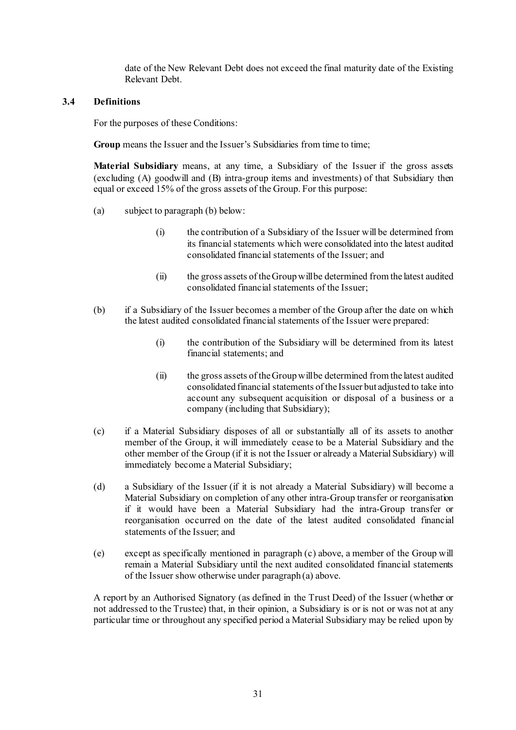date of the New Relevant Debt does not exceed the final maturity date of the Existing Relevant Debt.

### **3.4 Definitions**

For the purposes of these Conditions:

Group means the Issuer and the Issuer's Subsidiaries from time to time;

**Material Subsidiary** means, at any time, a Subsidiary of the Issuer if the gross assets (excluding (A) goodwill and (B) intra-group items and investments) of that Subsidiary then equal or exceed 15% of the gross assets of the Group. For this purpose:

- (a) subject to paragraph (b) below:
	- (i) the contribution of a Subsidiary of the Issuer will be determined from its financial statements which were consolidated into the latest audited consolidated financial statements of the Issuer; and
	- (ii) the gross assets of the Group will be determined from the latest audited consolidated financial statements of the Issuer;
- (b) if a Subsidiary of the Issuer becomes a member of the Group after the date on which the latest audited consolidated financial statements of the Issuer were prepared:
	- (i) the contribution of the Subsidiary will be determined from its latest financial statements; and
	- (ii) the gross assets of the Group will be determined from the latest audited consolidated financial statements of the Issuer but adjusted to take into account any subsequent acquisition or disposal of a business or a company (including that Subsidiary);
- (c) if a Material Subsidiary disposes of all or substantially all of its assets to another member of the Group, it will immediately cease to be a Material Subsidiary and the other member of the Group (if it is not the Issuer or already a Material Subsidiary) will immediately become a Material Subsidiary;
- (d) a Subsidiary of the Issuer (if it is not already a Material Subsidiary) will become a Material Subsidiary on completion of any other intra-Group transfer or reorganisation if it would have been a Material Subsidiary had the intra-Group transfer or reorganisation occurred on the date of the latest audited consolidated financial statements of the Issuer; and
- (e) except as specifically mentioned in paragraph (c) above, a member of the Group will remain a Material Subsidiary until the next audited consolidated financial statements of the Issuer show otherwise under paragraph (a) above.

A report by an Authorised Signatory (as defined in the Trust Deed) of the Issuer (whether or not addressed to the Trustee) that, in their opinion, a Subsidiary is or is not or was not at any particular time or throughout any specified period a Material Subsidiary may be relied upon by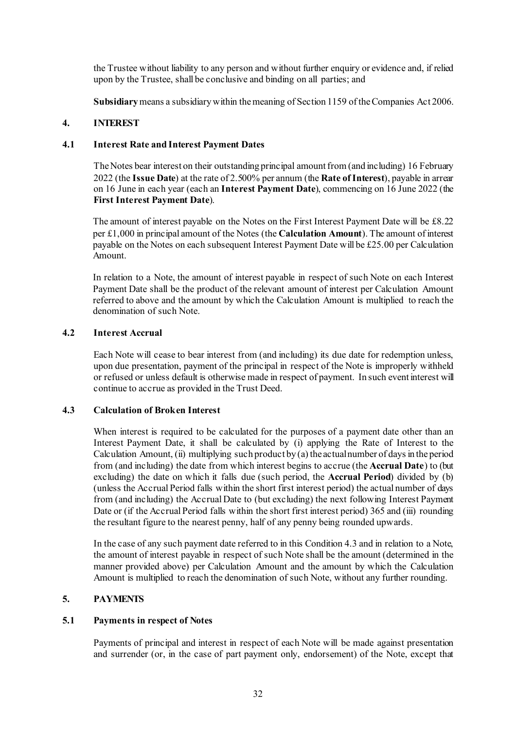the Trustee without liability to any person and without further enquiry or evidence and, if relied upon by the Trustee, shall be conclusive and binding on all parties; and

**Subsidiary**means a subsidiary within the meaning of Section 1159 of the Companies Act 2006.

# <span id="page-32-1"></span><span id="page-32-0"></span>**4. INTEREST**

### **4.1 Interest Rate and Interest Payment Dates**

The Notes bear interest on their outstanding principal amount from (and including) 16 February 2022 (the **Issue Date**) at the rate of 2.500% per annum (the **Rate of Interest**), payable in arrear on 16 June in each year (each an **Interest Payment Date**), commencing on 16 June 2022 (the **First Interest Payment Date**).

The amount of interest payable on the Notes on the First Interest Payment Date will be £8.22 per £1,000 in principal amount of the Notes (the **Calculation Amount**). The amount of interest payable on the Notes on each subsequent Interest Payment Date will be £25.00 per Calculation Amount.

In relation to a Note, the amount of interest payable in respect of such Note on each Interest Payment Date shall be the product of the relevant amount of interest per Calculation Amount referred to above and the amount by which the Calculation Amount is multiplied to reach the denomination of such Note.

# **4.2 Interest Accrual**

Each Note will cease to bear interest from (and including) its due date for redemption unless, upon due presentation, payment of the principal in respect of the Note is improperly withheld or refused or unless default is otherwise made in respect of payment. In such event interest will continue to accrue as provided in the Trust Deed.

#### **4.3 Calculation of Broken Interest**

When interest is required to be calculated for the purposes of a payment date other than an Interest Payment Date, it shall be calculated by (i) applying the Rate of Interest to the Calculation Amount, (ii) multiplying such product by (a) the actual number of days in the period from (and including) the date from which interest begins to accrue (the **Accrual Date**) to (but excluding) the date on which it falls due (such period, the **Accrual Period**) divided by (b) (unless the Accrual Period falls within the short first interest period) the actual number of days from (and including) the Accrual Date to (but excluding) the next following Interest Payment Date or (if the Accrual Period falls within the short first interest period) 365 and (iii) rounding the resultant figure to the nearest penny, half of any penny being rounded upwards.

In the case of any such payment date referred to in this Condition 4.3 and in relation to a Note, the amount of interest payable in respect of such Note shall be the amount (determined in the manner provided above) per Calculation Amount and the amount by which the Calculation Amount is multiplied to reach the denomination of such Note, without any further rounding.

# **5. PAYMENTS**

# **5.1 Payments in respect of Notes**

Payments of principal and interest in respect of each Note will be made against presentation and surrender (or, in the case of part payment only, endorsement) of the Note, except that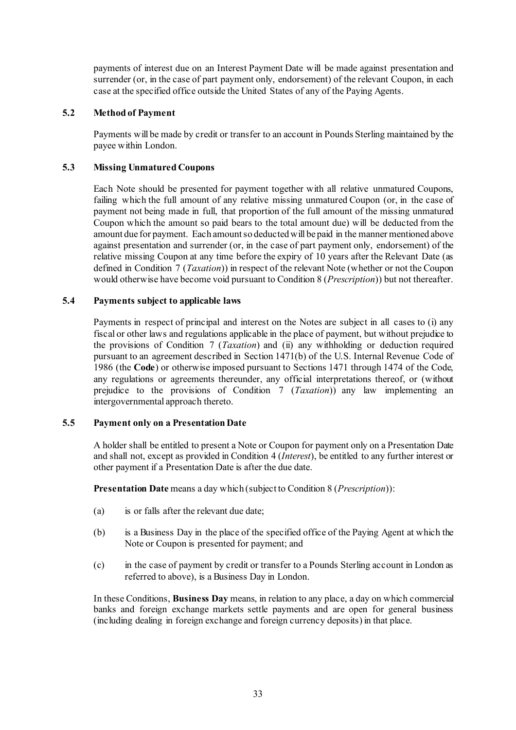payments of interest due on an Interest Payment Date will be made against presentation and surrender (or, in the case of part payment only, endorsement) of the relevant Coupon, in each case at the specified office outside the United States of any of the Paying Agents.

# **5.2 Method of Payment**

Payments will be made by credit or transfer to an account in Pounds Sterling maintained by the payee within London.

# **5.3 Missing Unmatured Coupons**

Each Note should be presented for payment together with all relative unmatured Coupons, failing which the full amount of any relative missing unmatured Coupon (or, in the case of payment not being made in full, that proportion of the full amount of the missing unmatured Coupon which the amount so paid bears to the total amount due) will be deducted from the amount due for payment. Each amount so deducted will be paid in the manner mentioned above against presentation and surrender (or, in the case of part payment only, endorsement) of the relative missing Coupon at any time before the expiry of 10 years after the Relevant Date (as defined in Condition [7](#page-38-1) (*[Taxation](#page-38-1)*)) in respect of the relevant Note (whether or not the Coupon would otherwise have become void pursuant to Conditio[n 8](#page-39-1) (*[Prescription](#page-39-1)*)) but not thereafter.

# **5.4 Payments subject to applicable laws**

Payments in respect of principal and interest on the Notes are subject in all cases to (i) any fiscal or other laws and regulations applicable in the place of payment, but without prejudice to the provisions of Condition [7](#page-38-1) (*[Taxation](#page-38-1)*) and (ii) any withholding or deduction required pursuant to an agreement described in Section 1471(b) of the U.S. Internal Revenue Code of 1986 (the **Code**) or otherwise imposed pursuant to Sections 1471 through 1474 of the Code, any regulations or agreements thereunder, any official interpretations thereof, or (without prejudice to the provisions of Condition [7](#page-38-1) (*[Taxation](#page-38-1)*)) any law implementing an intergovernmental approach thereto.

#### **5.5 Payment only on a Presentation Date**

A holder shall be entitled to present a Note or Coupon for payment only on a Presentation Date and shall not, except as provided in Condition [4](#page-32-1) (*[Interest](#page-32-1)*), be entitled to any further interest or other payment if a Presentation Date is after the due date.

**Presentation Date** means a day which (subject to Conditio[n 8](#page-39-1) (*[Prescription](#page-39-1)*)):

- (a) is or falls after the relevant due date;
- (b) is a Business Day in the place of the specified office of the Paying Agent at which the Note or Coupon is presented for payment; and
- (c) in the case of payment by credit or transfer to a Pounds Sterling account in London as referred to above), is a Business Day in London.

In these Conditions, **Business Day** means, in relation to any place, a day on which commercial banks and foreign exchange markets settle payments and are open for general business (including dealing in foreign exchange and foreign currency deposits) in that place.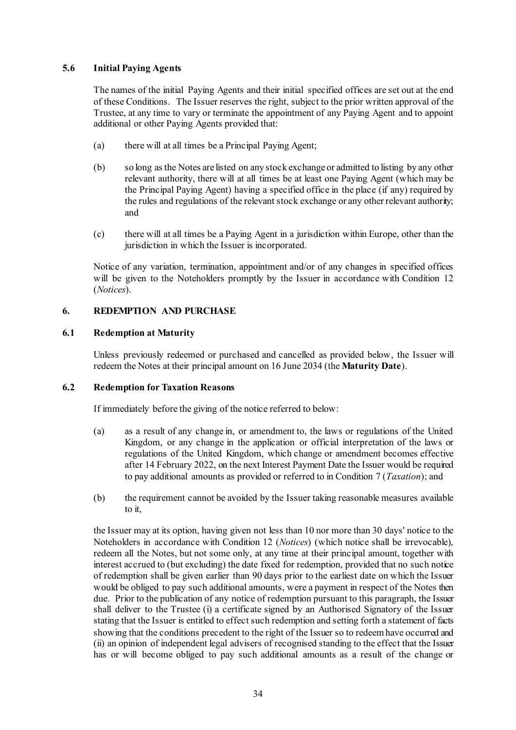# **5.6 Initial Paying Agents**

The names of the initial Paying Agents and their initial specified offices are set out at the end of these Conditions. The Issuer reserves the right, subject to the prior written approval of the Trustee, at any time to vary or terminate the appointment of any Paying Agent and to appoint additional or other Paying Agents provided that:

- (a) there will at all times be a Principal Paying Agent;
- (b) so long as the Notes are listed on any stock exchange or admitted to listing by any other relevant authority, there will at all times be at least one Paying Agent (which may be the Principal Paying Agent) having a specified office in the place (if any) required by the rules and regulations of the relevant stock exchange or any other relevant authority; and
- (c) there will at all times be a Paying Agent in a jurisdiction within Europe, other than the jurisdiction in which the Issuer is incorporated.

Notice of any variation, termination, appointment and/or of any changes in specified offices will be given to the Noteholders promptly by the Issuer in accordance with Condition [12](#page-42-1) (*[Notices](#page-42-1)*).

# <span id="page-34-0"></span>**6. REDEMPTION AND PURCHASE**

# **6.1 Redemption at Maturity**

Unless previously redeemed or purchased and cancelled as provided below, the Issuer will redeem the Notes at their principal amount on 16 June 2034 (the **Maturity Date**).

#### <span id="page-34-1"></span>**6.2 Redemption for Taxation Reasons**

If immediately before the giving of the notice referred to below:

- (a) as a result of any change in, or amendment to, the laws or regulations of the United Kingdom, or any change in the application or official interpretation of the laws or regulations of the United Kingdom, which change or amendment becomes effective after 14 February 2022, on the next Interest Payment Date the Issuer would be required to pay additional amounts as provided or referred to in Condition [7](#page-38-1) (*[Taxation](#page-38-1)*); and
- (b) the requirement cannot be avoided by the Issuer taking reasonable measures available to it,

the Issuer may at its option, having given not less than 10 nor more than 30 days' notice to the Noteholders in accordance with Condition [12](#page-42-1) (*[Notices](#page-42-1)*) (which notice shall be irrevocable), redeem all the Notes, but not some only, at any time at their principal amount, together with interest accrued to (but excluding) the date fixed for redemption, provided that no such notice of redemption shall be given earlier than 90 days prior to the earliest date on which the Issuer would be obliged to pay such additional amounts, were a payment in respect of the Notes then due. Prior to the publication of any notice of redemption pursuant to this paragraph, the Issuer shall deliver to the Trustee (i) a certificate signed by an Authorised Signatory of the Issuer stating that the Issuer is entitled to effect such redemption and setting forth a statement of facts showing that the conditions precedent to the right of the Issuer so to redeem have occurred and (ii) an opinion of independent legal advisers of recognised standing to the effect that the Issuer has or will become obliged to pay such additional amounts as a result of the change or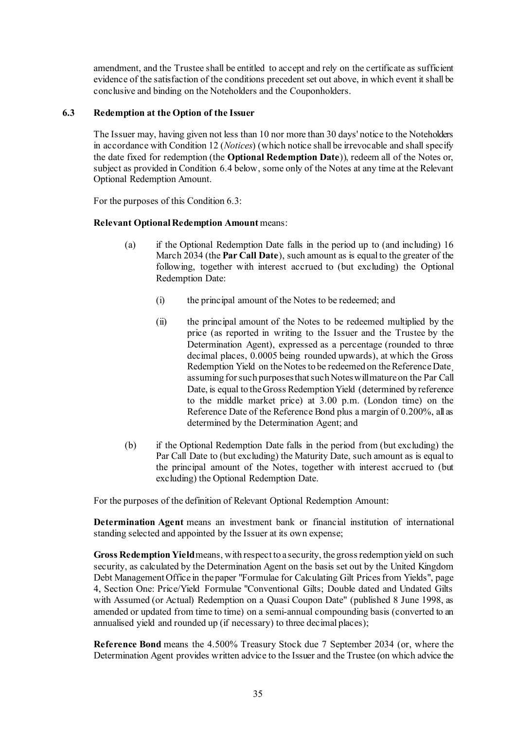amendment, and the Trustee shall be entitled to accept and rely on the certificate as sufficient evidence of the satisfaction of the conditions precedent set out above, in which event it shall be conclusive and binding on the Noteholders and the Couponholders.

# <span id="page-35-0"></span>**6.3 Redemption at the Option of the Issuer**

The Issuer may, having given not less than 10 nor more than 30 days' notice to the Noteholders in accordance with Conditio[n 12](#page-42-1) (*[Notices](#page-42-1)*) (which notice shall be irrevocable and shall specify the date fixed for redemption (the **Optional Redemption Date**)), redeem all of the Notes or, subject as provided in Condition [6.4 below,](#page-36-2) some only of the Notes at any time at the Relevant Optional Redemption Amount.

For the purposes of this Conditio[n 6.3:](#page-35-0)

# **Relevant Optional Redemption Amount** means:

- (a) if the Optional Redemption Date falls in the period up to (and including) 16 March 2034 (the **Par Call Date**), such amount as is equal to the greater of the following, together with interest accrued to (but excluding) the Optional Redemption Date:
	- (i) the principal amount of the Notes to be redeemed; and
	- (ii) the principal amount of the Notes to be redeemed multiplied by the price (as reported in writing to the Issuer and the Trustee by the Determination Agent), expressed as a percentage (rounded to three decimal places, 0.0005 being rounded upwards), at which the Gross Redemption Yield on the Notes to be redeemed on the Reference Date assuming for such purposes that such Notes will mature on the Par Call Date, is equal to the Gross Redemption Yield (determined by reference to the middle market price) at 3.00 p.m. (London time) on the Reference Date of the Reference Bond plus a margin of 0.200%, all as determined by the Determination Agent; and
- (b) if the Optional Redemption Date falls in the period from (but excluding) the Par Call Date to (but excluding) the Maturity Date, such amount as is equal to the principal amount of the Notes, together with interest accrued to (but excluding) the Optional Redemption Date.

For the purposes of the definition of Relevant Optional Redemption Amount:

**Determination Agent** means an investment bank or financial institution of international standing selected and appointed by the Issuer at its own expense;

**Gross Redemption Yield**means, with respect to a security, the gross redemption yield on such security, as calculated by the Determination Agent on the basis set out by the United Kingdom Debt Management Office in the paper "Formulae for Calculating Gilt Prices from Yields", page 4, Section One: Price/Yield Formulae "Conventional Gilts; Double dated and Undated Gilts with Assumed (or Actual) Redemption on a Quasi Coupon Date" (published 8 June 1998, as amended or updated from time to time) on a semi-annual compounding basis (converted to an annualised yield and rounded up (if necessary) to three decimal places);

**Reference Bond** means the 4.500% Treasury Stock due 7 September 2034 (or, where the Determination Agent provides written advice to the Issuer and the Trustee (on which advice the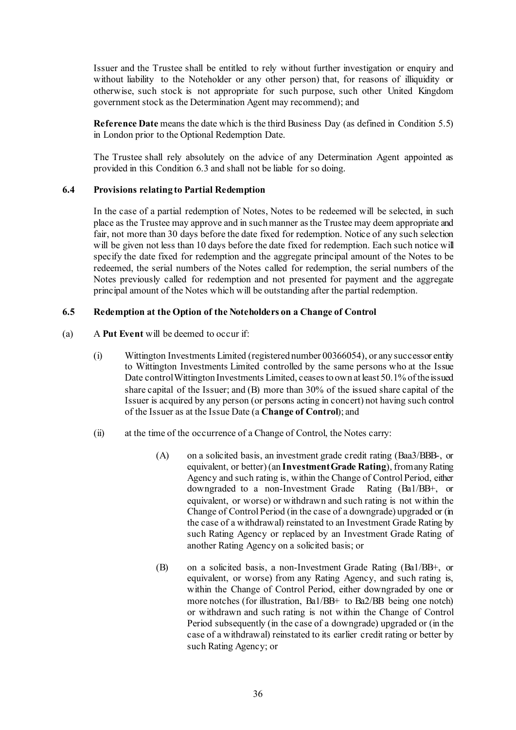Issuer and the Trustee shall be entitled to rely without further investigation or enquiry and without liability to the Noteholder or any other person) that, for reasons of illiquidity or otherwise, such stock is not appropriate for such purpose, such other United Kingdom government stock as the Determination Agent may recommend); and

**Reference Date** means the date which is the third Business Day (as defined in Condition [5.5\)](#page-33-0) in London prior to the Optional Redemption Date.

The Trustee shall rely absolutely on the advice of any Determination Agent appointed as provided in this Condition [6.3](#page-35-0) and shall not be liable for so doing.

### <span id="page-36-2"></span>**6.4 Provisions relating to Partial Redemption**

In the case of a partial redemption of Notes, Notes to be redeemed will be selected, in such place as the Trustee may approve and in such manner as the Trustee may deem appropriate and fair, not more than 30 days before the date fixed for redemption. Notice of any such selection will be given not less than 10 days before the date fixed for redemption. Each such notice will specify the date fixed for redemption and the aggregate principal amount of the Notes to be redeemed, the serial numbers of the Notes called for redemption, the serial numbers of the Notes previously called for redemption and not presented for payment and the aggregate principal amount of the Notes which will be outstanding after the partial redemption.

### <span id="page-36-1"></span><span id="page-36-0"></span>**6.5 Redemption at the Option of the Noteholders on a Change of Control**

- (a) A **Put Event** will be deemed to occur if:
	- (i) Wittington Investments Limited (registered number 00366054), or any successor entity to Wittington Investments Limited controlled by the same persons who at the Issue Date control Wittington Investments Limited, ceases to own at least 50.1% of the issued share capital of the Issuer; and (B) more than 30% of the issued share capital of the Issuer is acquired by any person (or persons acting in concert) not having such control of the Issuer as at the Issue Date (a **Change of Control**); and
	- (ii) at the time of the occurrence of a Change of Control, the Notes carry:
		- (A) on a solicited basis, an investment grade credit rating (Baa3/BBB-, or equivalent, or better) (an **Investment Grade Rating**), from any Rating Agency and such rating is, within the Change of Control Period, either downgraded to a non-Investment Grade Rating (Ba1/BB+, or equivalent, or worse) or withdrawn and such rating is not within the Change of Control Period (in the case of a downgrade) upgraded or (in the case of a withdrawal) reinstated to an Investment Grade Rating by such Rating Agency or replaced by an Investment Grade Rating of another Rating Agency on a solicited basis; or
		- (B) on a solicited basis, a non-Investment Grade Rating (Ba1/BB+, or equivalent, or worse) from any Rating Agency, and such rating is, within the Change of Control Period, either downgraded by one or more notches (for illustration, Ba1/BB+ to Ba2/BB being one notch) or withdrawn and such rating is not within the Change of Control Period subsequently (in the case of a downgrade) upgraded or (in the case of a withdrawal) reinstated to its earlier credit rating or better by such Rating Agency; or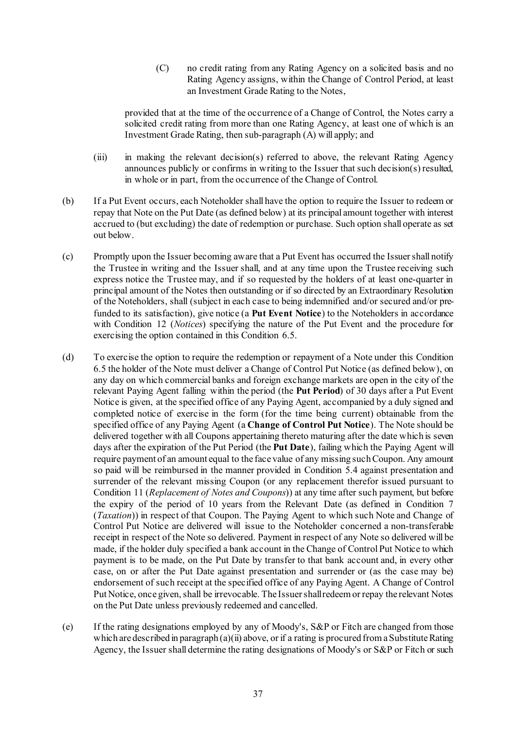(C) no credit rating from any Rating Agency on a solicited basis and no Rating Agency assigns, within the Change of Control Period, at least an Investment Grade Rating to the Notes,

provided that at the time of the occurrence of a Change of Control, the Notes carry a solicited credit rating from more than one Rating Agency, at least one of which is an Investment Grade Rating, then sub-paragraph (A) will apply; and

- (iii) in making the relevant decision(s) referred to above, the relevant Rating Agency announces publicly or confirms in writing to the Issuer that such decision(s) resulted, in whole or in part, from the occurrence of the Change of Control.
- (b) If a Put Event occurs, each Noteholder shall have the option to require the Issuer to redeem or repay that Note on the Put Date (as defined below) at its principal amount together with interest accrued to (but excluding) the date of redemption or purchase. Such option shall operate as set out below.
- (c) Promptly upon the Issuer becoming aware that a Put Event has occurred the Issuer shall notify the Trustee in writing and the Issuer shall, and at any time upon the Trustee receiving such express notice the Trustee may, and if so requested by the holders of at least one-quarter in principal amount of the Notes then outstanding or if so directed by an Extraordinary Resolution of the Noteholders, shall (subject in each case to being indemnified and/or secured and/or prefunded to its satisfaction), give notice (a **Put Event Notice**) to the Noteholders in accordance with Condition [12](#page-42-0) (*[Notices](#page-42-0)*) specifying the nature of the Put Event and the procedure for exercising the option contained in this Condition [6.5.](#page-36-0)
- (d) To exercise the option to require the redemption or repayment of a Note under this Condition [6.5](#page-36-0) the holder of the Note must deliver a Change of Control Put Notice (as defined below), on any day on which commercial banks and foreign exchange markets are open in the city of the relevant Paying Agent falling within the period (the **Put Period**) of 30 days after a Put Event Notice is given, at the specified office of any Paying Agent, accompanied by a duly signed and completed notice of exercise in the form (for the time being current) obtainable from the specified office of any Paying Agent (a **Change of Control Put Notice**). The Note should be delivered together with all Coupons appertaining thereto maturing after the date which is seven days after the expiration of the Put Period (the **Put Date**), failing which the Paying Agent will require payment of an amount equal to the face value of any missing such Coupon. Any amount so paid will be reimbursed in the manner provided in Condition [5.4](#page-33-1) against presentation and surrender of the relevant missing Coupon (or any replacement therefor issued pursuant to Condition [11](#page-42-1) (*[Replacement of Notes and Coupons](#page-42-1)*)) at any time after such payment, but before the expiry of the period of 10 years from the Relevant Date (as defined in Condition [7](#page-38-0) (*[Taxation](#page-38-0)*)) in respect of that Coupon. The Paying Agent to which such Note and Change of Control Put Notice are delivered will issue to the Noteholder concerned a non-transferable receipt in respect of the Note so delivered. Payment in respect of any Note so delivered will be made, if the holder duly specified a bank account in the Change of Control Put Notice to which payment is to be made, on the Put Date by transfer to that bank account and, in every other case, on or after the Put Date against presentation and surrender or (as the case may be) endorsement of such receipt at the specified office of any Paying Agent. A Change of Control Put Notice, once given, shall be irrevocable. The Issuer shall redeem or repay the relevant Notes on the Put Date unless previously redeemed and cancelled.
- (e) If the rating designations employed by any of Moody's, S&P or Fitch are changed from those which are described in paragraph  $(a)(ii)$  above, or if a rating is procured from a Substitute Rating Agency, the Issuer shall determine the rating designations of Moody's or S&P or Fitch or such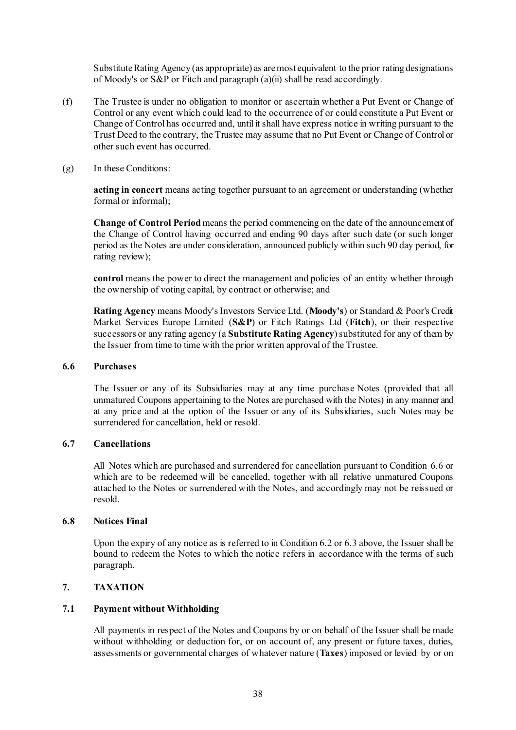Substitute Rating Agency (as appropriate) as are most equivalent to the prior rating designations of Moody's or S&P or Fitch and paragrap[h \(a\)\(ii\)](#page-36-1) shall be read accordingly.

- (f) The Trustee is under no obligation to monitor or ascertain whether a Put Event or Change of Control or any event which could lead to the occurrence of or could constitute a Put Event or Change of Control has occurred and, until it shall have express notice in writing pursuant to the Trust Deed to the contrary, the Trustee may assume that no Put Event or Change of Control or other such event has occurred.
- (g) In these Conditions:

**acting in concert** means acting together pursuant to an agreement or understanding (whether formal or informal);

**Change of Control Period** means the period commencing on the date of the announcement of the Change of Control having occurred and ending 90 days after such date (or such longer period as the Notes are under consideration, announced publicly within such 90 day period, for rating review);

**control** means the power to direct the management and policies of an entity whether through the ownership of voting capital, by contract or otherwise; and

**Rating Agency** means Moody's Investors Service Ltd. (**Moody's**) or Standard & Poor's Credit Market Services Europe Limited (**S&P**) or Fitch Ratings Ltd (**Fitch**), or their respective successors or any rating agency (a **Substitute Rating Agency**) substituted for any of them by the Issuer from time to time with the prior written approval of the Trustee.

### <span id="page-38-1"></span>**6.6 Purchases**

The Issuer or any of its Subsidiaries may at any time purchase Notes (provided that all unmatured Coupons appertaining to the Notes are purchased with the Notes) in any manner and at any price and at the option of the Issuer or any of its Subsidiaries, such Notes may be surrendered for cancellation, held or resold.

#### **6.7 Cancellations**

All Notes which are purchased and surrendered for cancellation pursuant to Condition [6.6](#page-38-1) or which are to be redeemed will be cancelled, together with all relative unmatured Coupons attached to the Notes or surrendered with the Notes, and accordingly may not be reissued or resold.

#### **6.8 Notices Final**

Upon the expiry of any notice as is referred to in Condition [6.2](#page-34-0) or [6.3](#page-35-0) above, the Issuer shall be bound to redeem the Notes to which the notice refers in accordance with the terms of such paragraph.

### <span id="page-38-0"></span>**7. TAXATION**

#### **7.1 Payment without Withholding**

All payments in respect of the Notes and Coupons by or on behalf of the Issuer shall be made without withholding or deduction for, or on account of, any present or future taxes, duties, assessments or governmental charges of whatever nature (**Taxes**) imposed or levied by or on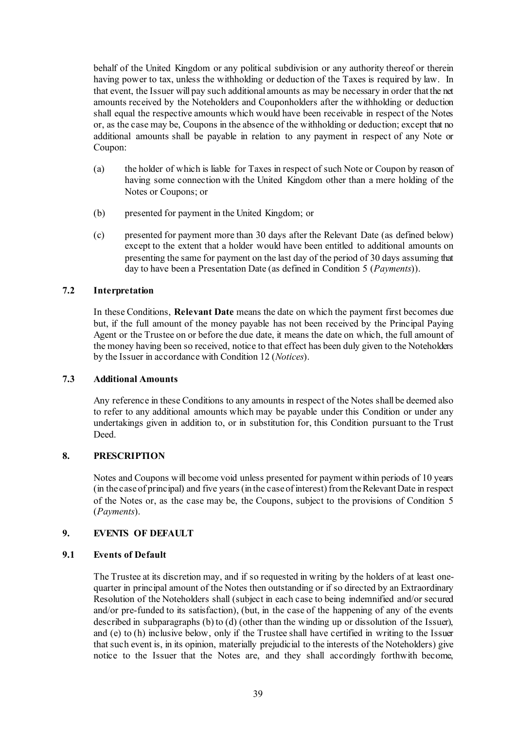behalf of the United Kingdom or any political subdivision or any authority thereof or therein having power to tax, unless the withholding or deduction of the Taxes is required by law. In that event, the Issuer will pay such additional amounts as may be necessary in order that the net amounts received by the Noteholders and Couponholders after the withholding or deduction shall equal the respective amounts which would have been receivable in respect of the Notes or, as the case may be, Coupons in the absence of the withholding or deduction; except that no additional amounts shall be payable in relation to any payment in respect of any Note or Coupon:

- (a) the holder of which is liable for Taxes in respect of such Note or Coupon by reason of having some connection with the United Kingdom other than a mere holding of the Notes or Coupons; or
- (b) presented for payment in the United Kingdom; or
- (c) presented for payment more than 30 days after the Relevant Date (as defined below) except to the extent that a holder would have been entitled to additional amounts on presenting the same for payment on the last day of the period of 30 days assuming that day to have been a Presentation Date (as defined in Condition [5](#page-32-0) (*[Payments](#page-32-0)*)).

### **7.2 Interpretation**

In these Conditions, **Relevant Date** means the date on which the payment first becomes due but, if the full amount of the money payable has not been received by the Principal Paying Agent or the Trustee on or before the due date, it means the date on which, the full amount of the money having been so received, notice to that effect has been duly given to the Noteholders by the Issuer in accordance with Conditio[n 12](#page-42-0) (*[Notices](#page-42-0)*).

#### **7.3 Additional Amounts**

Any reference in these Conditions to any amounts in respect of the Notes shall be deemed also to refer to any additional amounts which may be payable under this Condition or under any undertakings given in addition to, or in substitution for, this Condition pursuant to the Trust Deed.

## **8. PRESCRIPTION**

Notes and Coupons will become void unless presented for payment within periods of 10 years (in the case of principal) and five years (in the case of interest) from the Relevant Date in respect of the Notes or, as the case may be, the Coupons, subject to the provisions of Condition [5](#page-32-0) (*[Payments](#page-32-0)*).

## **9. EVENTS OF DEFAULT**

## **9.1 Events of Default**

The Trustee at its discretion may, and if so requested in writing by the holders of at least onequarter in principal amount of the Notes then outstanding or if so directed by an Extraordinary Resolution of the Noteholders shall (subject in each case to being indemnified and/or secured and/or pre-funded to its satisfaction), (but, in the case of the happening of any of the events described in subparagraphs [\(b\)](#page-40-0) t[o \(d\)](#page-40-1) (other than the winding up or dissolution of the Issuer), and [\(e\)](#page-40-2) to [\(h\)](#page-41-0) inclusive below, only if the Trustee shall have certified in writing to the Issuer that such event is, in its opinion, materially prejudicial to the interests of the Noteholders) give notice to the Issuer that the Notes are, and they shall accordingly forthwith become,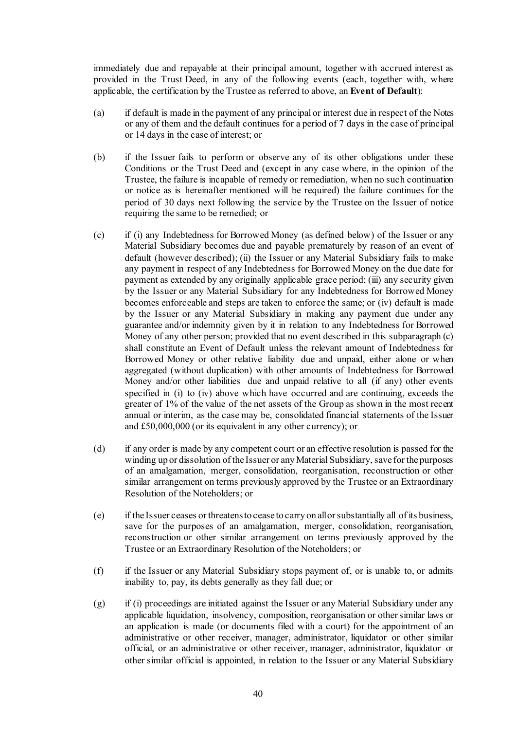immediately due and repayable at their principal amount, together with accrued interest as provided in the Trust Deed, in any of the following events (each, together with, where applicable, the certification by the Trustee as referred to above, an **Event of Default**):

- (a) if default is made in the payment of any principal or interest due in respect of the Notes or any of them and the default continues for a period of 7 days in the case of principal or 14 days in the case of interest; or
- <span id="page-40-0"></span>(b) if the Issuer fails to perform or observe any of its other obligations under these Conditions or the Trust Deed and (except in any case where, in the opinion of the Trustee, the failure is incapable of remedy or remediation, when no such continuation or notice as is hereinafter mentioned will be required) the failure continues for the period of 30 days next following the service by the Trustee on the Issuer of notice requiring the same to be remedied; or
- <span id="page-40-3"></span>(c) if (i) any Indebtedness for Borrowed Money (as defined below) of the Issuer or any Material Subsidiary becomes due and payable prematurely by reason of an event of default (however described); (ii) the Issuer or any Material Subsidiary fails to make any payment in respect of any Indebtedness for Borrowed Money on the due date for payment as extended by any originally applicable grace period; (iii) any security given by the Issuer or any Material Subsidiary for any Indebtedness for Borrowed Money becomes enforceable and steps are taken to enforce the same; or (iv) default is made by the Issuer or any Material Subsidiary in making any payment due under any guarantee and/or indemnity given by it in relation to any Indebtedness for Borrowed Money of any other person; provided that no event described in this subparagraph [\(c\)](#page-40-3) shall constitute an Event of Default unless the relevant amount of Indebtedness for Borrowed Money or other relative liability due and unpaid, either alone or when aggregated (without duplication) with other amounts of Indebtedness for Borrowed Money and/or other liabilities due and unpaid relative to all (if any) other events specified in (i) to (iv) above which have occurred and are continuing, exceeds the greater of 1% of the value of the net assets of the Group as shown in the most recent annual or interim, as the case may be, consolidated financial statements of the Issuer and £50,000,000 (or its equivalent in any other currency); or
- <span id="page-40-1"></span>(d) if any order is made by any competent court or an effective resolution is passed for the winding up or dissolution of the Issuer or any Material Subsidiary, save for the purposes of an amalgamation, merger, consolidation, reorganisation, reconstruction or other similar arrangement on terms previously approved by the Trustee or an Extraordinary Resolution of the Noteholders; or
- <span id="page-40-2"></span>(e) if the Issuer ceases or threatens to cease to carry on all or substantially all of its business, save for the purposes of an amalgamation, merger, consolidation, reorganisation, reconstruction or other similar arrangement on terms previously approved by the Trustee or an Extraordinary Resolution of the Noteholders; or
- (f) if the Issuer or any Material Subsidiary stops payment of, or is unable to, or admits inability to, pay, its debts generally as they fall due; or
- (g) if (i) proceedings are initiated against the Issuer or any Material Subsidiary under any applicable liquidation, insolvency, composition, reorganisation or other similar laws or an application is made (or documents filed with a court) for the appointment of an administrative or other receiver, manager, administrator, liquidator or other similar official, or an administrative or other receiver, manager, administrator, liquidator or other similar official is appointed, in relation to the Issuer or any Material Subsidiary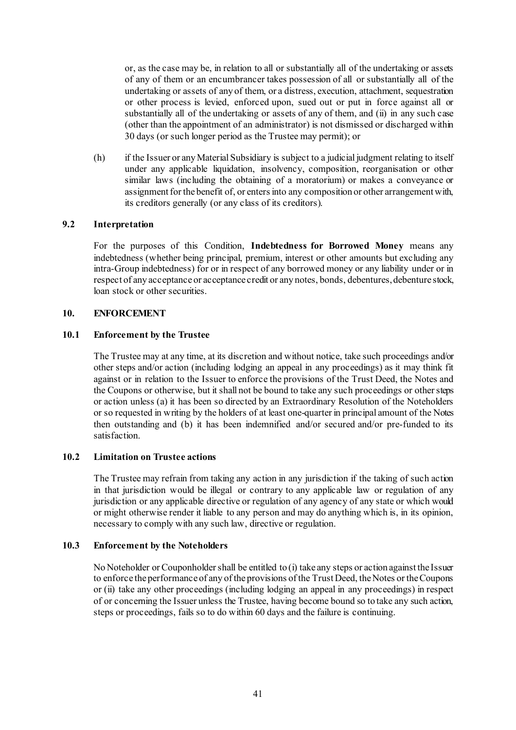or, as the case may be, in relation to all or substantially all of the undertaking or assets of any of them or an encumbrancer takes possession of all or substantially all of the undertaking or assets of any of them, or a distress, execution, attachment, sequestration or other process is levied, enforced upon, sued out or put in force against all or substantially all of the undertaking or assets of any of them, and (ii) in any such case (other than the appointment of an administrator) is not dismissed or discharged within 30 days (or such longer period as the Trustee may permit); or

<span id="page-41-0"></span>(h) if the Issuer or any Material Subsidiary is subject to a judicial judgment relating to itself under any applicable liquidation, insolvency, composition, reorganisation or other similar laws (including the obtaining of a moratorium) or makes a conveyance or assignment for the benefit of, or enters into any composition or other arrangement with, its creditors generally (or any class of its creditors).

#### **9.2 Interpretation**

For the purposes of this Condition, **Indebtedness for Borrowed Money** means any indebtedness (whether being principal, premium, interest or other amounts but excluding any intra-Group indebtedness) for or in respect of any borrowed money or any liability under or in respect of any acceptance or acceptance credit or any notes, bonds, debentures, debenture stock, loan stock or other securities.

### **10. ENFORCEMENT**

### **10.1 Enforcement by the Trustee**

The Trustee may at any time, at its discretion and without notice, take such proceedings and/or other steps and/or action (including lodging an appeal in any proceedings) as it may think fit against or in relation to the Issuer to enforce the provisions of the Trust Deed, the Notes and the Coupons or otherwise, but it shall not be bound to take any such proceedings or other steps or action unless (a) it has been so directed by an Extraordinary Resolution of the Noteholders or so requested in writing by the holders of at least one-quarter in principal amount of the Notes then outstanding and (b) it has been indemnified and/or secured and/or pre-funded to its satisfaction.

## **10.2 Limitation on Trustee actions**

The Trustee may refrain from taking any action in any jurisdiction if the taking of such action in that jurisdiction would be illegal or contrary to any applicable law or regulation of any jurisdiction or any applicable directive or regulation of any agency of any state or which would or might otherwise render it liable to any person and may do anything which is, in its opinion, necessary to comply with any such law, directive or regulation.

#### **10.3 Enforcement by the Noteholders**

No Noteholder or Couponholder shall be entitled to (i) take any steps or action against the Issuer to enforce the performance of any of the provisions of the Trust Deed, the Notes or the Coupons or (ii) take any other proceedings (including lodging an appeal in any proceedings) in respect of or concerning the Issuer unless the Trustee, having become bound so to take any such action, steps or proceedings, fails so to do within 60 days and the failure is continuing.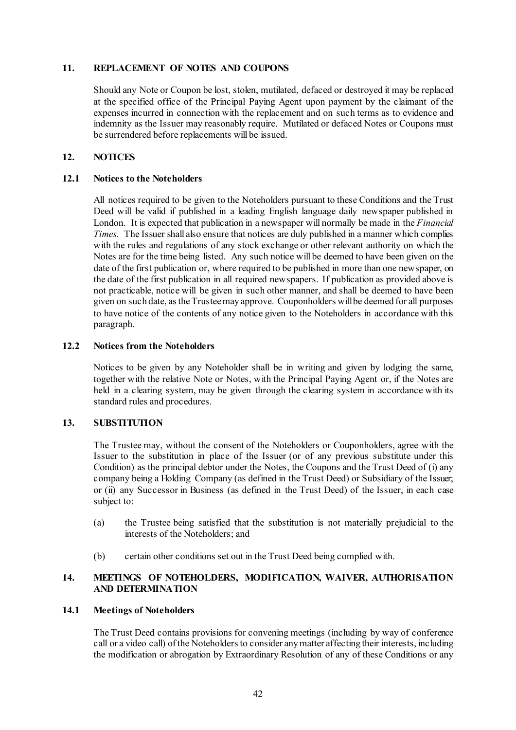#### <span id="page-42-1"></span>**11. REPLACEMENT OF NOTES AND COUPONS**

Should any Note or Coupon be lost, stolen, mutilated, defaced or destroyed it may be replaced at the specified office of the Principal Paying Agent upon payment by the claimant of the expenses incurred in connection with the replacement and on such terms as to evidence and indemnity as the Issuer may reasonably require. Mutilated or defaced Notes or Coupons must be surrendered before replacements will be issued.

# <span id="page-42-0"></span>**12. NOTICES**

#### **12.1 Notices to the Noteholders**

All notices required to be given to the Noteholders pursuant to these Conditions and the Trust Deed will be valid if published in a leading English language daily newspaper published in London. It is expected that publication in a newspaper will normally be made in the *Financial Times*. The Issuer shall also ensure that notices are duly published in a manner which complies with the rules and regulations of any stock exchange or other relevant authority on which the Notes are for the time being listed. Any such notice will be deemed to have been given on the date of the first publication or, where required to be published in more than one newspaper, on the date of the first publication in all required newspapers. If publication as provided above is not practicable, notice will be given in such other manner, and shall be deemed to have been given on such date, as the Trustee may approve. Couponholders will be deemed for all purposes to have notice of the contents of any notice given to the Noteholders in accordance with this paragraph.

#### **12.2 Notices from the Noteholders**

Notices to be given by any Noteholder shall be in writing and given by lodging the same, together with the relative Note or Notes, with the Principal Paying Agent or, if the Notes are held in a clearing system, may be given through the clearing system in accordance with its standard rules and procedures.

## **13. SUBSTITUTION**

The Trustee may, without the consent of the Noteholders or Couponholders, agree with the Issuer to the substitution in place of the Issuer (or of any previous substitute under this Condition) as the principal debtor under the Notes, the Coupons and the Trust Deed of (i) any company being a Holding Company (as defined in the Trust Deed) or Subsidiary of the Issuer; or (ii) any Successor in Business (as defined in the Trust Deed) of the Issuer, in each case subject to:

- (a) the Trustee being satisfied that the substitution is not materially prejudicial to the interests of the Noteholders; and
- (b) certain other conditions set out in the Trust Deed being complied with.

### **14. MEETINGS OF NOTEHOLDERS, MODIFICATION, WAIVER, AUTHORISATION AND DETERMINATION**

#### **14.1 Meetings of Noteholders**

The Trust Deed contains provisions for convening meetings (including by way of conference call or a video call) of the Noteholders to consider any matter affecting their interests, including the modification or abrogation by Extraordinary Resolution of any of these Conditions or any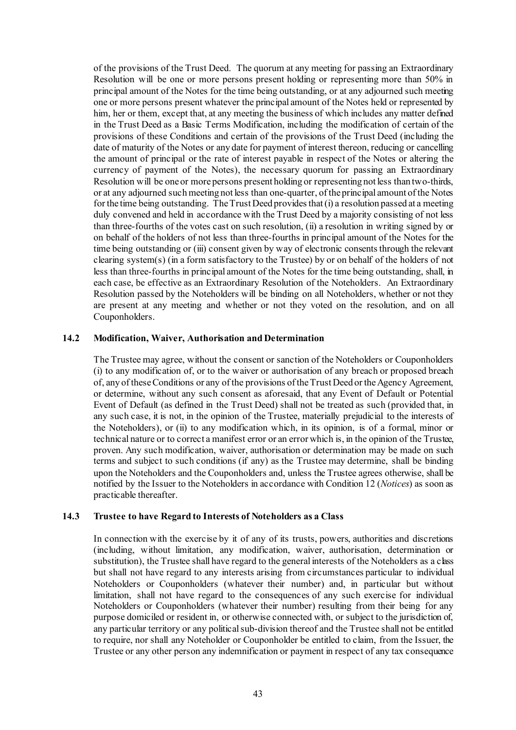of the provisions of the Trust Deed. The quorum at any meeting for passing an Extraordinary Resolution will be one or more persons present holding or representing more than 50% in principal amount of the Notes for the time being outstanding, or at any adjourned such meeting one or more persons present whatever the principal amount of the Notes held or represented by him, her or them, except that, at any meeting the business of which includes any matter defined in the Trust Deed as a Basic Terms Modification, including the modification of certain of the provisions of these Conditions and certain of the provisions of the Trust Deed (including the date of maturity of the Notes or any date for payment of interest thereon, reducing or cancelling the amount of principal or the rate of interest payable in respect of the Notes or altering the currency of payment of the Notes), the necessary quorum for passing an Extraordinary Resolution will be one or more persons present holding or representing not less than two-thirds, or at any adjourned such meeting not less than one-quarter, of the principal amount of the Notes for the time being outstanding. The Trust Deed provides that (i) a resolution passed at a meeting duly convened and held in accordance with the Trust Deed by a majority consisting of not less than three-fourths of the votes cast on such resolution, (ii) a resolution in writing signed by or on behalf of the holders of not less than three-fourths in principal amount of the Notes for the time being outstanding or (iii) consent given by way of electronic consents through the relevant clearing system(s) (in a form satisfactory to the Trustee) by or on behalf of the holders of not less than three-fourths in principal amount of the Notes for the time being outstanding, shall, in each case, be effective as an Extraordinary Resolution of the Noteholders. An Extraordinary Resolution passed by the Noteholders will be binding on all Noteholders, whether or not they are present at any meeting and whether or not they voted on the resolution, and on all Couponholders.

#### **14.2 Modification, Waiver, Authorisation and Determination**

The Trustee may agree, without the consent or sanction of the Noteholders or Couponholders (i) to any modification of, or to the waiver or authorisation of any breach or proposed breach of, any of these Conditions or any of the provisions of the Trust Deed or the Agency Agreement, or determine, without any such consent as aforesaid, that any Event of Default or Potential Event of Default (as defined in the Trust Deed) shall not be treated as such (provided that, in any such case, it is not, in the opinion of the Trustee, materially prejudicial to the interests of the Noteholders), or (ii) to any modification which, in its opinion, is of a formal, minor or technical nature or to correct a manifest error or an error which is, in the opinion of the Trustee, proven. Any such modification, waiver, authorisation or determination may be made on such terms and subject to such conditions (if any) as the Trustee may determine, shall be binding upon the Noteholders and the Couponholders and, unless the Trustee agrees otherwise, shall be notified by the Issuer to the Noteholders in accordance with Conditio[n 12](#page-42-0) (*[Notices](#page-42-0)*) as soon as practicable thereafter.

#### **14.3 Trustee to have Regard to Interests of Noteholders as a Class**

In connection with the exercise by it of any of its trusts, powers, authorities and discretions (including, without limitation, any modification, waiver, authorisation, determination or substitution), the Trustee shall have regard to the general interests of the Noteholders as a class but shall not have regard to any interests arising from circumstances particular to individual Noteholders or Couponholders (whatever their number) and, in particular but without limitation, shall not have regard to the consequences of any such exercise for individual Noteholders or Couponholders (whatever their number) resulting from their being for any purpose domiciled or resident in, or otherwise connected with, or subject to the jurisdiction of, any particular territory or any political sub-division thereof and the Trustee shall not be entitled to require, nor shall any Noteholder or Couponholder be entitled to claim, from the Issuer, the Trustee or any other person any indemnification or payment in respect of any tax consequence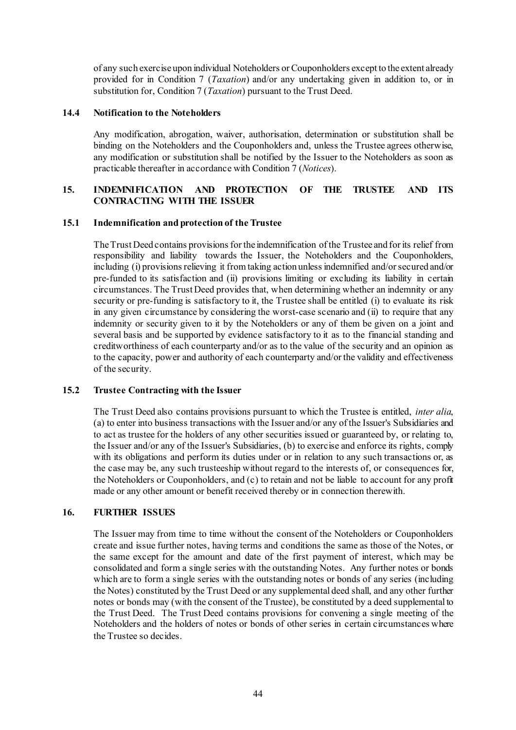of any such exercise upon individual Noteholders or Couponholders except to the extent already provided for in Condition [7](#page-38-0) (*[Taxation](#page-38-0)*) and/or any undertaking given in addition to, or in substitution for, Condition [7](#page-38-0) (*[Taxation](#page-38-0)*) pursuant to the Trust Deed.

#### **14.4 Notification to the Noteholders**

Any modification, abrogation, waiver, authorisation, determination or substitution shall be binding on the Noteholders and the Couponholders and, unless the Trustee agrees otherwise, any modification or substitution shall be notified by the Issuer to the Noteholders as soon as practicable thereafter in accordance with Conditio[n 7](#page-38-0) (*[Notices](#page-42-0)*).

### **15. INDEMNIFICATION AND PROTECTION OF THE TRUSTEE AND ITS CONTRACTING WITH THE ISSUER**

#### **15.1 Indemnification and protection of the Trustee**

The Trust Deed contains provisions for the indemnification of the Trustee and for its relief from responsibility and liability towards the Issuer, the Noteholders and the Couponholders, including (i) provisions relieving it from taking action unless indemnified and/or secured and/or pre-funded to its satisfaction and (ii) provisions limiting or excluding its liability in certain circumstances. The Trust Deed provides that, when determining whether an indemnity or any security or pre-funding is satisfactory to it, the Trustee shall be entitled (i) to evaluate its risk in any given circumstance by considering the worst-case scenario and (ii) to require that any indemnity or security given to it by the Noteholders or any of them be given on a joint and several basis and be supported by evidence satisfactory to it as to the financial standing and creditworthiness of each counterparty and/or as to the value of the security and an opinion as to the capacity, power and authority of each counterparty and/or the validity and effectiveness of the security.

#### **15.2 Trustee Contracting with the Issuer**

The Trust Deed also contains provisions pursuant to which the Trustee is entitled, *inter alia*, (a) to enter into business transactions with the Issuer and/or any of the Issuer's Subsidiaries and to act as trustee for the holders of any other securities issued or guaranteed by, or relating to, the Issuer and/or any of the Issuer's Subsidiaries, (b) to exercise and enforce its rights, comply with its obligations and perform its duties under or in relation to any such transactions or, as the case may be, any such trusteeship without regard to the interests of, or consequences for, the Noteholders or Couponholders, and (c) to retain and not be liable to account for any profit made or any other amount or benefit received thereby or in connection therewith.

#### **16. FURTHER ISSUES**

The Issuer may from time to time without the consent of the Noteholders or Couponholders create and issue further notes, having terms and conditions the same as those of the Notes, or the same except for the amount and date of the first payment of interest, which may be consolidated and form a single series with the outstanding Notes. Any further notes or bonds which are to form a single series with the outstanding notes or bonds of any series (including the Notes) constituted by the Trust Deed or any supplemental deed shall, and any other further notes or bonds may (with the consent of the Trustee), be constituted by a deed supplemental to the Trust Deed. The Trust Deed contains provisions for convening a single meeting of the Noteholders and the holders of notes or bonds of other series in certain circumstances where the Trustee so decides.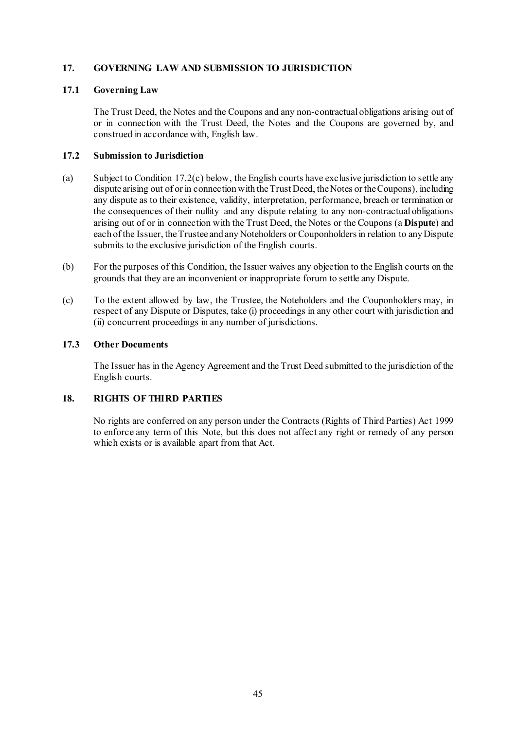## **17. GOVERNING LAW AND SUBMISSION TO JURISDICTION**

#### **17.1 Governing Law**

The Trust Deed, the Notes and the Coupons and any non-contractual obligations arising out of or in connection with the Trust Deed, the Notes and the Coupons are governed by, and construed in accordance with, English law.

#### **17.2 Submission to Jurisdiction**

- (a) Subject to Condition [17.2\(c\) below,](#page-45-0) the English courts have exclusive jurisdiction to settle any dispute arising out of or in connection with the Trust Deed, the Notes or the Coupons), including any dispute as to their existence, validity, interpretation, performance, breach or termination or the consequences of their nullity and any dispute relating to any non-contractual obligations arising out of or in connection with the Trust Deed, the Notes or the Coupons (a **Dispute**) and each of the Issuer, the Trustee and any Noteholders or Couponholders in relation to any Dispute submits to the exclusive jurisdiction of the English courts.
- (b) For the purposes of this Condition, the Issuer waives any objection to the English courts on the grounds that they are an inconvenient or inappropriate forum to settle any Dispute.
- <span id="page-45-0"></span>(c) To the extent allowed by law, the Trustee, the Noteholders and the Couponholders may, in respect of any Dispute or Disputes, take (i) proceedings in any other court with jurisdiction and (ii) concurrent proceedings in any number of jurisdictions.

### **17.3 Other Documents**

The Issuer has in the Agency Agreement and the Trust Deed submitted to the jurisdiction of the English courts.

## **18. RIGHTS OF THIRD PARTIES**

No rights are conferred on any person under the Contracts (Rights of Third Parties) Act 1999 to enforce any term of this Note, but this does not affect any right or remedy of any person which exists or is available apart from that Act.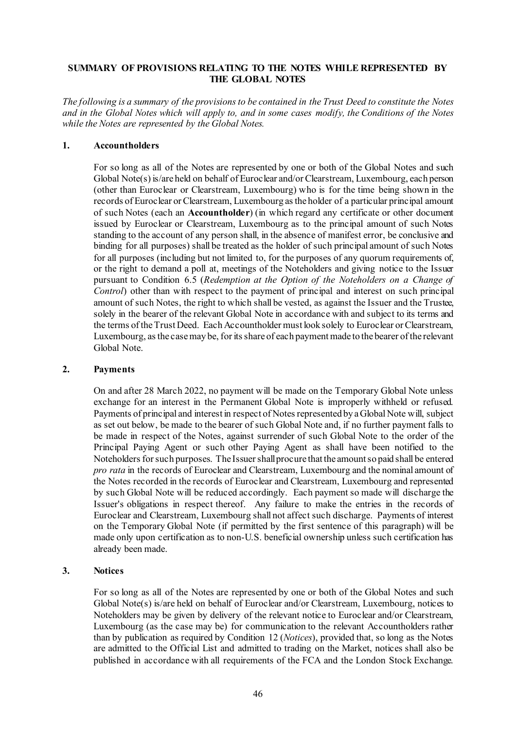### **SUMMARY OF PROVISIONS RELATING TO THE NOTES WHILE REPRESENTED BY THE GLOBAL NOTES**

*The following is a summary of the provisions to be contained in the Trust Deed to constitute the Notes and in the Global Notes which will apply to, and in some cases modify, the Conditions of the Notes while the Notes are represented by the Global Notes.*

#### **1. Accountholders**

For so long as all of the Notes are represented by one or both of the Global Notes and such Global Note(s) is/are held on behalf of Euroclear and/or Clearstream, Luxembourg, each person (other than Euroclear or Clearstream, Luxembourg) who is for the time being shown in the records of Euroclear or Clearstream, Luxembourg as the holder of a particular principal amount of such Notes (each an **Accountholder**) (in which regard any certificate or other document issued by Euroclear or Clearstream, Luxembourg as to the principal amount of such Notes standing to the account of any person shall, in the absence of manifest error, be conclusive and binding for all purposes) shall be treated as the holder of such principal amount of such Notes for all purposes (including but not limited to, for the purposes of any quorum requirements of, or the right to demand a poll at, meetings of the Noteholders and giving notice to the Issuer pursuant to Condition [6.5](#page-36-0) (*Redemption at the Option of the Noteholders on a Change of Control*) other than with respect to the payment of principal and interest on such principal amount of such Notes, the right to which shall be vested, as against the Issuer and the Trustee, solely in the bearer of the relevant Global Note in accordance with and subject to its terms and the terms of the Trust Deed. Each Accountholder must look solely to Euroclear or Clearstream, Luxembourg, as the case may be, for its share of each payment made to the bearer of the relevant Global Note.

#### **2. Payments**

On and after 28 March 2022, no payment will be made on the Temporary Global Note unless exchange for an interest in the Permanent Global Note is improperly withheld or refused. Payments of principal and interest in respect of Notes represented by a Global Note will, subject as set out below, be made to the bearer of such Global Note and, if no further payment falls to be made in respect of the Notes, against surrender of such Global Note to the order of the Principal Paying Agent or such other Paying Agent as shall have been notified to the Noteholders for such purposes. The Issuer shall procure that the amount so paid shall be entered *pro rata* in the records of Euroclear and Clearstream, Luxembourg and the nominal amount of the Notes recorded in the records of Euroclear and Clearstream, Luxembourg and represented by such Global Note will be reduced accordingly. Each payment so made will discharge the Issuer's obligations in respect thereof. Any failure to make the entries in the records of Euroclear and Clearstream, Luxembourg shall not affect such discharge. Payments of interest on the Temporary Global Note (if permitted by the first sentence of this paragraph) will be made only upon certification as to non-U.S. beneficial ownership unless such certification has already been made.

#### **3. Notices**

For so long as all of the Notes are represented by one or both of the Global Notes and such Global Note(s) is/are held on behalf of Euroclear and/or Clearstream, Luxembourg, notices to Noteholders may be given by delivery of the relevant notice to Euroclear and/or Clearstream, Luxembourg (as the case may be) for communication to the relevant Accountholders rather than by publication as required by Condition [12](#page-42-0) (*Notices*), provided that, so long as the Notes are admitted to the Official List and admitted to trading on the Market, notices shall also be published in accordance with all requirements of the FCA and the London Stock Exchange.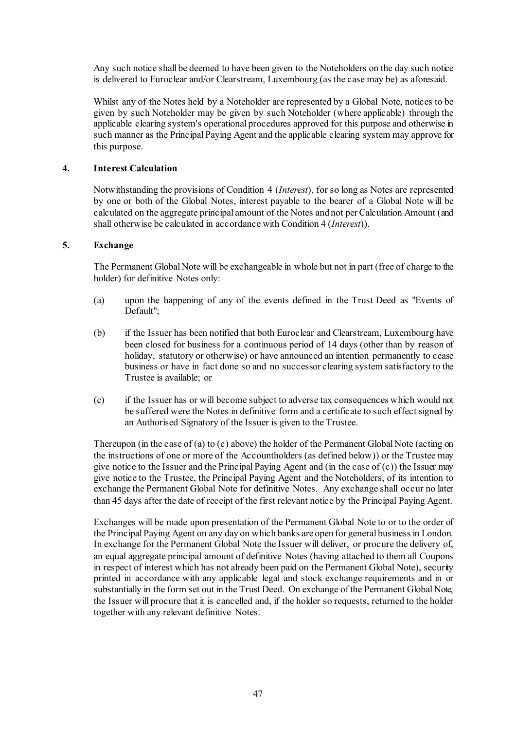Any such notice shall be deemed to have been given to the Noteholders on the day such notice is delivered to Euroclear and/or Clearstream, Luxembourg (as the case may be) as aforesaid.

Whilst any of the Notes held by a Noteholder are represented by a Global Note, notices to be given by such Noteholder may be given by such Noteholder (where applicable) through the applicable clearing system's operational procedures approved for this purpose and otherwise in such manner as the Principal Paying Agent and the applicable clearing system may approve for this purpose.

#### **4. Interest Calculation**

Notwithstanding the provisions of Condition [4](#page-32-1) (*Interest*), for so long as Notes are represented by one or both of the Global Notes, interest payable to the bearer of a Global Note will be calculated on the aggregate principal amount of the Notes and not per Calculation Amount (and shall otherwise be calculated in accordance with Conditio[n 4](#page-32-1) (*Interest*)).

#### **5. Exchange**

The Permanent Global Note will be exchangeable in whole but not in part (free of charge to the holder) for definitive Notes only:

- (a) upon the happening of any of the events defined in the Trust Deed as "Events of Default";
- (b) if the Issuer has been notified that both Euroclear and Clearstream, Luxembourg have been closed for business for a continuous period of 14 days (other than by reason of holiday, statutory or otherwise) or have announced an intention permanently to cease business or have in fact done so and no successor clearing system satisfactory to the Trustee is available; or
- (c) if the Issuer has or will become subject to adverse tax consequences which would not be suffered were the Notes in definitive form and a certificate to such effect signed by an Authorised Signatory of the Issuer is given to the Trustee.

Thereupon (in the case of (a) to (c) above) the holder of the Permanent Global Note (acting on the instructions of one or more of the Accountholders (as defined below)) or the Trustee may give notice to the Issuer and the Principal Paying Agent and (in the case of (c)) the Issuer may give notice to the Trustee, the Principal Paying Agent and the Noteholders, of its intention to exchange the Permanent Global Note for definitive Notes. Any exchange shall occur no later than 45 days after the date of receipt of the first relevant notice by the Principal Paying Agent.

Exchanges will be made upon presentation of the Permanent Global Note to or to the order of the Principal Paying Agent on any day on which banks are open for general business in London. In exchange for the Permanent Global Note the Issuer will deliver, or procure the delivery of, an equal aggregate principal amount of definitive Notes (having attached to them all Coupons in respect of interest which has not already been paid on the Permanent Global Note), security printed in accordance with any applicable legal and stock exchange requirements and in or substantially in the form set out in the Trust Deed. On exchange of the Permanent Global Note, the Issuer will procure that it is cancelled and, if the holder so requests, returned to the holder together with any relevant definitive Notes.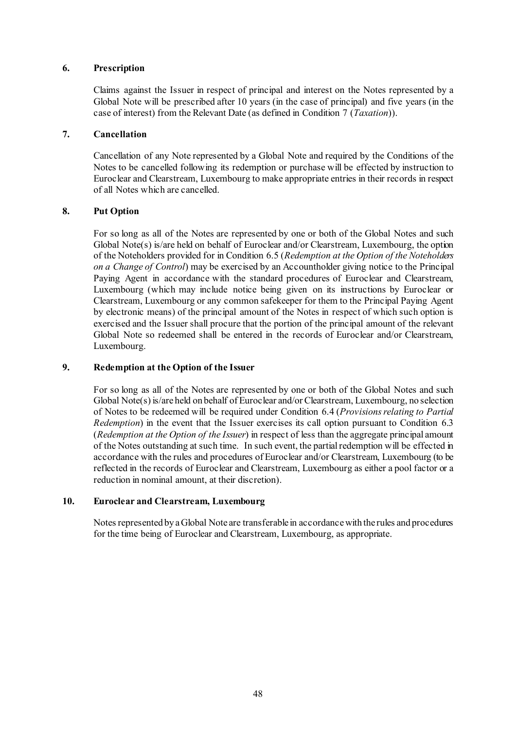#### **6. Prescription**

Claims against the Issuer in respect of principal and interest on the Notes represented by a Global Note will be prescribed after 10 years (in the case of principal) and five years (in the case of interest) from the Relevant Date (as defined in Condition [7](#page-38-0) (*Taxation*)).

### **7. Cancellation**

Cancellation of any Note represented by a Global Note and required by the Conditions of the Notes to be cancelled following its redemption or purchase will be effected by instruction to Euroclear and Clearstream, Luxembourg to make appropriate entries in their records in respect of all Notes which are cancelled.

### **8. Put Option**

For so long as all of the Notes are represented by one or both of the Global Notes and such Global Note(s) is/are held on behalf of Euroclear and/or Clearstream, Luxembourg, the option of the Noteholders provided for in Condition [6.5](#page-36-0) (*Redemption at the Option of the Noteholders on a Change of Control*) may be exercised by an Accountholder giving notice to the Principal Paying Agent in accordance with the standard procedures of Euroclear and Clearstream, Luxembourg (which may include notice being given on its instructions by Euroclear or Clearstream, Luxembourg or any common safekeeper for them to the Principal Paying Agent by electronic means) of the principal amount of the Notes in respect of which such option is exercised and the Issuer shall procure that the portion of the principal amount of the relevant Global Note so redeemed shall be entered in the records of Euroclear and/or Clearstream, Luxembourg.

## **9. Redemption at the Option of the Issuer**

For so long as all of the Notes are represented by one or both of the Global Notes and such Global Note(s) is/are held on behalf of Euroclear and/or Clearstream, Luxembourg, no selection of Notes to be redeemed will be required under Condition [6.4](#page-36-2) (*Provisions relating to Partial Redemption*) in the event that the Issuer exercises its call option pursuant to Condition [6.3](#page-35-0) (*Redemption at the Option of the Issuer*) in respect of less than the aggregate principal amount of the Notes outstanding at such time. In such event, the partial redemption will be effected in accordance with the rules and procedures of Euroclear and/or Clearstream, Luxembourg (to be reflected in the records of Euroclear and Clearstream, Luxembourg as either a pool factor or a reduction in nominal amount, at their discretion).

#### **10. Euroclear and Clearstream, Luxembourg**

Notes represented by a Global Note are transferable in accordance with the rules and procedures for the time being of Euroclear and Clearstream, Luxembourg, as appropriate.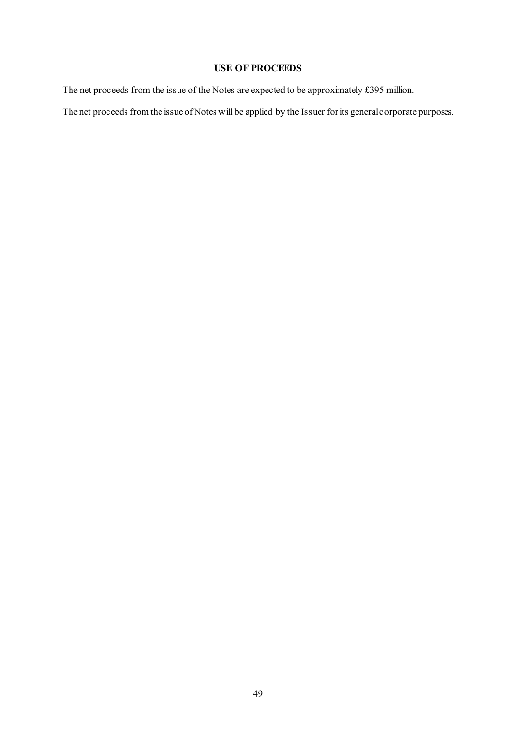# **USE OF PROCEEDS**

The net proceeds from the issue of the Notes are expected to be approximately £395 million.

The net proceeds from the issue of Notes will be applied by the Issuer for its general corporate purposes.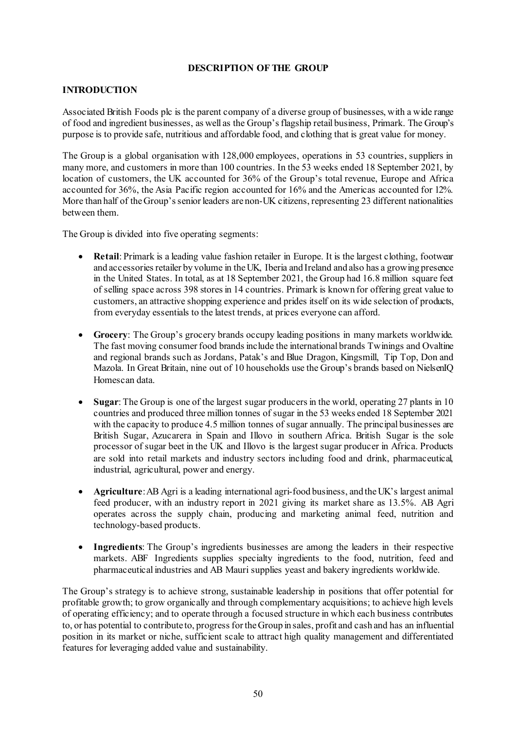### **DESCRIPTION OF THE GROUP**

## **INTRODUCTION**

Associated British Foods plc is the parent company of a diverse group of businesses, with a wide range of food and ingredient businesses, as well as the Group's flagship retail business, Primark. The Group's purpose is to provide safe, nutritious and affordable food, and clothing that is great value for money.

The Group is a global organisation with 128,000 employees, operations in 53 countries, suppliers in many more, and customers in more than 100 countries. In the 53 weeks ended 18 September 2021, by location of customers, the UK accounted for 36% of the Group's total revenue, Europe and Africa accounted for 36%, the Asia Pacific region accounted for 16% and the Americas accounted for 12%. More than half of the Group's senior leaders are non-UK citizens, representing 23 different nationalities between them.

The Group is divided into five operating segments:

- **Retail**: Primark is a leading value fashion retailer in Europe. It is the largest clothing, footwear and accessories retailer by volume in the UK, Iberia and Ireland and also has a growing presence in the United States. In total, as at 18 September 2021, the Group had 16.8 million square feet of selling space across 398 stores in 14 countries. Primark is known for offering great value to customers, an attractive shopping experience and prides itself on its wide selection of products, from everyday essentials to the latest trends, at prices everyone can afford.
- **Grocery**: The Group's grocery brands occupy leading positions in many markets worldwide. The fast moving consumer food brands include the international brands Twinings and Ovaltine and regional brands such as Jordans, Patak's and Blue Dragon, Kingsmill, Tip Top, Don and Mazola. In Great Britain, nine out of 10 households use the Group's brands based on NielsenIQ Homescan data.
- **Sugar:** The Group is one of the largest sugar producers in the world, operating 27 plants in 10 countries and produced three million tonnes of sugar in the 53 weeks ended 18 September 2021 with the capacity to produce 4.5 million tonnes of sugar annually. The principal businesses are British Sugar, Azucarera in Spain and Illovo in southern Africa. British Sugar is the sole processor of sugar beet in the UK and Illovo is the largest sugar producer in Africa. Products are sold into retail markets and industry sectors including food and drink, pharmaceutical, industrial, agricultural, power and energy.
- **Agriculture**: AB Agri is a leading international agri-food business, and the UK's largest animal feed producer, with an industry report in 2021 giving its market share as 13.5%. AB Agri operates across the supply chain, producing and marketing animal feed, nutrition and technology-based products.
- **Ingredients**: The Group's ingredients businesses are among the leaders in their respective markets. ABF Ingredients supplies specialty ingredients to the food, nutrition, feed and pharmaceutical industries and AB Mauri supplies yeast and bakery ingredients worldwide.

The Group's strategy is to achieve strong, sustainable leadership in positions that offer potential for profitable growth; to grow organically and through complementary acquisitions; to achieve high levels of operating efficiency; and to operate through a focused structure in which each business contributes to, or has potential to contribute to, progress for the Group in sales, profit and cash and has an influential position in its market or niche, sufficient scale to attract high quality management and differentiated features for leveraging added value and sustainability.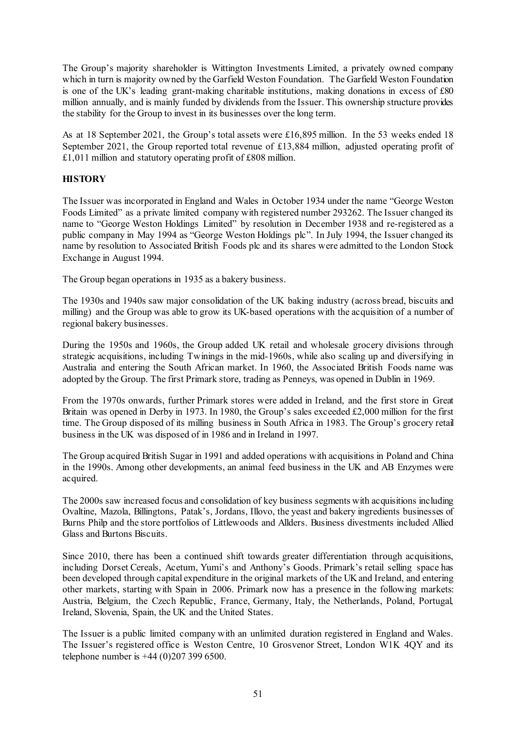The Group's majority shareholder is Wittington Investments Limited, a privately owned company which in turn is majority owned by the Garfield Weston Foundation. The Garfield Weston Foundation is one of the UK's leading grant-making charitable institutions, making donations in excess of £80 million annually, and is mainly funded by dividends from the Issuer. This ownership structure provides the stability for the Group to invest in its businesses over the long term.

As at 18 September 2021, the Group's total assets were £16,895 million. In the 53 weeks ended 18 September 2021, the Group reported total revenue of £13,884 million, adjusted operating profit of £1,011 million and statutory operating profit of £808 million.

### **HISTORY**

The Issuer was incorporated in England and Wales in October 1934 under the name "George Weston Foods Limited" as a private limited company with registered number 293262. The Issuer changed its name to "George Weston Holdings Limited" by resolution in December 1938 and re-registered as a public company in May 1994 as "George Weston Holdings plc". In July 1994, the Issuer changed its name by resolution to Associated British Foods plc and its shares were admitted to the London Stock Exchange in August 1994.

The Group began operations in 1935 as a bakery business.

The 1930s and 1940s saw major consolidation of the UK baking industry (across bread, biscuits and milling) and the Group was able to grow its UK-based operations with the acquisition of a number of regional bakery businesses.

During the 1950s and 1960s, the Group added UK retail and wholesale grocery divisions through strategic acquisitions, including Twinings in the mid-1960s, while also scaling up and diversifying in Australia and entering the South African market. In 1960, the Associated British Foods name was adopted by the Group. The first Primark store, trading as Penneys, was opened in Dublin in 1969.

From the 1970s onwards, further Primark stores were added in Ireland, and the first store in Great Britain was opened in Derby in 1973. In 1980, the Group's sales exceeded £2,000 million for the first time. The Group disposed of its milling business in South Africa in 1983. The Group's grocery retail business in the UK was disposed of in 1986 and in Ireland in 1997.

The Group acquired British Sugar in 1991 and added operations with acquisitions in Poland and China in the 1990s. Among other developments, an animal feed business in the UK and AB Enzymes were acquired.

The 2000s saw increased focus and consolidation of key business segments with acquisitions including Ovaltine, Mazola, Billingtons, Patak's, Jordans, Illovo, the yeast and bakery ingredients businesses of Burns Philp and the store portfolios of Littlewoods and Allders. Business divestments included Allied Glass and Burtons Biscuits.

Since 2010, there has been a continued shift towards greater differentiation through acquisitions, including Dorset Cereals, Acetum, Yumi's and Anthony's Goods. Primark's retail selling space has been developed through capital expenditure in the original markets of the UK and Ireland, and entering other markets, starting with Spain in 2006. Primark now has a presence in the following markets: Austria, Belgium, the Czech Republic, France, Germany, Italy, the Netherlands, Poland, Portugal, Ireland, Slovenia, Spain, the UK and the United States.

The Issuer is a public limited company with an unlimited duration registered in England and Wales. The Issuer's registered office is Weston Centre, 10 Grosvenor Street, London W1K 4QY and its telephone number is +44 (0)207 399 6500.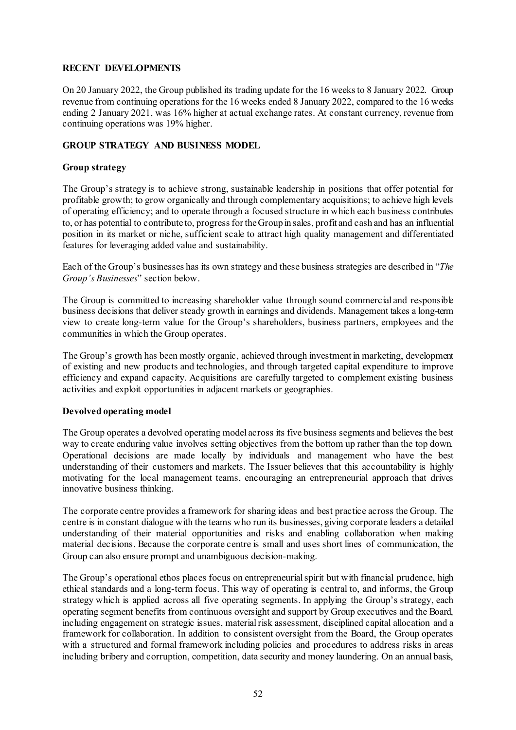### **RECENT DEVELOPMENTS**

On 20 January 2022, the Group published its trading update for the 16 weeks to 8 January 2022. Group revenue from continuing operations for the 16 weeks ended 8 January 2022, compared to the 16 weeks ending 2 January 2021, was 16% higher at actual exchange rates. At constant currency, revenue from continuing operations was 19% higher.

### **GROUP STRATEGY AND BUSINESS MODEL**

### **Group strategy**

The Group's strategy is to achieve strong, sustainable leadership in positions that offer potential for profitable growth; to grow organically and through complementary acquisitions; to achieve high levels of operating efficiency; and to operate through a focused structure in which each business contributes to, or has potential to contribute to, progress for the Group in sales, profit and cash and has an influential position in its market or niche, sufficient scale to attract high quality management and differentiated features for leveraging added value and sustainability.

Each of the Group's businesses has its own strategy and these business strategies are described in "*The Group's Businesses*" section below.

The Group is committed to increasing shareholder value through sound commercial and responsible business decisions that deliver steady growth in earnings and dividends. Management takes a long-term view to create long-term value for the Group's shareholders, business partners, employees and the communities in which the Group operates.

The Group's growth has been mostly organic, achieved through investment in marketing, development of existing and new products and technologies, and through targeted capital expenditure to improve efficiency and expand capacity. Acquisitions are carefully targeted to complement existing business activities and exploit opportunities in adjacent markets or geographies.

#### **Devolved operating model**

The Group operates a devolved operating model across its five business segments and believes the best way to create enduring value involves setting objectives from the bottom up rather than the top down. Operational decisions are made locally by individuals and management who have the best understanding of their customers and markets. The Issuer believes that this accountability is highly motivating for the local management teams, encouraging an entrepreneurial approach that drives innovative business thinking.

The corporate centre provides a framework for sharing ideas and best practice across the Group. The centre is in constant dialogue with the teams who run its businesses, giving corporate leaders a detailed understanding of their material opportunities and risks and enabling collaboration when making material decisions. Because the corporate centre is small and uses short lines of communication, the Group can also ensure prompt and unambiguous decision-making.

The Group's operational ethos places focus on entrepreneurial spirit but with financial prudence, high ethical standards and a long-term focus. This way of operating is central to, and informs, the Group strategy which is applied across all five operating segments. In applying the Group's strategy, each operating segment benefits from continuous oversight and support by Group executives and the Board, including engagement on strategic issues, material risk assessment, disciplined capital allocation and a framework for collaboration. In addition to consistent oversight from the Board, the Group operates with a structured and formal framework including policies and procedures to address risks in areas including bribery and corruption, competition, data security and money laundering. On an annual basis,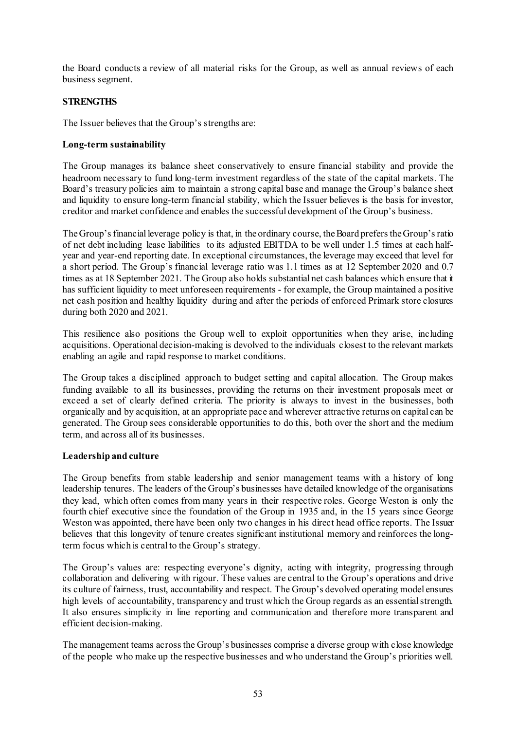the Board conducts a review of all material risks for the Group, as well as annual reviews of each business segment.

## **STRENGTHS**

The Issuer believes that the Group's strengths are:

### **Long-term sustainability**

The Group manages its balance sheet conservatively to ensure financial stability and provide the headroom necessary to fund long-term investment regardless of the state of the capital markets. The Board's treasury policies aim to maintain a strong capital base and manage the Group's balance sheet and liquidity to ensure long-term financial stability, which the Issuer believes is the basis for investor, creditor and market confidence and enables the successful development of the Group's business.

The Group's financial leverage policy is that, in the ordinary course, the Board prefers the Group's ratio of net debt including lease liabilities to its adjusted EBITDA to be well under 1.5 times at each halfyear and year-end reporting date. In exceptional circumstances, the leverage may exceed that level for a short period. The Group's financial leverage ratio was 1.1 times as at 12 September 2020 and 0.7 times as at 18 September 2021. The Group also holds substantial net cash balances which ensure that it has sufficient liquidity to meet unforeseen requirements - for example, the Group maintained a positive net cash position and healthy liquidity during and after the periods of enforced Primark store closures during both 2020 and 2021.

This resilience also positions the Group well to exploit opportunities when they arise, including acquisitions. Operational decision-making is devolved to the individuals closest to the relevant markets enabling an agile and rapid response to market conditions.

The Group takes a disciplined approach to budget setting and capital allocation. The Group makes funding available to all its businesses, providing the returns on their investment proposals meet or exceed a set of clearly defined criteria. The priority is always to invest in the businesses, both organically and by acquisition, at an appropriate pace and wherever attractive returns on capital can be generated. The Group sees considerable opportunities to do this, both over the short and the medium term, and across all of its businesses.

## **Leadership and culture**

The Group benefits from stable leadership and senior management teams with a history of long leadership tenures. The leaders of the Group's businesses have detailed knowledge of the organisations they lead, which often comes from many years in their respective roles. George Weston is only the fourth chief executive since the foundation of the Group in 1935 and, in the 15 years since George Weston was appointed, there have been only two changes in his direct head office reports. The Issuer believes that this longevity of tenure creates significant institutional memory and reinforces the longterm focus which is central to the Group's strategy.

The Group's values are: respecting everyone's dignity, acting with integrity, progressing through collaboration and delivering with rigour. These values are central to the Group's operations and drive its culture of fairness, trust, accountability and respect. The Group's devolved operating model ensures high levels of accountability, transparency and trust which the Group regards as an essential strength. It also ensures simplicity in line reporting and communication and therefore more transparent and efficient decision-making.

The management teams across the Group's businesses comprise a diverse group with close knowledge of the people who make up the respective businesses and who understand the Group's priorities well.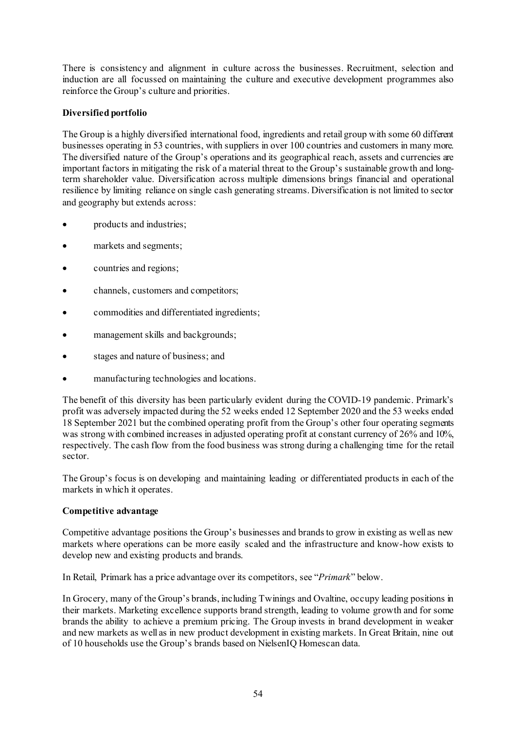There is consistency and alignment in culture across the businesses. Recruitment, selection and induction are all focussed on maintaining the culture and executive development programmes also reinforce the Group's culture and priorities.

# **Diversified portfolio**

The Group is a highly diversified international food, ingredients and retail group with some 60 different businesses operating in 53 countries, with suppliers in over 100 countries and customers in many more. The diversified nature of the Group's operations and its geographical reach, assets and currencies are important factors in mitigating the risk of a material threat to the Group's sustainable growth and longterm shareholder value. Diversification across multiple dimensions brings financial and operational resilience by limiting reliance on single cash generating streams. Diversification is not limited to sector and geography but extends across:

- products and industries;
- markets and segments;
- countries and regions;
- channels, customers and competitors;
- commodities and differentiated ingredients;
- management skills and backgrounds;
- stages and nature of business; and
- manufacturing technologies and locations.

The benefit of this diversity has been particularly evident during the COVID-19 pandemic. Primark's profit was adversely impacted during the 52 weeks ended 12 September 2020 and the 53 weeks ended 18 September 2021 but the combined operating profit from the Group's other four operating segments was strong with combined increases in adjusted operating profit at constant currency of 26% and 10%, respectively. The cash flow from the food business was strong during a challenging time for the retail sector.

The Group's focus is on developing and maintaining leading or differentiated products in each of the markets in which it operates.

## **Competitive advantage**

Competitive advantage positions the Group's businesses and brands to grow in existing as well as new markets where operations can be more easily scaled and the infrastructure and know-how exists to develop new and existing products and brands.

In Retail, Primark has a price advantage over its competitors, see "*Primark*" below.

In Grocery, many of the Group's brands, including Twinings and Ovaltine, occupy leading positions in their markets. Marketing excellence supports brand strength, leading to volume growth and for some brands the ability to achieve a premium pricing. The Group invests in brand development in weaker and new markets as well as in new product development in existing markets. In Great Britain, nine out of 10 households use the Group's brands based on NielsenIQ Homescan data.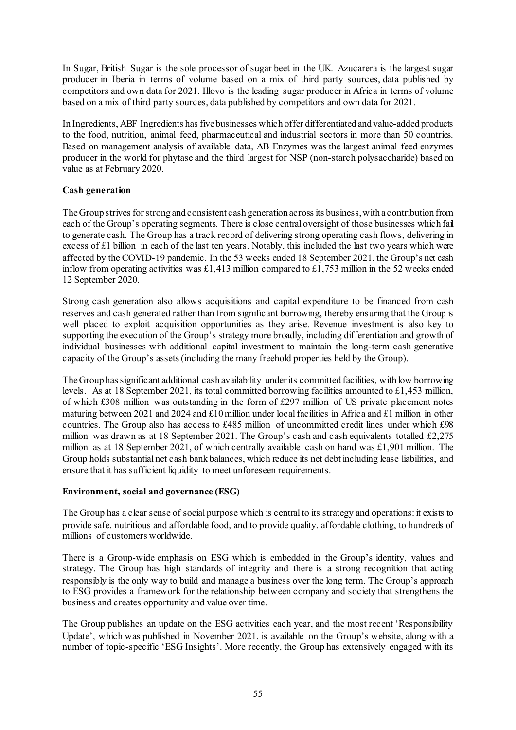In Sugar, British Sugar is the sole processor of sugar beet in the UK. Azucarera is the largest sugar producer in Iberia in terms of volume based on a mix of third party sources, data published by competitors and own data for 2021. Illovo is the leading sugar producer in Africa in terms of volume based on a mix of third party sources, data published by competitors and own data for 2021.

In Ingredients, ABF Ingredients has five businesses which offer differentiated and value-added products to the food, nutrition, animal feed, pharmaceutical and industrial sectors in more than 50 countries. Based on management analysis of available data, AB Enzymes was the largest animal feed enzymes producer in the world for phytase and the third largest for NSP (non-starch polysaccharide) based on value as at February 2020.

# **Cash generation**

The Group strives for strong and consistent cash generation across its business, with a contribution from each of the Group's operating segments. There is close central oversight of those businesses which fail to generate cash. The Group has a track record of delivering strong operating cash flows, delivering in excess of £1 billion in each of the last ten years. Notably, this included the last two years which were affected by the COVID-19 pandemic. In the 53 weeks ended 18 September 2021, the Group's net cash inflow from operating activities was £1,413 million compared to £1,753 million in the 52 weeks ended 12 September 2020.

Strong cash generation also allows acquisitions and capital expenditure to be financed from cash reserves and cash generated rather than from significant borrowing, thereby ensuring that the Group is well placed to exploit acquisition opportunities as they arise. Revenue investment is also key to supporting the execution of the Group's strategy more broadly, including differentiation and growth of individual businesses with additional capital investment to maintain the long-term cash generative capacity of the Group's assets (including the many freehold properties held by the Group).

The Group has significant additional cash availability under its committed facilities, with low borrowing levels. As at 18 September 2021, its total committed borrowing facilities amounted to £1,453 million, of which £308 million was outstanding in the form of £297 million of US private placement notes maturing between 2021 and 2024 and  $\pounds 10$  million under local facilities in Africa and  $\pounds 1$  million in other countries. The Group also has access to £485 million of uncommitted credit lines under which £98 million was drawn as at 18 September 2021. The Group's cash and cash equivalents totalled £2,275 million as at 18 September 2021, of which centrally available cash on hand was £1,901 million. The Group holds substantial net cash bank balances, which reduce its net debt including lease liabilities, and ensure that it has sufficient liquidity to meet unforeseen requirements.

## **Environment, social and governance (ESG)**

The Group has a clear sense of social purpose which is central to its strategy and operations: it exists to provide safe, nutritious and affordable food, and to provide quality, affordable clothing, to hundreds of millions of customers worldwide.

There is a Group-wide emphasis on ESG which is embedded in the Group's identity, values and strategy. The Group has high standards of integrity and there is a strong recognition that acting responsibly is the only way to build and manage a business over the long term. The Group's approach to ESG provides a framework for the relationship between company and society that strengthens the business and creates opportunity and value over time.

The Group publishes an update on the ESG activities each year, and the most recent 'Responsibility Update', which was published in November 2021, is available on the Group's website, along with a number of topic-specific 'ESG Insights'. More recently, the Group has extensively engaged with its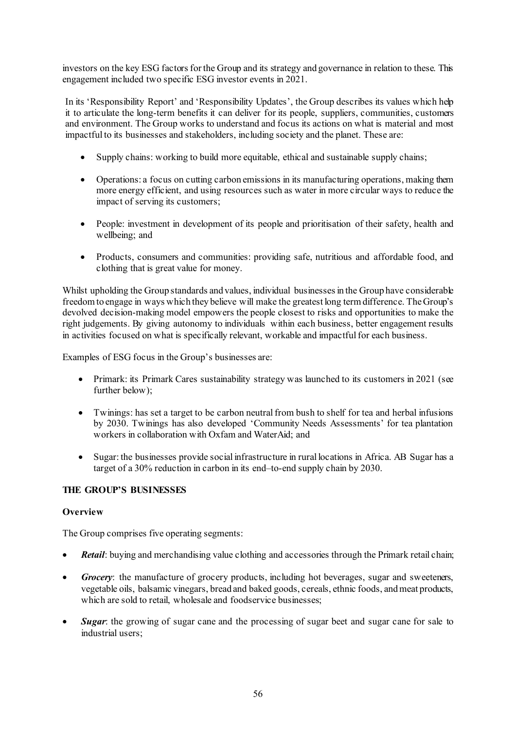investors on the key ESG factors for the Group and its strategy and governance in relation to these. This engagement included two specific ESG investor events in 2021.

In its 'Responsibility Report' and 'Responsibility Updates', the Group describes its values which help it to articulate the long-term benefits it can deliver for its people, suppliers, communities, customers and environment. The Group works to understand and focus its actions on what is material and most impactful to its businesses and stakeholders, including society and the planet. These are:

- Supply chains: working to build more equitable, ethical and sustainable supply chains;
- Operations: a focus on cutting carbon emissions in its manufacturing operations, making them more energy efficient, and using resources such as water in more circular ways to reduce the impact of serving its customers;
- People: investment in development of its people and prioritisation of their safety, health and wellbeing; and
- Products, consumers and communities: providing safe, nutritious and affordable food, and clothing that is great value for money.

Whilst upholding the Group standards and values, individual businesses in the Group have considerable freedom to engage in ways which they believe will make the greatest long term difference. The Group's devolved decision-making model empowers the people closest to risks and opportunities to make the right judgements. By giving autonomy to individuals within each business, better engagement results in activities focused on what is specifically relevant, workable and impactful for each business.

Examples of ESG focus in the Group's businesses are:

- Primark: its Primark Cares sustainability strategy was launched to its customers in 2021 (see further below);
- Twinings: has set a target to be carbon neutral from bush to shelf for tea and herbal infusions by 2030. Twinings has also developed 'Community Needs Assessments' for tea plantation workers in collaboration with Oxfam and WaterAid; and
- Sugar: the businesses provide social infrastructure in rural locations in Africa. AB Sugar has a target of a 30% reduction in carbon in its end–to-end supply chain by 2030.

## **THE GROUP'S BUSINESSES**

## **Overview**

The Group comprises five operating segments:

- *Retail:* buying and merchandising value clothing and accessories through the Primark retail chain;
- *Grocery*: the manufacture of grocery products, including hot beverages, sugar and sweeteners, vegetable oils, balsamic vinegars, bread and baked goods, cereals, ethnic foods, andmeat products, which are sold to retail, wholesale and foodservice businesses:
- **Sugar**: the growing of sugar cane and the processing of sugar beet and sugar cane for sale to industrial users;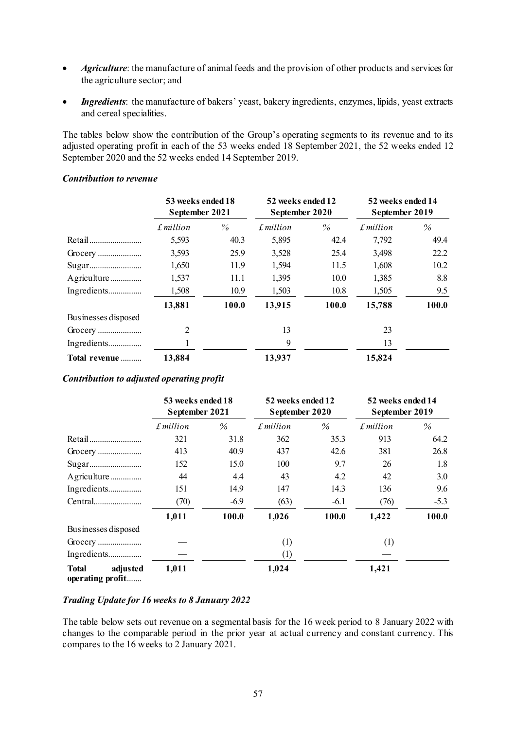- *Agriculture*: the manufacture of animal feeds and the provision of other products and services for the agriculture sector; and
- *Ingredients*: the manufacture of bakers' yeast, bakery ingredients, enzymes, lipids, yeast extracts and cereal specialities.

The tables below show the contribution of the Group's operating segments to its revenue and to its adjusted operating profit in each of the 53 weeks ended 18 September 2021, the 52 weeks ended 12 September 2020 and the 52 weeks ended 14 September 2019.

## *Contribution to revenue*

|                     | 53 weeks ended 18<br>September 2021 |       | 52 weeks ended 12<br>September 2020 |       | 52 weeks ended 14<br>September 2019 |       |
|---------------------|-------------------------------------|-------|-------------------------------------|-------|-------------------------------------|-------|
|                     | £ million                           | $\%$  | $f$ million                         | $\%$  | $f$ <i>million</i>                  | $\%$  |
| Retail              | 5,593                               | 40.3  | 5,895                               | 42.4  | 7,792                               | 49.4  |
|                     | 3,593                               | 25.9  | 3,528                               | 25.4  | 3,498                               | 22.2  |
|                     | 1,650                               | 11.9  | 1,594                               | 11.5  | 1,608                               | 10.2  |
| Agriculture         | 1,537                               | 11.1  | 1,395                               | 10.0  | 1,385                               | 8.8   |
| Ingredients         | 1,508                               | 10.9  | 1,503                               | 10.8  | 1,505                               | 9.5   |
|                     | 13,881                              | 100.0 | 13,915                              | 100.0 | 15,788                              | 100.0 |
| Businesses disposed |                                     |       |                                     |       |                                     |       |
|                     | 2                                   |       | 13                                  |       | 23                                  |       |
| Ingredients         |                                     |       | 9                                   |       | 13                                  |       |
| Total revenue       | 13,884                              |       | 13,937                              |       | 15,824                              |       |

#### *Contribution to adjusted operating profit*

|                                              | 53 weeks ended 18<br>September 2021 |        | 52 weeks ended 12<br>September 2020 |        | 52 weeks ended 14<br>September 2019 |        |
|----------------------------------------------|-------------------------------------|--------|-------------------------------------|--------|-------------------------------------|--------|
|                                              | £ million                           | $\%$   | $f$ million                         | $\%$   | $f$ <i>million</i>                  | $\%$   |
| Retail                                       | 321                                 | 31.8   | 362                                 | 35.3   | 913                                 | 64.2   |
| Grocery                                      | 413                                 | 40.9   | 437                                 | 42.6   | 381                                 | 26.8   |
|                                              | 152                                 | 15.0   | 100                                 | 9.7    | 26                                  | 1.8    |
| Agriculture                                  | 44                                  | 4.4    | 43                                  | 4.2    | 42                                  | 3.0    |
| Ingredients                                  | 151                                 | 14.9   | 147                                 | 14.3   | 136                                 | 9.6    |
| Central                                      | (70)                                | $-6.9$ | (63)                                | $-6.1$ | (76)                                | $-5.3$ |
|                                              | 1,011                               | 100.0  | 1,026                               | 100.0  | 1,422                               | 100.0  |
| Businesses disposed                          |                                     |        |                                     |        |                                     |        |
|                                              |                                     |        | (1)                                 |        | (1)                                 |        |
| Ingredients                                  |                                     |        | $\left(1\right)$                    |        |                                     |        |
| <b>Total</b><br>adjusted<br>operating profit | 1,011                               |        | 1,024                               |        | 1,421                               |        |

## *Trading Update for 16 weeks to 8 January 2022*

The table below sets out revenue on a segmental basis for the 16 week period to 8 January 2022 with changes to the comparable period in the prior year at actual currency and constant currency. This compares to the 16 weeks to 2 January 2021.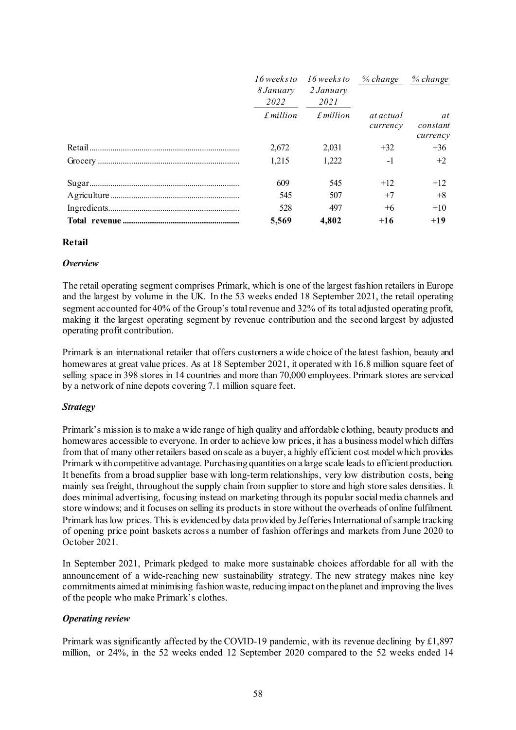|                   | 16 weeks to 16 weeks to % change % change |                              |                            |
|-------------------|-------------------------------------------|------------------------------|----------------------------|
| 8 January         | 2 January                                 |                              |                            |
| 2022              | 2021                                      |                              |                            |
| $\pounds$ million | $\pounds$ million                         | <i>at actual</i><br>currency | at<br>constant<br>currency |
| 2.672             | 2.031                                     | $+32$                        | $+36$                      |
| 1,215             | 1,222                                     | $-1$                         | $+2$                       |
| 609               | 545                                       | $+12$                        | $+12$                      |
| 545               | 507                                       | $+7$                         | $+8$                       |
| 528               | 497                                       | $+6$                         | $+10$                      |
| 5,569             | 4.802                                     | $+16$                        | $+19$                      |

#### **Retail**

#### *Overview*

The retail operating segment comprises Primark, which is one of the largest fashion retailers in Europe and the largest by volume in the UK. In the 53 weeks ended 18 September 2021, the retail operating segment accounted for 40% of the Group's total revenue and 32% of its total adjusted operating profit, making it the largest operating segment by revenue contribution and the second largest by adjusted operating profit contribution.

Primark is an international retailer that offers customers a wide choice of the latest fashion, beauty and homewares at great value prices. As at 18 September 2021, it operated with 16.8 million square feet of selling space in 398 stores in 14 countries and more than 70,000 employees. Primark stores are serviced by a network of nine depots covering 7.1 million square feet.

#### *Strategy*

Primark's mission is to make a wide range of high quality and affordable clothing, beauty products and homewares accessible to everyone. In order to achieve low prices, it has a business model which differs from that of many other retailers based on scale as a buyer, a highly efficient cost model which provides Primark with competitive advantage. Purchasing quantities on a large scale leads to efficient production. It benefits from a broad supplier base with long-term relationships, very low distribution costs, being mainly sea freight, throughout the supply chain from supplier to store and high store sales densities. It does minimal advertising, focusing instead on marketing through its popular social media channels and store windows; and it focuses on selling its products in store without the overheads of online fulfilment. Primark has low prices. This is evidenced by data provided by Jefferies International of sample tracking of opening price point baskets across a number of fashion offerings and markets from June 2020 to October 2021.

In September 2021, Primark pledged to make more sustainable choices affordable for all with the announcement of a wide-reaching new sustainability strategy. The new strategy makes nine key commitments aimed at minimising fashion waste, reducing impact on the planet and improving the lives of the people who make Primark's clothes.

#### *Operating review*

Primark was significantly affected by the COVID-19 pandemic, with its revenue declining by £1,897 million, or 24%, in the 52 weeks ended 12 September 2020 compared to the 52 weeks ended 14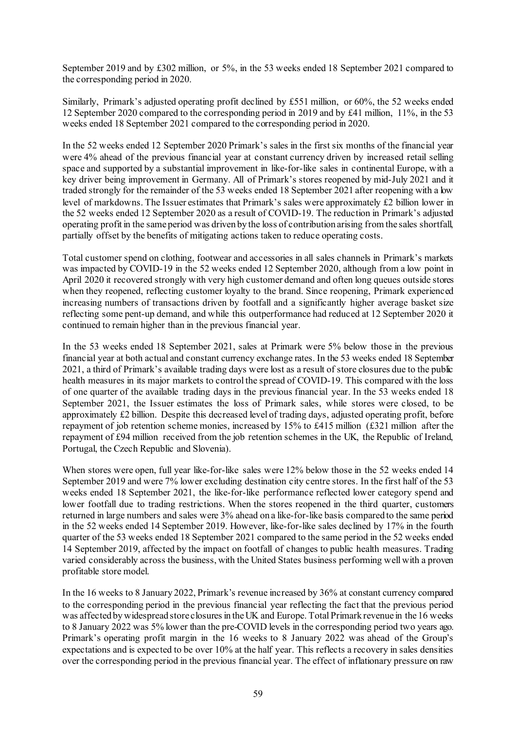September 2019 and by £302 million, or 5%, in the 53 weeks ended 18 September 2021 compared to the corresponding period in 2020.

Similarly, Primark's adjusted operating profit declined by £551 million, or 60%, the 52 weeks ended 12 September 2020 compared to the corresponding period in 2019 and by £41 million, 11%, in the 53 weeks ended 18 September 2021 compared to the corresponding period in 2020.

In the 52 weeks ended 12 September 2020 Primark's sales in the first six months of the financial year were 4% ahead of the previous financial year at constant currency driven by increased retail selling space and supported by a substantial improvement in like-for-like sales in continental Europe, with a key driver being improvement in Germany. All of Primark's stores reopened by mid-July 2021 and it traded strongly for the remainder of the 53 weeks ended 18 September 2021 after reopening with a low level of markdowns. The Issuer estimates that Primark's sales were approximately £2 billion lower in the 52 weeks ended 12 September 2020 as a result of COVID-19. The reduction in Primark's adjusted operating profit in the same period was driven by the loss of contribution arising from the sales shortfall, partially offset by the benefits of mitigating actions taken to reduce operating costs.

Total customer spend on clothing, footwear and accessories in all sales channels in Primark's markets was impacted by COVID-19 in the 52 weeks ended 12 September 2020, although from a low point in April 2020 it recovered strongly with very high customer demand and often long queues outside stores when they reopened, reflecting customer loyalty to the brand. Since reopening, Primark experienced increasing numbers of transactions driven by footfall and a significantly higher average basket size reflecting some pent-up demand, and while this outperformance had reduced at 12 September 2020 it continued to remain higher than in the previous financial year.

In the 53 weeks ended 18 September 2021, sales at Primark were 5% below those in the previous financial year at both actual and constant currency exchange rates. In the 53 weeks ended 18 September 2021, a third of Primark's available trading days were lost as a result of store closures due to the public health measures in its major markets to control the spread of COVID-19. This compared with the loss of one quarter of the available trading days in the previous financial year. In the 53 weeks ended 18 September 2021, the Issuer estimates the loss of Primark sales, while stores were closed, to be approximately £2 billion. Despite this decreased level of trading days, adjusted operating profit, before repayment of job retention scheme monies, increased by 15% to £415 million (£321 million after the repayment of £94 million received from the job retention schemes in the UK, the Republic of Ireland, Portugal, the Czech Republic and Slovenia).

When stores were open, full year like-for-like sales were 12% below those in the 52 weeks ended 14 September 2019 and were 7% lower excluding destination city centre stores. In the first half of the 53 weeks ended 18 September 2021, the like-for-like performance reflected lower category spend and lower footfall due to trading restrictions. When the stores reopened in the third quarter, customers returned in large numbers and sales were 3% ahead on a like-for-like basis compared to the same period in the 52 weeks ended 14 September 2019. However, like-for-like sales declined by 17% in the fourth quarter of the 53 weeks ended 18 September 2021 compared to the same period in the 52 weeks ended 14 September 2019, affected by the impact on footfall of changes to public health measures. Trading varied considerably across the business, with the United States business performing well with a proven profitable store model.

In the 16 weeks to 8 January 2022, Primark's revenue increased by 36% at constant currency compared to the corresponding period in the previous financial year reflecting the fact that the previous period was affected by widespread store closures in the UK and Europe. Total Primark revenue in the 16 weeks to 8 January 2022 was 5% lower than the pre-COVID levels in the corresponding period two years ago. Primark's operating profit margin in the 16 weeks to 8 January 2022 was ahead of the Group's expectations and is expected to be over 10% at the half year. This reflects a recovery in sales densities over the corresponding period in the previous financial year. The effect of inflationary pressure on raw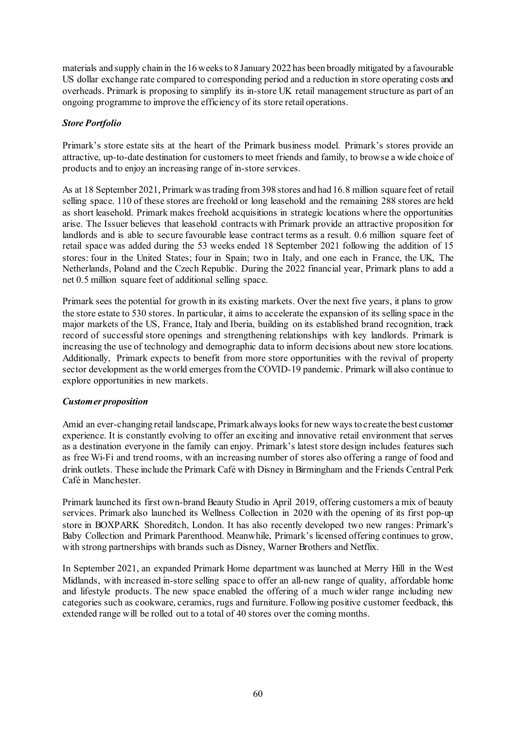materials and supply chain in the 16 weeks to 8 January 2022 has been broadly mitigated by a favourable US dollar exchange rate compared to corresponding period and a reduction in store operating costs and overheads. Primark is proposing to simplify its in-store UK retail management structure as part of an ongoing programme to improve the efficiency of its store retail operations.

### *Store Portfolio*

Primark's store estate sits at the heart of the Primark business model. Primark's stores provide an attractive, up-to-date destination for customers to meet friends and family, to browse a wide choice of products and to enjoy an increasing range of in-store services.

As at 18 September 2021, Primark was trading from 398 stores and had 16.8 million square feet of retail selling space. 110 of these stores are freehold or long leasehold and the remaining 288 stores are held as short leasehold. Primark makes freehold acquisitions in strategic locations where the opportunities arise. The Issuer believes that leasehold contracts with Primark provide an attractive proposition for landlords and is able to secure favourable lease contract terms as a result. 0.6 million square feet of retail space was added during the 53 weeks ended 18 September 2021 following the addition of 15 stores: four in the United States; four in Spain; two in Italy, and one each in France, the UK, The Netherlands, Poland and the Czech Republic. During the 2022 financial year, Primark plans to add a net 0.5 million square feet of additional selling space.

Primark sees the potential for growth in its existing markets. Over the next five years, it plans to grow the store estate to 530 stores. In particular, it aims to accelerate the expansion of its selling space in the major markets of the US, France, Italy and Iberia, building on its established brand recognition, track record of successful store openings and strengthening relationships with key landlords. Primark is increasing the use of technology and demographic data to inform decisions about new store locations. Additionally, Primark expects to benefit from more store opportunities with the revival of property sector development as the world emerges from the COVID-19 pandemic. Primark will also continue to explore opportunities in new markets.

#### *Customer proposition*

Amid an ever-changing retail landscape, Primark always looks for new ways to create the best customer experience. It is constantly evolving to offer an exciting and innovative retail environment that serves as a destination everyone in the family can enjoy. Primark's latest store design includes features such as free Wi-Fi and trend rooms, with an increasing number of stores also offering a range of food and drink outlets. These include the Primark Café with Disney in Birmingham and the Friends Central Perk Café in Manchester.

Primark launched its first own-brand Beauty Studio in April 2019, offering customers a mix of beauty services. Primark also launched its Wellness Collection in 2020 with the opening of its first pop-up store in BOXPARK Shoreditch, London. It has also recently developed two new ranges: Primark's Baby Collection and Primark Parenthood. Meanwhile, Primark's licensed offering continues to grow, with strong partnerships with brands such as Disney, Warner Brothers and Netflix.

In September 2021, an expanded Primark Home department was launched at Merry Hill in the West Midlands, with increased in-store selling space to offer an all-new range of quality, affordable home and lifestyle products. The new space enabled the offering of a much wider range including new categories such as cookware, ceramics, rugs and furniture. Following positive customer feedback, this extended range will be rolled out to a total of 40 stores over the coming months.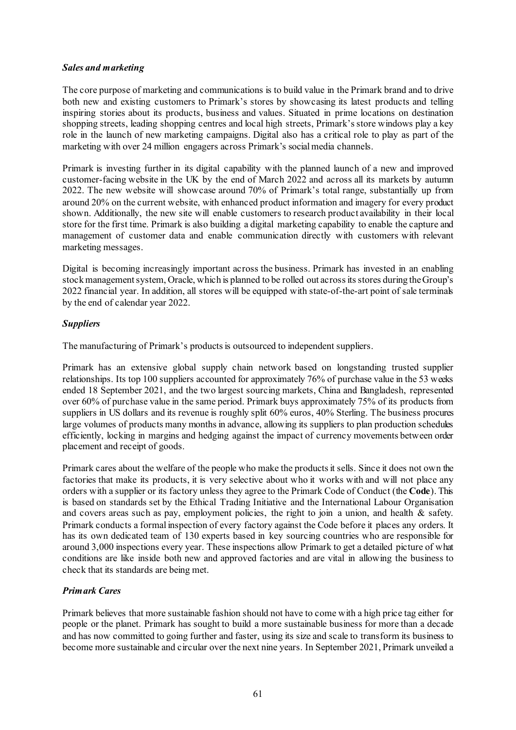## *Sales and marketing*

The core purpose of marketing and communications is to build value in the Primark brand and to drive both new and existing customers to Primark's stores by showcasing its latest products and telling inspiring stories about its products, business and values. Situated in prime locations on destination shopping streets, leading shopping centres and local high streets, Primark's store windows play a key role in the launch of new marketing campaigns. Digital also has a critical role to play as part of the marketing with over 24 million engagers across Primark's social media channels.

Primark is investing further in its digital capability with the planned launch of a new and improved customer-facing website in the UK by the end of March 2022 and across all its markets by autumn 2022. The new website will showcase around 70% of Primark's total range, substantially up from around 20% on the current website, with enhanced product information and imagery for every product shown. Additionally, the new site will enable customers to research product availability in their local store for the first time. Primark is also building a digital marketing capability to enable the capture and management of customer data and enable communication directly with customers with relevant marketing messages.

Digital is becoming increasingly important across the business. Primark has invested in an enabling stock management system, Oracle, which is planned to be rolled out across its stores during the Group's 2022 financial year. In addition, all stores will be equipped with state-of-the-art point of sale terminals by the end of calendar year 2022.

## *Suppliers*

The manufacturing of Primark's products is outsourced to independent suppliers.

Primark has an extensive global supply chain network based on longstanding trusted supplier relationships. Its top 100 suppliers accounted for approximately 76% of purchase value in the 53 weeks ended 18 September 2021, and the two largest sourcing markets, China and Bangladesh, represented over 60% of purchase value in the same period. Primark buys approximately 75% of its products from suppliers in US dollars and its revenue is roughly split 60% euros, 40% Sterling. The business procures large volumes of products many months in advance, allowing its suppliers to plan production schedules efficiently, locking in margins and hedging against the impact of currency movements between order placement and receipt of goods.

Primark cares about the welfare of the people who make the products it sells. Since it does not own the factories that make its products, it is very selective about who it works with and will not place any orders with a supplier or its factory unless they agree to the Primark Code of Conduct (the **Code**). This is based on standards set by the Ethical Trading Initiative and the International Labour Organisation and covers areas such as pay, employment policies, the right to join a union, and health & safety. Primark conducts a formal inspection of every factory against the Code before it places any orders. It has its own dedicated team of 130 experts based in key sourcing countries who are responsible for around 3,000 inspections every year. These inspections allow Primark to get a detailed picture of what conditions are like inside both new and approved factories and are vital in allowing the business to check that its standards are being met.

## *Primark Cares*

Primark believes that more sustainable fashion should not have to come with a high price tag either for people or the planet. Primark has sought to build a more sustainable business for more than a decade and has now committed to going further and faster, using its size and scale to transform its business to become more sustainable and circular over the next nine years. In September 2021, Primark unveiled a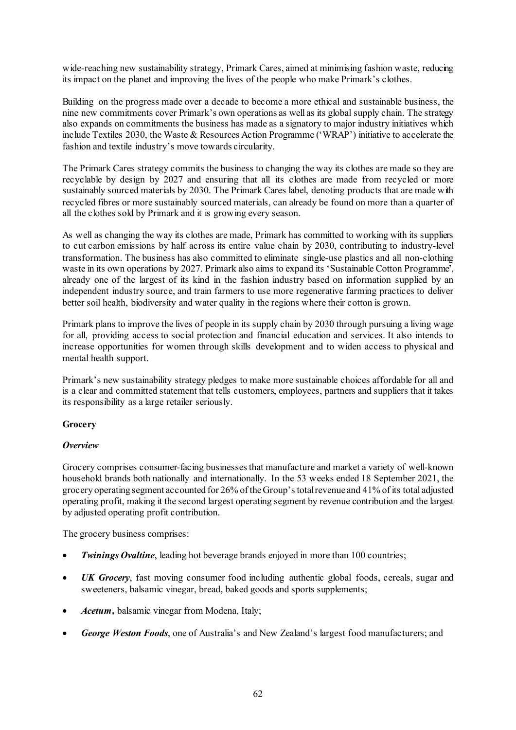wide-reaching new sustainability strategy, Primark Cares, aimed at minimising fashion waste, reducing its impact on the planet and improving the lives of the people who make Primark's clothes.

Building on the progress made over a decade to become a more ethical and sustainable business, the nine new commitments cover Primark's own operations as well as its global supply chain. The strategy also expands on commitments the business has made as a signatory to major industry initiatives which include Textiles 2030, the Waste & Resources Action Programme ('WRAP') initiative to accelerate the fashion and textile industry's move towards circularity.

The Primark Cares strategy commits the business to changing the way its clothes are made so they are recyclable by design by 2027 and ensuring that all its clothes are made from recycled or more sustainably sourced materials by 2030. The Primark Cares label, denoting products that are made with recycled fibres or more sustainably sourced materials, can already be found on more than a quarter of all the clothes sold by Primark and it is growing every season.

As well as changing the way its clothes are made, Primark has committed to working with its suppliers to cut carbon emissions by half across its entire value chain by 2030, contributing to industry-level transformation. The business has also committed to eliminate single-use plastics and all non-clothing waste in its own operations by 2027. Primark also aims to expand its 'Sustainable Cotton Programme', already one of the largest of its kind in the fashion industry based on information supplied by an independent industry source, and train farmers to use more regenerative farming practices to deliver better soil health, biodiversity and water quality in the regions where their cotton is grown.

Primark plans to improve the lives of people in its supply chain by 2030 through pursuing a living wage for all, providing access to social protection and financial education and services. It also intends to increase opportunities for women through skills development and to widen access to physical and mental health support.

Primark's new sustainability strategy pledges to make more sustainable choices affordable for all and is a clear and committed statement that tells customers, employees, partners and suppliers that it takes its responsibility as a large retailer seriously.

## **Grocery**

## *Overview*

Grocery comprises consumer-facing businesses that manufacture and market a variety of well-known household brands both nationally and internationally. In the 53 weeks ended 18 September 2021, the grocery operating segment accounted for 26% of the Group's total revenue and 41% of its total adjusted operating profit, making it the second largest operating segment by revenue contribution and the largest by adjusted operating profit contribution.

The grocery business comprises:

- *Twinings Ovaltine*, leading hot beverage brands enjoyed in more than 100 countries;
- UK Grocery, fast moving consumer food including authentic global foods, cereals, sugar and sweeteners, balsamic vinegar, bread, baked goods and sports supplements;
- *Acetum,* balsamic vinegar from Modena, Italy;
- *George Weston Foods*, one of Australia's and New Zealand's largest food manufacturers; and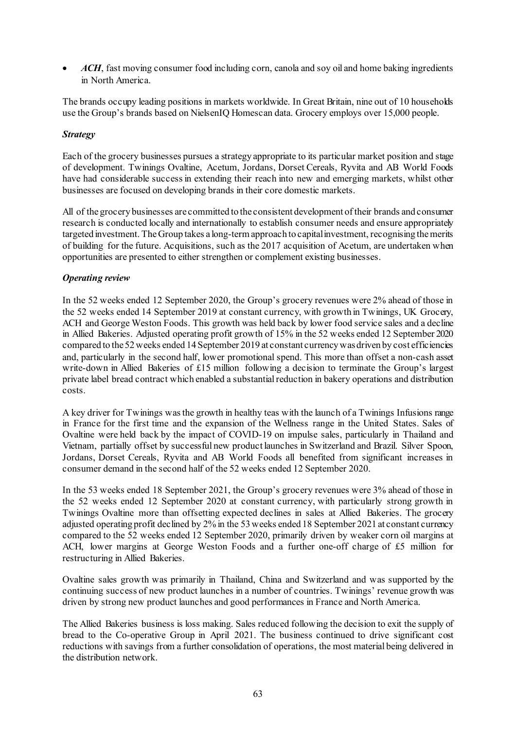• *ACH*, fast moving consumer food including corn, canola and soy oil and home baking ingredients in North America.

The brands occupy leading positions in markets worldwide. In Great Britain, nine out of 10 households use the Group's brands based on NielsenIQ Homescan data. Grocery employs over 15,000 people.

## *Strategy*

Each of the grocery businesses pursues a strategy appropriate to its particular market position and stage of development. Twinings Ovaltine, Acetum, Jordans, Dorset Cereals, Ryvita and AB World Foods have had considerable success in extending their reach into new and emerging markets, whilst other businesses are focused on developing brands in their core domestic markets.

All of the grocery businesses are committed to the consistent development of their brands and consumer research is conducted locally and internationally to establish consumer needs and ensure appropriately targeted investment. The Group takes a long-term approach to capital investment, recognising the merits of building for the future. Acquisitions, such as the 2017 acquisition of Acetum, are undertaken when opportunities are presented to either strengthen or complement existing businesses.

#### *Operating review*

In the 52 weeks ended 12 September 2020, the Group's grocery revenues were 2% ahead of those in the 52 weeks ended 14 September 2019 at constant currency, with growth in Twinings, UK Grocery, ACH and George Weston Foods. This growth was held back by lower food service sales and a decline in Allied Bakeries. Adjusted operating profit growth of 15% in the 52 weeks ended 12 September 2020 compared to the 52 weeks ended 14 September 2019 at constant currency was driven by cost efficiencies and, particularly in the second half, lower promotional spend. This more than offset a non-cash asset write-down in Allied Bakeries of £15 million following a decision to terminate the Group's largest private label bread contract which enabled a substantial reduction in bakery operations and distribution costs.

A key driver for Twinings was the growth in healthy teas with the launch of a Twinings Infusions range in France for the first time and the expansion of the Wellness range in the United States. Sales of Ovaltine were held back by the impact of COVID-19 on impulse sales, particularly in Thailand and Vietnam, partially offset by successful new product launches in Switzerland and Brazil. Silver Spoon, Jordans, Dorset Cereals, Ryvita and AB World Foods all benefited from significant increases in consumer demand in the second half of the 52 weeks ended 12 September 2020.

In the 53 weeks ended 18 September 2021, the Group's grocery revenues were 3% ahead of those in the 52 weeks ended 12 September 2020 at constant currency, with particularly strong growth in Twinings Ovaltine more than offsetting expected declines in sales at Allied Bakeries. The grocery adjusted operating profit declined by 2% in the 53 weeks ended 18 September 2021 at constant currency compared to the 52 weeks ended 12 September 2020, primarily driven by weaker corn oil margins at ACH, lower margins at George Weston Foods and a further one-off charge of £5 million for restructuring in Allied Bakeries.

Ovaltine sales growth was primarily in Thailand, China and Switzerland and was supported by the continuing success of new product launches in a number of countries. Twinings' revenue growth was driven by strong new product launches and good performances in France and North America.

The Allied Bakeries business is loss making. Sales reduced following the decision to exit the supply of bread to the Co-operative Group in April 2021. The business continued to drive significant cost reductions with savings from a further consolidation of operations, the most material being delivered in the distribution network.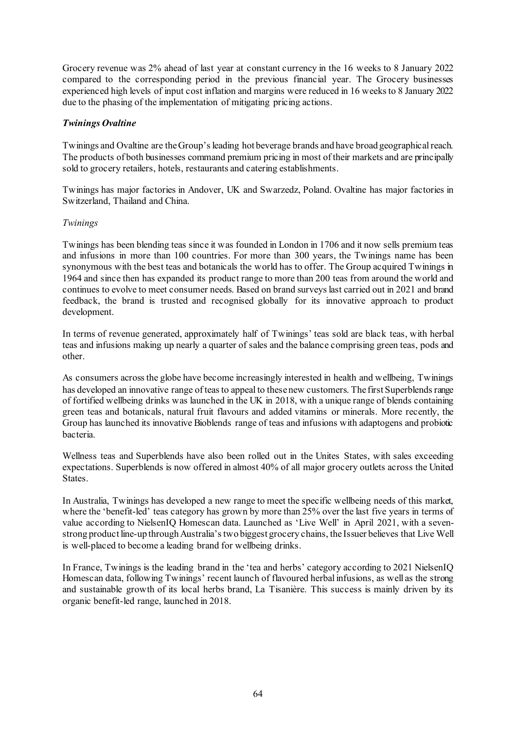Grocery revenue was 2% ahead of last year at constant currency in the 16 weeks to 8 January 2022 compared to the corresponding period in the previous financial year. The Grocery businesses experienced high levels of input cost inflation and margins were reduced in 16 weeks to 8 January 2022 due to the phasing of the implementation of mitigating pricing actions.

## *Twinings Ovaltine*

Twinings and Ovaltine are the Group's leading hot beverage brands and have broad geographical reach. The products of both businesses command premium pricing in most of their markets and are principally sold to grocery retailers, hotels, restaurants and catering establishments.

Twinings has major factories in Andover, UK and Swarzedz, Poland. Ovaltine has major factories in Switzerland, Thailand and China.

### *Twinings*

Twinings has been blending teas since it was founded in London in 1706 and it now sells premium teas and infusions in more than 100 countries. For more than 300 years, the Twinings name has been synonymous with the best teas and botanicals the world has to offer. The Group acquired Twinings in 1964 and since then has expanded its product range to more than 200 teas from around the world and continues to evolve to meet consumer needs. Based on brand surveys last carried out in 2021 and brand feedback, the brand is trusted and recognised globally for its innovative approach to product development.

In terms of revenue generated, approximately half of Twinings' teas sold are black teas, with herbal teas and infusions making up nearly a quarter of sales and the balance comprising green teas, pods and other.

As consumers across the globe have become increasingly interested in health and wellbeing, Twinings has developed an innovative range of teas to appeal to these new customers. The first Superblends range of fortified wellbeing drinks was launched in the UK in 2018, with a unique range of blends containing green teas and botanicals, natural fruit flavours and added vitamins or minerals. More recently, the Group has launched its innovative Bioblends range of teas and infusions with adaptogens and probiotic bacteria.

Wellness teas and Superblends have also been rolled out in the Unites States, with sales exceeding expectations. Superblends is now offered in almost 40% of all major grocery outlets across the United States.

In Australia, Twinings has developed a new range to meet the specific wellbeing needs of this market, where the 'benefit-led' teas category has grown by more than 25% over the last five years in terms of value according to NielsenIQ Homescan data. Launched as 'Live Well' in April 2021, with a sevenstrong product line-up through Australia's two biggest grocery chains, the Issuer believes that Live Well is well-placed to become a leading brand for wellbeing drinks.

In France, Twinings is the leading brand in the 'tea and herbs' category according to 2021 NielsenIQ Homescan data, following Twinings' recent launch of flavoured herbal infusions, as well as the strong and sustainable growth of its local herbs brand, La Tisanière. This success is mainly driven by its organic benefit-led range, launched in 2018.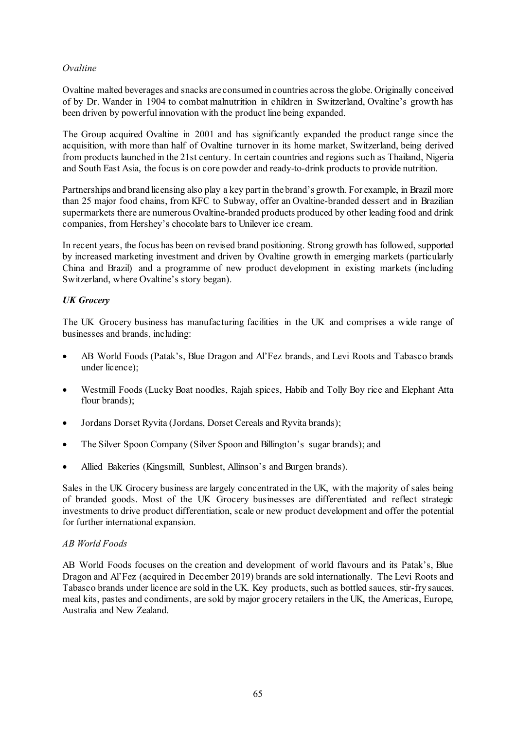## *Ovaltine*

Ovaltine malted beverages and snacks are consumed in countries across the globe. Originally conceived of by Dr. Wander in 1904 to combat malnutrition in children in Switzerland, Ovaltine's growth has been driven by powerful innovation with the product line being expanded.

The Group acquired Ovaltine in 2001 and has significantly expanded the product range since the acquisition, with more than half of Ovaltine turnover in its home market, Switzerland, being derived from products launched in the 21st century. In certain countries and regions such as Thailand, Nigeria and South East Asia, the focus is on core powder and ready-to-drink products to provide nutrition.

Partnerships and brand licensing also play a key part in the brand's growth. For example, in Brazil more than 25 major food chains, from KFC to Subway, offer an Ovaltine-branded dessert and in Brazilian supermarkets there are numerous Ovaltine-branded products produced by other leading food and drink companies, from Hershey's chocolate bars to Unilever ice cream.

In recent years, the focus has been on revised brand positioning. Strong growth has followed, supported by increased marketing investment and driven by Ovaltine growth in emerging markets (particularly China and Brazil) and a programme of new product development in existing markets (including Switzerland, where Ovaltine's story began).

### *UK Grocery*

The UK Grocery business has manufacturing facilities in the UK and comprises a wide range of businesses and brands, including:

- AB World Foods (Patak's, Blue Dragon and Al'Fez brands, and Levi Roots and Tabasco brands under licence);
- Westmill Foods (Lucky Boat noodles, Rajah spices, Habib and Tolly Boy rice and Elephant Atta flour brands);
- Jordans Dorset Ryvita (Jordans, Dorset Cereals and Ryvita brands);
- The Silver Spoon Company (Silver Spoon and Billington's sugar brands); and
- Allied Bakeries (Kingsmill, Sunblest, Allinson's and Burgen brands).

Sales in the UK Grocery business are largely concentrated in the UK, with the majority of sales being of branded goods. Most of the UK Grocery businesses are differentiated and reflect strategic investments to drive product differentiation, scale or new product development and offer the potential for further international expansion.

#### *AB World Foods*

AB World Foods focuses on the creation and development of world flavours and its Patak's, Blue Dragon and Al'Fez (acquired in December 2019) brands are sold internationally. The Levi Roots and Tabasco brands under licence are sold in the UK. Key products, such as bottled sauces, stir-fry sauces, meal kits, pastes and condiments, are sold by major grocery retailers in the UK, the Americas, Europe, Australia and New Zealand.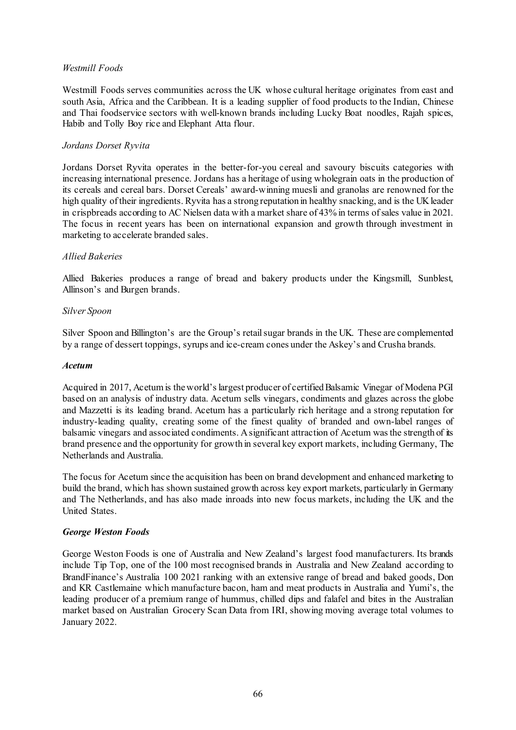### *Westmill Foods*

Westmill Foods serves communities across the UK whose cultural heritage originates from east and south Asia, Africa and the Caribbean. It is a leading supplier of food products to the Indian, Chinese and Thai foodservice sectors with well-known brands including Lucky Boat noodles, Rajah spices, Habib and Tolly Boy rice and Elephant Atta flour.

### *Jordans Dorset Ryvita*

Jordans Dorset Ryvita operates in the better-for-you cereal and savoury biscuits categories with increasing international presence. Jordans has a heritage of using wholegrain oats in the production of its cereals and cereal bars. Dorset Cereals' award-winning muesli and granolas are renowned for the high quality of their ingredients. Ryvita has a strong reputation in healthy snacking, and is the UK leader in crispbreads according to AC Nielsen data with a market share of 43% in terms of sales value in 2021. The focus in recent years has been on international expansion and growth through investment in marketing to accelerate branded sales.

### *Allied Bakeries*

Allied Bakeries produces a range of bread and bakery products under the Kingsmill, Sunblest, Allinson's and Burgen brands.

#### *Silver Spoon*

Silver Spoon and Billington's are the Group's retail sugar brands in the UK. These are complemented by a range of dessert toppings, syrups and ice-cream cones under the Askey's and Crusha brands.

#### *Acetum*

Acquired in 2017, Acetum is the world's largest producer of certified Balsamic Vinegar of Modena PGI based on an analysis of industry data. Acetum sells vinegars, condiments and glazes across the globe and Mazzetti is its leading brand. Acetum has a particularly rich heritage and a strong reputation for industry-leading quality, creating some of the finest quality of branded and own-label ranges of balsamic vinegars and associated condiments. A significant attraction of Acetum was the strength of its brand presence and the opportunity for growth in several key export markets, including Germany, The Netherlands and Australia.

The focus for Acetum since the acquisition has been on brand development and enhanced marketing to build the brand, which has shown sustained growth across key export markets, particularly in Germany and The Netherlands, and has also made inroads into new focus markets, including the UK and the United States.

#### *George Weston Foods*

George Weston Foods is one of Australia and New Zealand's largest food manufacturers. Its brands include Tip Top, one of the 100 most recognised brands in Australia and New Zealand according to BrandFinance's Australia 100 2021 ranking with an extensive range of bread and baked goods, Don and KR Castlemaine which manufacture bacon, ham and meat products in Australia and Yumi's, the leading producer of a premium range of hummus, chilled dips and falafel and bites in the Australian market based on Australian Grocery Scan Data from IRI, showing moving average total volumes to January 2022.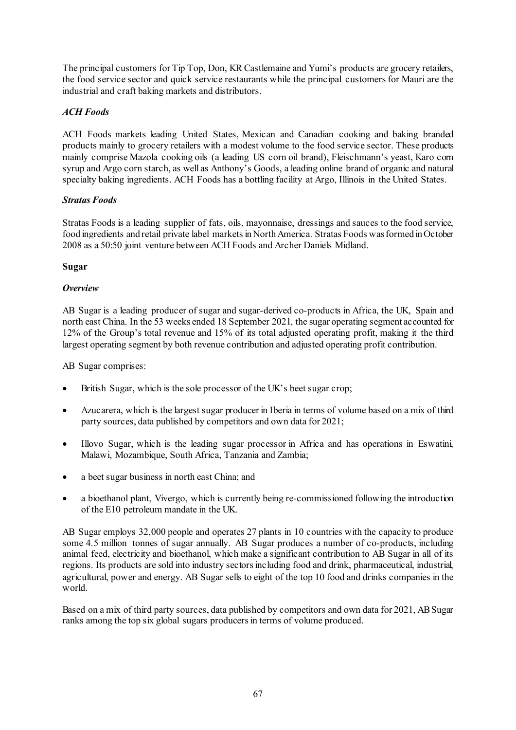The principal customers for Tip Top, Don, KR Castlemaine and Yumi's products are grocery retailers, the food service sector and quick service restaurants while the principal customers for Mauri are the industrial and craft baking markets and distributors.

# *ACH Foods*

ACH Foods markets leading United States, Mexican and Canadian cooking and baking branded products mainly to grocery retailers with a modest volume to the food service sector. These products mainly comprise Mazola cooking oils (a leading US corn oil brand), Fleischmann's yeast, Karo corn syrup and Argo corn starch, as well as Anthony's Goods, a leading online brand of organic and natural specialty baking ingredients. ACH Foods has a bottling facility at Argo, Illinois in the United States.

## *Stratas Foods*

Stratas Foods is a leading supplier of fats, oils, mayonnaise, dressings and sauces to the food service, food ingredients and retail private label markets in North America. Stratas Foods was formed in October 2008 as a 50:50 joint venture between ACH Foods and Archer Daniels Midland.

## **Sugar**

## *Overview*

AB Sugar is a leading producer of sugar and sugar-derived co-products in Africa, the UK, Spain and north east China. In the 53 weeks ended 18 September 2021, the sugar operating segment accounted for 12% of the Group's total revenue and 15% of its total adjusted operating profit, making it the third largest operating segment by both revenue contribution and adjusted operating profit contribution.

AB Sugar comprises:

- British Sugar, which is the sole processor of the UK's beet sugar crop;
- Azucarera, which is the largest sugar producer in Iberia in terms of volume based on a mix of third party sources, data published by competitors and own data for 2021;
- Illovo Sugar, which is the leading sugar processor in Africa and has operations in Eswatini, Malawi, Mozambique, South Africa, Tanzania and Zambia;
- a beet sugar business in north east China; and
- a bioethanol plant, Vivergo, which is currently being re-commissioned following the introduction of the E10 petroleum mandate in the UK.

AB Sugar employs 32,000 people and operates 27 plants in 10 countries with the capacity to produce some 4.5 million tonnes of sugar annually. AB Sugar produces a number of co-products, including animal feed, electricity and bioethanol, which make a significant contribution to AB Sugar in all of its regions. Its products are sold into industry sectors including food and drink, pharmaceutical, industrial, agricultural, power and energy. AB Sugar sells to eight of the top 10 food and drinks companies in the world.

Based on a mix of third party sources, data published by competitors and own data for 2021, AB Sugar ranks among the top six global sugars producers in terms of volume produced.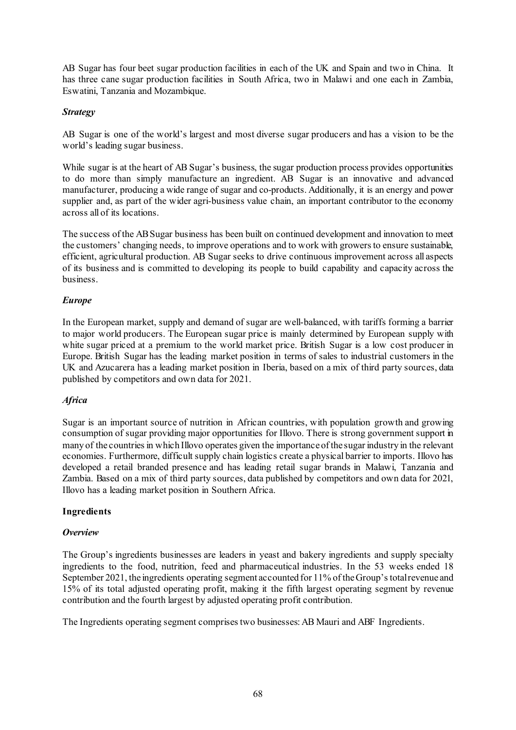AB Sugar has four beet sugar production facilities in each of the UK and Spain and two in China. It has three cane sugar production facilities in South Africa, two in Malawi and one each in Zambia, Eswatini, Tanzania and Mozambique.

### *Strategy*

AB Sugar is one of the world's largest and most diverse sugar producers and has a vision to be the world's leading sugar business.

While sugar is at the heart of AB Sugar's business, the sugar production process provides opportunities to do more than simply manufacture an ingredient. AB Sugar is an innovative and advanced manufacturer, producing a wide range of sugar and co-products. Additionally, it is an energy and power supplier and, as part of the wider agri-business value chain, an important contributor to the economy across all of its locations.

The success of the AB Sugar business has been built on continued development and innovation to meet the customers' changing needs, to improve operations and to work with growers to ensure sustainable, efficient, agricultural production. AB Sugar seeks to drive continuous improvement across all aspects of its business and is committed to developing its people to build capability and capacity across the business.

### *Europe*

In the European market, supply and demand of sugar are well-balanced, with tariffs forming a barrier to major world producers. The European sugar price is mainly determined by European supply with white sugar priced at a premium to the world market price. British Sugar is a low cost producer in Europe. British Sugar has the leading market position in terms of sales to industrial customers in the UK and Azucarera has a leading market position in Iberia, based on a mix of third party sources, data published by competitors and own data for 2021.

## *Africa*

Sugar is an important source of nutrition in African countries, with population growth and growing consumption of sugar providing major opportunities for Illovo. There is strong government support in many of the countries in which Illovo operates given the importance of the sugar industry in the relevant economies. Furthermore, difficult supply chain logistics create a physical barrier to imports. Illovo has developed a retail branded presence and has leading retail sugar brands in Malawi, Tanzania and Zambia. Based on a mix of third party sources, data published by competitors and own data for 2021, Illovo has a leading market position in Southern Africa.

## **Ingredients**

## *Overview*

The Group's ingredients businesses are leaders in yeast and bakery ingredients and supply specialty ingredients to the food, nutrition, feed and pharmaceutical industries. In the 53 weeks ended 18 September 2021, the ingredients operating segment accounted for 11% of the Group's total revenue and 15% of its total adjusted operating profit, making it the fifth largest operating segment by revenue contribution and the fourth largest by adjusted operating profit contribution.

The Ingredients operating segment comprises two businesses: AB Mauri and ABF Ingredients.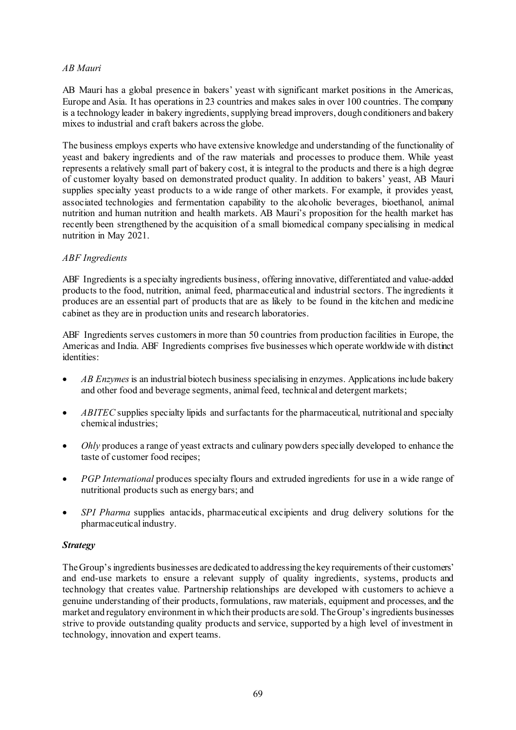### *AB Mauri*

AB Mauri has a global presence in bakers' yeast with significant market positions in the Americas, Europe and Asia. It has operations in 23 countries and makes sales in over 100 countries. The company is a technology leader in bakery ingredients, supplying bread improvers, dough conditioners and bakery mixes to industrial and craft bakers across the globe.

The business employs experts who have extensive knowledge and understanding of the functionality of yeast and bakery ingredients and of the raw materials and processes to produce them. While yeast represents a relatively small part of bakery cost, it is integral to the products and there is a high degree of customer loyalty based on demonstrated product quality. In addition to bakers' yeast, AB Mauri supplies specialty yeast products to a wide range of other markets. For example, it provides yeast, associated technologies and fermentation capability to the alcoholic beverages, bioethanol, animal nutrition and human nutrition and health markets. AB Mauri's proposition for the health market has recently been strengthened by the acquisition of a small biomedical company specialising in medical nutrition in May 2021.

## *ABF Ingredients*

ABF Ingredients is a specialty ingredients business, offering innovative, differentiated and value-added products to the food, nutrition, animal feed, pharmaceutical and industrial sectors. The ingredients it produces are an essential part of products that are as likely to be found in the kitchen and medicine cabinet as they are in production units and research laboratories.

ABF Ingredients serves customers in more than 50 countries from production facilities in Europe, the Americas and India. ABF Ingredients comprises five businesses which operate worldwide with distinct identities:

- *AB Enzymes*is an industrial biotech business specialising in enzymes. Applications include bakery and other food and beverage segments, animal feed, technical and detergent markets;
- *ABITEC* supplies specialty lipids and surfactants for the pharmaceutical, nutritional and specialty chemical industries;
- *Ohly* produces a range of yeast extracts and culinary powders specially developed to enhance the taste of customer food recipes;
- *PGP International* produces specialty flours and extruded ingredients for use in a wide range of nutritional products such as energy bars; and
- *SPI Pharma* supplies antacids, pharmaceutical excipients and drug delivery solutions for the pharmaceutical industry.

## *Strategy*

The Group's ingredients businesses are dedicated to addressing the key requirements of their customers' and end-use markets to ensure a relevant supply of quality ingredients, systems, products and technology that creates value. Partnership relationships are developed with customers to achieve a genuine understanding of their products, formulations, raw materials, equipment and processes, and the market and regulatory environment in which their products are sold. The Group's ingredients businesses strive to provide outstanding quality products and service, supported by a high level of investment in technology, innovation and expert teams.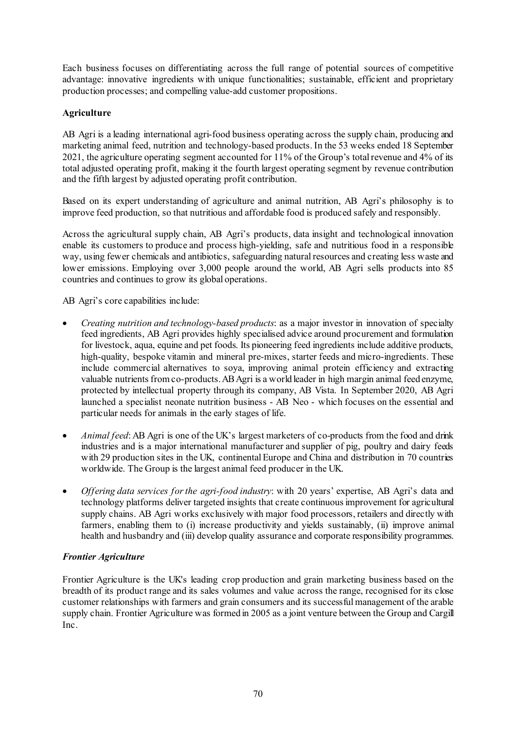Each business focuses on differentiating across the full range of potential sources of competitive advantage: innovative ingredients with unique functionalities; sustainable, efficient and proprietary production processes; and compelling value-add customer propositions.

# **Agriculture**

AB Agri is a leading international agri-food business operating across the supply chain, producing and marketing animal feed, nutrition and technology-based products. In the 53 weeks ended 18 September 2021, the agriculture operating segment accounted for 11% of the Group's total revenue and 4% of its total adjusted operating profit, making it the fourth largest operating segment by revenue contribution and the fifth largest by adjusted operating profit contribution.

Based on its expert understanding of agriculture and animal nutrition, AB Agri's philosophy is to improve feed production, so that nutritious and affordable food is produced safely and responsibly.

Across the agricultural supply chain, AB Agri's products, data insight and technological innovation enable its customers to produce and process high-yielding, safe and nutritious food in a responsible way, using fewer chemicals and antibiotics, safeguarding natural resources and creating less waste and lower emissions. Employing over 3,000 people around the world, AB Agri sells products into 85 countries and continues to grow its global operations.

AB Agri's core capabilities include:

- *Creating nutrition and technology-based products*: as a major investor in innovation of specialty feed ingredients, AB Agri provides highly specialised advice around procurement and formulation for livestock, aqua, equine and pet foods. Its pioneering feed ingredients include additive products, high-quality, bespoke vitamin and mineral pre-mixes, starter feeds and micro-ingredients. These include commercial alternatives to soya, improving animal protein efficiency and extracting valuable nutrients from co-products. AB Agri is a world leader in high margin animal feed enzyme, protected by intellectual property through its company, AB Vista. In September 2020, AB Agri launched a specialist neonate nutrition business - AB Neo - which focuses on the essential and particular needs for animals in the early stages of life.
- *Animal feed*: AB Agri is one of the UK's largest marketers of co-products from the food and drink industries and is a major international manufacturer and supplier of pig, poultry and dairy feeds with 29 production sites in the UK, continental Europe and China and distribution in 70 countries worldwide. The Group is the largest animal feed producer in the UK.
- *Offering data services for the agri-food industry*: with 20 years' expertise, AB Agri's data and technology platforms deliver targeted insights that create continuous improvement for agricultural supply chains. AB Agri works exclusively with major food processors, retailers and directly with farmers, enabling them to (i) increase productivity and yields sustainably, (ii) improve animal health and husbandry and (iii) develop quality assurance and corporate responsibility programmes.

## *Frontier Agriculture*

Frontier Agriculture is the UK's leading crop production and grain marketing business based on the breadth of its product range and its sales volumes and value across the range, recognised for its close customer relationships with farmers and grain consumers and its successful management of the arable supply chain. Frontier Agriculture was formed in 2005 as a joint venture between the Group and Cargill Inc.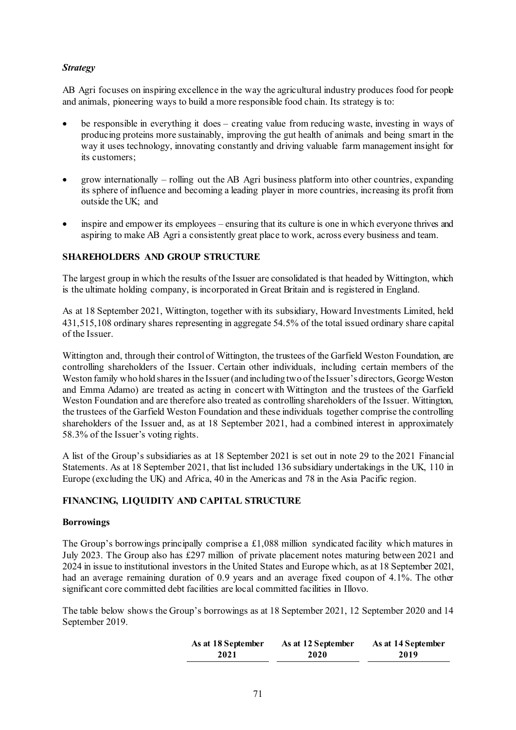## *Strategy*

AB Agri focuses on inspiring excellence in the way the agricultural industry produces food for people and animals, pioneering ways to build a more responsible food chain. Its strategy is to:

- be responsible in everything it does creating value from reducing waste, investing in ways of producing proteins more sustainably, improving the gut health of animals and being smart in the way it uses technology, innovating constantly and driving valuable farm management insight for its customers;
- grow internationally rolling out the AB Agri business platform into other countries, expanding its sphere of influence and becoming a leading player in more countries, increasing its profit from outside the UK; and
- inspire and empower its employees ensuring that its culture is one in which everyone thrives and aspiring to make AB Agri a consistently great place to work, across every business and team.

## **SHAREHOLDERS AND GROUP STRUCTURE**

The largest group in which the results of the Issuer are consolidated is that headed by Wittington, which is the ultimate holding company, is incorporated in Great Britain and is registered in England.

As at 18 September 2021, Wittington, together with its subsidiary, Howard Investments Limited, held 431,515,108 ordinary shares representing in aggregate 54.5% of the total issued ordinary share capital of the Issuer.

Wittington and, through their control of Wittington, the trustees of the Garfield Weston Foundation, are controlling shareholders of the Issuer. Certain other individuals, including certain members of the Weston family who hold shares in the Issuer (and including two of the Issuer's directors, George Weston and Emma Adamo) are treated as acting in concert with Wittington and the trustees of the Garfield Weston Foundation and are therefore also treated as controlling shareholders of the Issuer. Wittington, the trustees of the Garfield Weston Foundation and these individuals together comprise the controlling shareholders of the Issuer and, as at 18 September 2021, had a combined interest in approximately 58.3% of the Issuer's voting rights.

A list of the Group's subsidiaries as at 18 September 2021 is set out in note 29 to the 2021 Financial Statements. As at 18 September 2021, that list included 136 subsidiary undertakings in the UK, 110 in Europe (excluding the UK) and Africa, 40 in the Americas and 78 in the Asia Pacific region.

## **FINANCING, LIQUIDITY AND CAPITAL STRUCTURE**

#### **Borrowings**

The Group's borrowings principally comprise a £1,088 million syndicated facility which matures in July 2023. The Group also has £297 million of private placement notes maturing between 2021 and 2024 in issue to institutional investors in the United States and Europe which, as at 18 September 2021, had an average remaining duration of 0.9 years and an average fixed coupon of 4.1%. The other significant core committed debt facilities are local committed facilities in Illovo.

The table below shows the Group's borrowings as at 18 September 2021, 12 September 2020 and 14 September 2019.

| As at 18 September | As at 12 September | As at 14 September |
|--------------------|--------------------|--------------------|
| 2021               | 2020               | 2019               |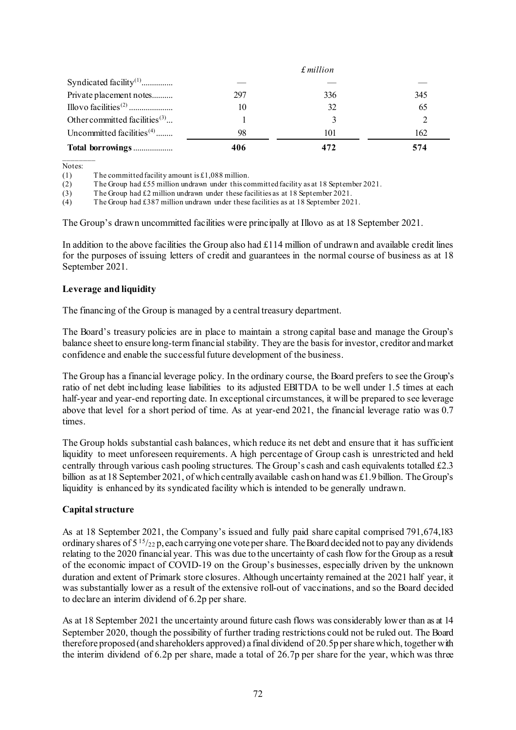|                                           |     | $f$ million |     |
|-------------------------------------------|-----|-------------|-----|
| Syndicated facility <sup>(1)</sup>        |     |             |     |
| Private placement notes                   | 297 | 336         | 345 |
|                                           | 10  | 32          | 65  |
| Other committed facilities <sup>(3)</sup> |     | 3           | 2   |
| Uncommitted facilities $(4)$              | 98  | 101         | 162 |
| Total borrowings                          | 406 |             | 574 |

\_\_\_\_\_\_\_\_ Notes:

(1) The committed facility amount is £1,088 million.

(2) The Group had £55 million undrawn under this committed facility as at 18 September 2021.

(3) The Group had £2 million undrawn under these facilities as at 18 September 2021.

(4) The Group had £387 million undrawn under these facilities as at 18 September 2021.

The Group's drawn uncommitted facilities were principally at Illovo as at 18 September 2021.

In addition to the above facilities the Group also had £114 million of undrawn and available credit lines for the purposes of issuing letters of credit and guarantees in the normal course of business as at 18 September 2021.

#### **Leverage and liquidity**

The financing of the Group is managed by a central treasury department.

The Board's treasury policies are in place to maintain a strong capital base and manage the Group's balance sheet to ensure long-term financial stability. They are the basis for investor, creditor andmarket confidence and enable the successful future development of the business.

The Group has a financial leverage policy. In the ordinary course, the Board prefers to see the Group's ratio of net debt including lease liabilities to its adjusted EBITDA to be well under 1.5 times at each half-year and year-end reporting date. In exceptional circumstances, it will be prepared to see leverage above that level for a short period of time. As at year-end 2021, the financial leverage ratio was 0.7 times.

The Group holds substantial cash balances, which reduce its net debt and ensure that it has sufficient liquidity to meet unforeseen requirements. A high percentage of Group cash is unrestricted and held centrally through various cash pooling structures. The Group's cash and cash equivalents totalled £2.3 billion as at 18 September 2021, of which centrally available cash on hand was £1.9 billion. The Group's liquidity is enhanced by its syndicated facility which is intended to be generally undrawn.

#### **Capital structure**

As at 18 September 2021, the Company's issued and fully paid share capital comprised 791,674,183 ordinary shares of  $5^{15}/_{22}$  p, each carrying one vote per share. The Board decided not to pay any dividends relating to the 2020 financial year. This was due to the uncertainty of cash flow for the Group as a result of the economic impact of COVID-19 on the Group's businesses, especially driven by the unknown duration and extent of Primark store closures. Although uncertainty remained at the 2021 half year, it was substantially lower as a result of the extensive roll-out of vaccinations, and so the Board decided to declare an interim dividend of 6.2p per share.

As at 18 September 2021 the uncertainty around future cash flows was considerably lower than as at 14 September 2020, though the possibility of further trading restrictions could not be ruled out. The Board therefore proposed (and shareholders approved) a final dividend of 20.5p per share which, together with the interim dividend of 6.2p per share, made a total of 26.7p per share for the year, which was three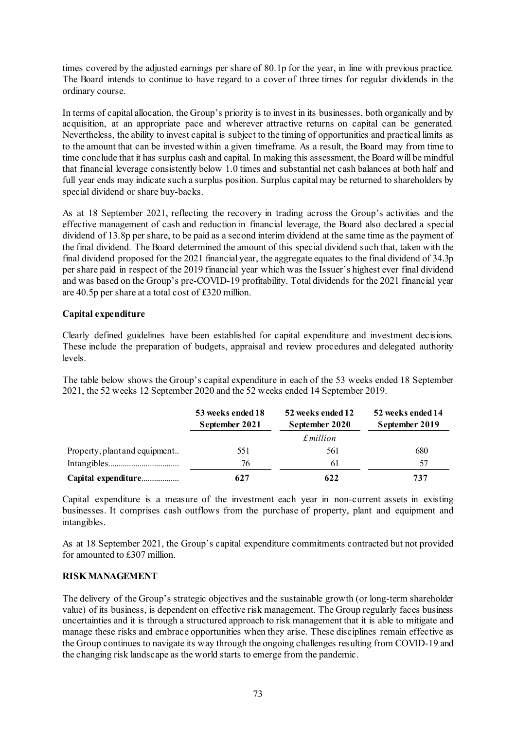times covered by the adjusted earnings per share of 80.1p for the year, in line with previous practice. The Board intends to continue to have regard to a cover of three times for regular dividends in the ordinary course.

In terms of capital allocation, the Group's priority is to invest in its businesses, both organically and by acquisition, at an appropriate pace and wherever attractive returns on capital can be generated. Nevertheless, the ability to invest capital is subject to the timing of opportunities and practical limits as to the amount that can be invested within a given timeframe. As a result, the Board may from time to time conclude that it has surplus cash and capital. In making this assessment, the Board will be mindful that financial leverage consistently below 1.0 times and substantial net cash balances at both half and full year ends may indicate such a surplus position. Surplus capital may be returned to shareholders by special dividend or share buy-backs.

As at 18 September 2021, reflecting the recovery in trading across the Group's activities and the effective management of cash and reduction in financial leverage, the Board also declared a special dividend of 13.8p per share, to be paid as a second interim dividend at the same time as the payment of the final dividend. The Board determined the amount of this special dividend such that, taken with the final dividend proposed for the 2021 financial year, the aggregate equates to the final dividend of 34.3p per share paid in respect of the 2019 financial year which was the Issuer's highest ever final dividend and was based on the Group's pre-COVID-19 profitability. Total dividends for the 2021 financial year are 40.5p per share at a total cost of £320 million.

## **Capital expenditure**

Clearly defined guidelines have been established for capital expenditure and investment decisions. These include the preparation of budgets, appraisal and review procedures and delegated authority levels.

The table below shows the Group's capital expenditure in each of the 53 weeks ended 18 September 2021, the 52 weeks 12 September 2020 and the 52 weeks ended 14 September 2019.

|                               | 53 weeks ended 18<br>September 2021 | 52 weeks ended 12<br>September 2020<br>$\pounds$ <i>million</i> | 52 weeks ended 14<br>September 2019 |
|-------------------------------|-------------------------------------|-----------------------------------------------------------------|-------------------------------------|
|                               |                                     |                                                                 |                                     |
|                               |                                     |                                                                 |                                     |
| Property, plant and equipment | 551                                 | 561                                                             | 680                                 |
|                               | 76                                  | 61                                                              | 57                                  |
| Capital expenditure           | 627                                 | 622                                                             | 737                                 |

Capital expenditure is a measure of the investment each year in non-current assets in existing businesses. It comprises cash outflows from the purchase of property, plant and equipment and intangibles.

As at 18 September 2021, the Group's capital expenditure commitments contracted but not provided for amounted to £307 million.

#### **RISK MANAGEMENT**

The delivery of the Group's strategic objectives and the sustainable growth (or long-term shareholder value) of its business, is dependent on effective risk management. The Group regularly faces business uncertainties and it is through a structured approach to risk management that it is able to mitigate and manage these risks and embrace opportunities when they arise. These disciplines remain effective as the Group continues to navigate its way through the ongoing challenges resulting from COVID-19 and the changing risk landscape as the world starts to emerge from the pandemic.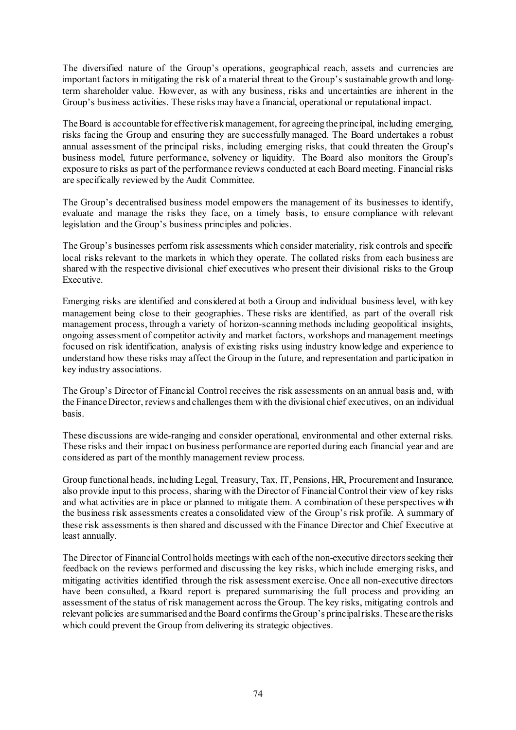The diversified nature of the Group's operations, geographical reach, assets and currencies are important factors in mitigating the risk of a material threat to the Group's sustainable growth and longterm shareholder value. However, as with any business, risks and uncertainties are inherent in the Group's business activities. These risks may have a financial, operational or reputational impact.

The Board is accountable for effective risk management, for agreeing the principal, including emerging, risks facing the Group and ensuring they are successfully managed. The Board undertakes a robust annual assessment of the principal risks, including emerging risks, that could threaten the Group's business model, future performance, solvency or liquidity. The Board also monitors the Group's exposure to risks as part of the performance reviews conducted at each Board meeting. Financial risks are specifically reviewed by the Audit Committee.

The Group's decentralised business model empowers the management of its businesses to identify, evaluate and manage the risks they face, on a timely basis, to ensure compliance with relevant legislation and the Group's business principles and policies.

The Group's businesses perform risk assessments which consider materiality, risk controls and specific local risks relevant to the markets in which they operate. The collated risks from each business are shared with the respective divisional chief executives who present their divisional risks to the Group Executive.

Emerging risks are identified and considered at both a Group and individual business level, with key management being close to their geographies. These risks are identified, as part of the overall risk management process, through a variety of horizon-scanning methods including geopolitical insights, ongoing assessment of competitor activity and market factors, workshops and management meetings focused on risk identification, analysis of existing risks using industry knowledge and experience to understand how these risks may affect the Group in the future, and representation and participation in key industry associations.

The Group's Director of Financial Control receives the risk assessments on an annual basis and, with the Finance Director, reviews and challenges them with the divisional chief executives, on an individual basis.

These discussions are wide-ranging and consider operational, environmental and other external risks. These risks and their impact on business performance are reported during each financial year and are considered as part of the monthly management review process.

Group functional heads, including Legal, Treasury, Tax, IT, Pensions, HR, Procurement and Insurance, also provide input to this process, sharing with the Director of Financial Control their view of key risks and what activities are in place or planned to mitigate them. A combination of these perspectives with the business risk assessments creates a consolidated view of the Group's risk profile. A summary of these risk assessments is then shared and discussed with the Finance Director and Chief Executive at least annually.

The Director of Financial Control holds meetings with each of the non-executive directors seeking their feedback on the reviews performed and discussing the key risks, which include emerging risks, and mitigating activities identified through the risk assessment exercise. Once all non-executive directors have been consulted, a Board report is prepared summarising the full process and providing an assessment of the status of risk management across the Group. The key risks, mitigating controls and relevant policies are summarised and the Board confirms the Group's principal risks. These are the risks which could prevent the Group from delivering its strategic objectives.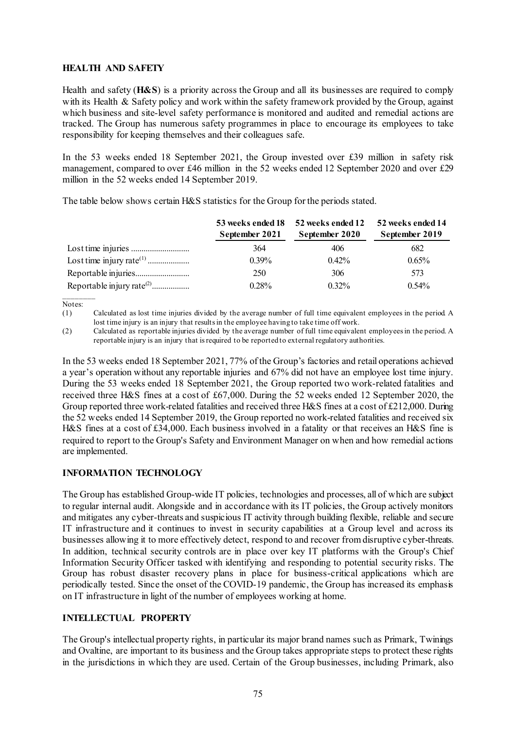## **HEALTH AND SAFETY**

Health and safety (**H&S**) is a priority across the Group and all its businesses are required to comply with its Health & Safety policy and work within the safety framework provided by the Group, against which business and site-level safety performance is monitored and audited and remedial actions are tracked. The Group has numerous safety programmes in place to encourage its employees to take responsibility for keeping themselves and their colleagues safe.

In the 53 weeks ended 18 September 2021, the Group invested over £39 million in safety risk management, compared to over £46 million in the 52 weeks ended 12 September 2020 and over £29 million in the 52 weeks ended 14 September 2019.

The table below shows certain H&S statistics for the Group for the periods stated.

| 53 weeks ended 18<br>September 2021 | 52 weeks ended 12<br>September 2020 | 52 weeks ended 14<br>September 2019 |
|-------------------------------------|-------------------------------------|-------------------------------------|
| 364                                 | 406                                 | 682                                 |
| $0.39\%$                            | $0.42\%$                            | $0.65\%$                            |
| 250                                 | 306                                 | 573                                 |
| 0.28%                               | $0.32\%$                            | $0.54\%$                            |

\_\_\_\_\_\_\_\_ Notes:

(1) Calculated as lost time injuries divided by the average number of full time equivalent employees in the period. A lost time injury is an injury that results in the employee having to take time off work.

(2) Calculated as reportable injuries divided by the average number of full time equivalent employees in the period. A reportable injury is an injury that is required to be reported to external regulatory authorities.

In the 53 weeks ended 18 September 2021, 77% of the Group's factories and retail operations achieved a year's operation without any reportable injuries and 67% did not have an employee lost time injury. During the 53 weeks ended 18 September 2021, the Group reported two work-related fatalities and received three H&S fines at a cost of £67,000. During the 52 weeks ended 12 September 2020, the Group reported three work-related fatalities and received three H&S fines at a cost of £212,000. During the 52 weeks ended 14 September 2019, the Group reported no work-related fatalities and received six H&S fines at a cost of £34,000. Each business involved in a fatality or that receives an H&S fine is required to report to the Group's Safety and Environment Manager on when and how remedial actions are implemented.

## **INFORMATION TECHNOLOGY**

The Group has established Group-wide IT policies, technologies and processes, all of which are subject to regular internal audit. Alongside and in accordance with its IT policies, the Group actively monitors and mitigates any cyber-threats and suspicious IT activity through building flexible, reliable and secure IT infrastructure and it continues to invest in security capabilities at a Group level and across its businesses allowing it to more effectively detect, respond to and recover from disruptive cyber-threats. In addition, technical security controls are in place over key IT platforms with the Group's Chief Information Security Officer tasked with identifying and responding to potential security risks. The Group has robust disaster recovery plans in place for business-critical applications which are periodically tested. Since the onset of the COVID-19 pandemic, the Group has increased its emphasis on IT infrastructure in light of the number of employees working at home.

## **INTELLECTUAL PROPERTY**

The Group's intellectual property rights, in particular its major brand names such as Primark, Twinings and Ovaltine, are important to its business and the Group takes appropriate steps to protect these rights in the jurisdictions in which they are used. Certain of the Group businesses, including Primark, also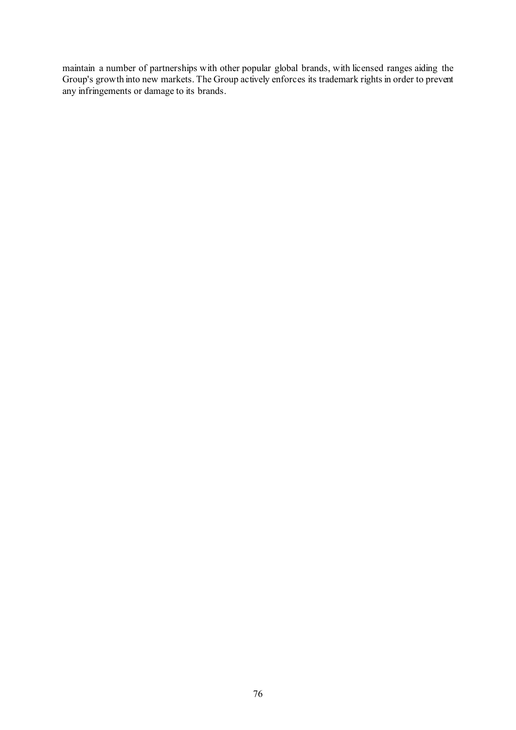maintain a number of partnerships with other popular global brands, with licensed ranges aiding the Group's growth into new markets. The Group actively enforces its trademark rights in order to prevent any infringements or damage to its brands.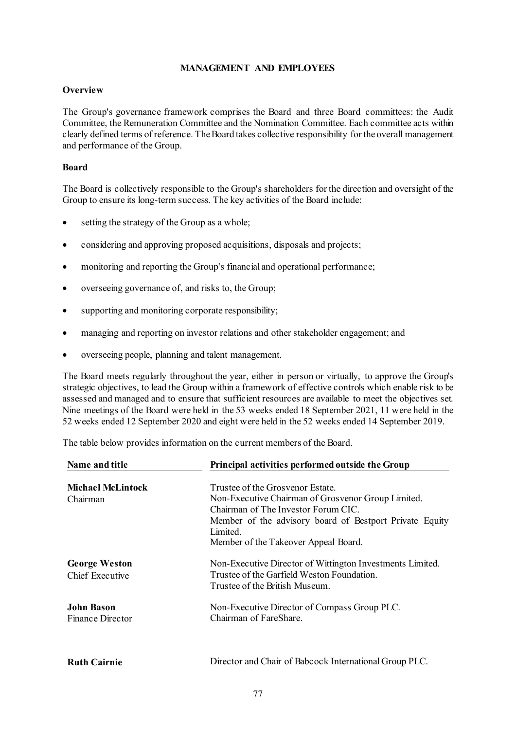#### **MANAGEMENT AND EMPLOYEES**

#### **Overview**

The Group's governance framework comprises the Board and three Board committees: the Audit Committee, the Remuneration Committee and the Nomination Committee. Each committee acts within clearly defined terms ofreference. The Board takes collective responsibility for the overall management and performance of the Group.

#### **Board**

The Board is collectively responsible to the Group's shareholders for the direction and oversight of the Group to ensure its long-term success. The key activities of the Board include:

- setting the strategy of the Group as a whole;
- considering and approving proposed acquisitions, disposals and projects;
- monitoring and reporting the Group's financial and operational performance;
- overseeing governance of, and risks to, the Group;
- supporting and monitoring corporate responsibility;
- managing and reporting on investor relations and other stakeholder engagement; and
- overseeing people, planning and talent management.

The Board meets regularly throughout the year, either in person or virtually, to approve the Group's strategic objectives, to lead the Group within a framework of effective controls which enable risk to be assessed and managed and to ensure that sufficient resources are available to meet the objectives set. Nine meetings of the Board were held in the 53 weeks ended 18 September 2021, 11 were held in the 52 weeks ended 12 September 2020 and eight were held in the 52 weeks ended 14 September 2019.

The table below provides information on the current members of the Board.

| Name and title                          | Principal activities performed outside the Group                                                                                                                                                     |  |
|-----------------------------------------|------------------------------------------------------------------------------------------------------------------------------------------------------------------------------------------------------|--|
| <b>Michael McLintock</b><br>Chairman    | Trustee of the Grosvenor Estate.<br>Non-Executive Chairman of Grosvenor Group Limited.<br>Chairman of The Investor Forum CIC.<br>Member of the advisory board of Bestport Private Equity<br>Limited. |  |
|                                         | Member of the Takeover Appeal Board.                                                                                                                                                                 |  |
| <b>George Weston</b><br>Chief Executive | Non-Executive Director of Wittington Investments Limited.<br>Trustee of the Garfield Weston Foundation.<br>Trustee of the British Museum.                                                            |  |
| <b>John Bason</b><br>Finance Director   | Non-Executive Director of Compass Group PLC.<br>Chairman of FareShare.                                                                                                                               |  |
| <b>Ruth Cairnie</b>                     | Director and Chair of Babcock International Group PLC.                                                                                                                                               |  |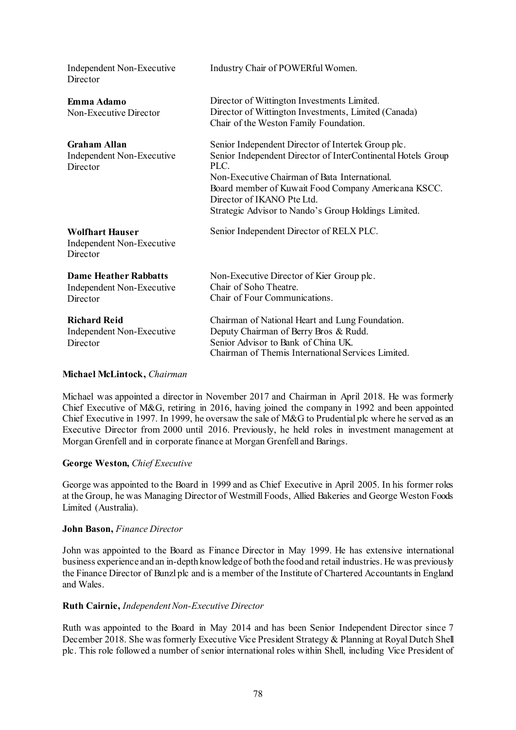| Independent Non-Executive<br>Director                                 | Industry Chair of POWERful Women.                                                                                                                                                                                                                                                                                       |
|-----------------------------------------------------------------------|-------------------------------------------------------------------------------------------------------------------------------------------------------------------------------------------------------------------------------------------------------------------------------------------------------------------------|
| Emma Adamo<br>Non-Executive Director                                  | Director of Wittington Investments Limited.<br>Director of Wittington Investments, Limited (Canada)<br>Chair of the Weston Family Foundation.                                                                                                                                                                           |
| <b>Graham Allan</b><br>Independent Non-Executive<br>Director          | Senior Independent Director of Intertek Group plc.<br>Senior Independent Director of InterContinental Hotels Group<br>PLC<br>Non-Executive Chairman of Bata International.<br>Board member of Kuwait Food Company Americana KSCC.<br>Director of IKANO Pte Ltd.<br>Strategic Advisor to Nando's Group Holdings Limited. |
| <b>Wolfhart Hauser</b><br>Independent Non-Executive<br>Director       | Senior Independent Director of RELX PLC.                                                                                                                                                                                                                                                                                |
| <b>Dame Heather Rabbatts</b><br>Independent Non-Executive<br>Director | Non-Executive Director of Kier Group plc.<br>Chair of Soho Theatre.<br>Chair of Four Communications.                                                                                                                                                                                                                    |
| <b>Richard Reid</b><br>Independent Non-Executive<br>Director          | Chairman of National Heart and Lung Foundation.<br>Deputy Chairman of Berry Bros & Rudd.<br>Senior Advisor to Bank of China UK.<br>Chairman of Themis International Services Limited.                                                                                                                                   |

#### **Michael McLintock,** *Chairman*

Michael was appointed a director in November 2017 and Chairman in April 2018. He was formerly Chief Executive of M&G, retiring in 2016, having joined the company in 1992 and been appointed Chief Executive in 1997. In 1999, he oversaw the sale of M&G to Prudential plc where he served as an Executive Director from 2000 until 2016. Previously, he held roles in investment management at Morgan Grenfell and in corporate finance at Morgan Grenfell and Barings.

## **George Weston,** *Chief Executive*

George was appointed to the Board in 1999 and as Chief Executive in April 2005. In his former roles at the Group, he was Managing Director of Westmill Foods, Allied Bakeries and George Weston Foods Limited (Australia).

## **John Bason,** *Finance Director*

John was appointed to the Board as Finance Director in May 1999. He has extensive international business experience and an in-depth knowledge of both the food and retail industries. He was previously the Finance Director of Bunzl plc and is a member of the Institute of Chartered Accountants in England and Wales.

#### **Ruth Cairnie,** *Independent Non-Executive Director*

Ruth was appointed to the Board in May 2014 and has been Senior Independent Director since 7 December 2018. She was formerly Executive Vice President Strategy & Planning at Royal Dutch Shell plc. This role followed a number of senior international roles within Shell, including Vice President of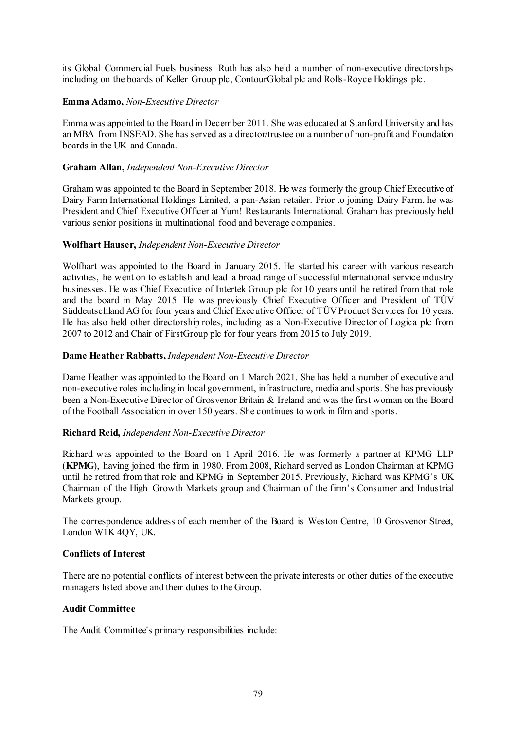its Global Commercial Fuels business. Ruth has also held a number of non-executive directorships including on the boards of Keller Group plc, ContourGlobal plc and Rolls-Royce Holdings plc.

#### **Emma Adamo,** *Non-Executive Director*

Emma was appointed to the Board in December 2011. She was educated at Stanford University and has an MBA from INSEAD. She has served as a director/trustee on a number of non-profit and Foundation boards in the UK and Canada.

#### **Graham Allan,** *Independent Non-Executive Director*

Graham was appointed to the Board in September 2018. He was formerly the group Chief Executive of Dairy Farm International Holdings Limited, a pan-Asian retailer. Prior to joining Dairy Farm, he was President and Chief Executive Officer at Yum! Restaurants International. Graham has previously held various senior positions in multinational food and beverage companies.

#### **Wolfhart Hauser,** *Independent Non-Executive Director*

Wolfhart was appointed to the Board in January 2015. He started his career with various research activities, he went on to establish and lead a broad range of successful international service industry businesses. He was Chief Executive of Intertek Group plc for 10 years until he retired from that role and the board in May 2015. He was previously Chief Executive Officer and President of TÜV Süddeutschland AG for four years and Chief Executive Officer of TÜV Product Services for 10 years. He has also held other directorship roles, including as a Non-Executive Director of Logica plc from 2007 to 2012 and Chair of FirstGroup plc for four years from 2015 to July 2019.

#### **Dame Heather Rabbatts,** *Independent Non-Executive Director*

Dame Heather was appointed to the Board on 1 March 2021. She has held a number of executive and non-executive roles including in local government, infrastructure, media and sports. She has previously been a Non-Executive Director of Grosvenor Britain & Ireland and was the first woman on the Board of the Football Association in over 150 years. She continues to work in film and sports.

#### **Richard Reid,** *Independent Non-Executive Director*

Richard was appointed to the Board on 1 April 2016. He was formerly a partner at KPMG LLP (**KPMG**), having joined the firm in 1980. From 2008, Richard served as London Chairman at KPMG until he retired from that role and KPMG in September 2015. Previously, Richard was KPMG's UK Chairman of the High Growth Markets group and Chairman of the firm's Consumer and Industrial Markets group.

The correspondence address of each member of the Board is Weston Centre, 10 Grosvenor Street, London W1K 4QY, UK.

#### **Conflicts of Interest**

There are no potential conflicts of interest between the private interests or other duties of the executive managers listed above and their duties to the Group.

#### **Audit Committee**

The Audit Committee's primary responsibilities include: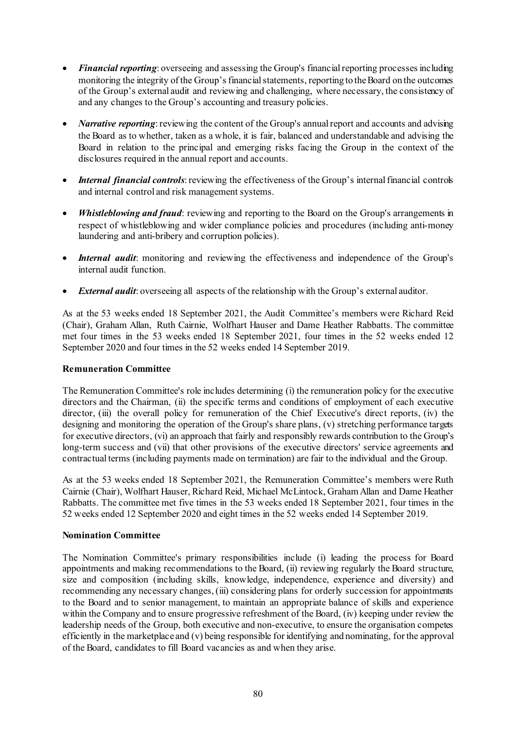- *Financial reporting*: overseeing and assessing the Group's financial reporting processes including monitoring the integrity of the Group's financial statements, reporting to the Board on the outcomes of the Group's external audit and reviewing and challenging, where necessary, the consistency of and any changes to the Group's accounting and treasury policies.
- *Narrative reporting*: reviewing the content of the Group's annual report and accounts and advising the Board as to whether, taken as a whole, it is fair, balanced and understandable and advising the Board in relation to the principal and emerging risks facing the Group in the context of the disclosures required in the annual report and accounts.
- *Internal financial controls*: reviewing the effectiveness of the Group's internal financial controls and internal control and risk management systems.
- *Whistleblowing and fraud*: reviewing and reporting to the Board on the Group's arrangements in respect of whistleblowing and wider compliance policies and procedures (including anti-money laundering and anti-bribery and corruption policies).
- *Internal audit*: monitoring and reviewing the effectiveness and independence of the Group's internal audit function.
- *External audit*: overseeing all aspects of the relationship with the Group's external auditor.

As at the 53 weeks ended 18 September 2021, the Audit Committee's members were Richard Reid (Chair), Graham Allan, Ruth Cairnie, Wolfhart Hauser and Dame Heather Rabbatts. The committee met four times in the 53 weeks ended 18 September 2021, four times in the 52 weeks ended 12 September 2020 and four times in the 52 weeks ended 14 September 2019.

## **Remuneration Committee**

The Remuneration Committee's role includes determining (i) the remuneration policy for the executive directors and the Chairman, (ii) the specific terms and conditions of employment of each executive director, (iii) the overall policy for remuneration of the Chief Executive's direct reports, (iv) the designing and monitoring the operation of the Group's share plans, (v) stretching performance targets for executive directors, (vi) an approach that fairly and responsibly rewards contribution to the Group's long-term success and (vii) that other provisions of the executive directors' service agreements and contractual terms (including payments made on termination) are fair to the individual and the Group.

As at the 53 weeks ended 18 September 2021, the Remuneration Committee's members were Ruth Cairnie (Chair), Wolfhart Hauser, Richard Reid, Michael McLintock, Graham Allan and Dame Heather Rabbatts. The committee met five times in the 53 weeks ended 18 September 2021, four times in the 52 weeks ended 12 September 2020 and eight times in the 52 weeks ended 14 September 2019.

#### **Nomination Committee**

The Nomination Committee's primary responsibilities include (i) leading the process for Board appointments and making recommendations to the Board, (ii) reviewing regularly the Board structure, size and composition (including skills, knowledge, independence, experience and diversity) and recommending any necessary changes, (iii) considering plans for orderly succession for appointments to the Board and to senior management, to maintain an appropriate balance of skills and experience within the Company and to ensure progressive refreshment of the Board, (iv) keeping under review the leadership needs of the Group, both executive and non-executive, to ensure the organisation competes efficiently in the marketplace and (v) being responsible for identifying and nominating, for the approval of the Board, candidates to fill Board vacancies as and when they arise.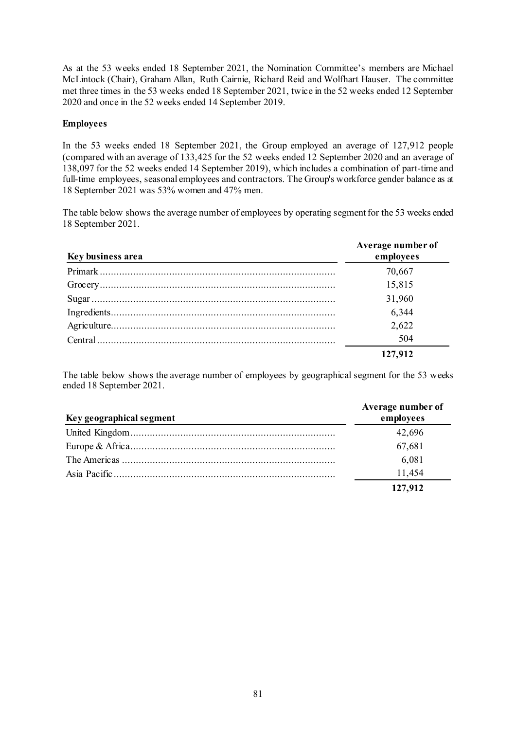As at the 53 weeks ended 18 September 2021, the Nomination Committee's members are Michael McLintock (Chair), Graham Allan, Ruth Cairnie, Richard Reid and Wolfhart Hauser. The committee met three times in the 53 weeks ended 18 September 2021, twice in the 52 weeks ended 12 September 2020 and once in the 52 weeks ended 14 September 2019.

#### **Employees**

In the 53 weeks ended 18 September 2021, the Group employed an average of 127,912 people (compared with an average of 133,425 for the 52 weeks ended 12 September 2020 and an average of 138,097 for the 52 weeks ended 14 September 2019), which includes a combination of part-time and full-time employees, seasonal employees and contractors. The Group's workforce gender balance as at 18 September 2021 was 53% women and 47% men.

The table below shows the average number of employees by operating segment for the 53 weeks ended 18 September 2021.

| Key business area | Average number of<br>employees |
|-------------------|--------------------------------|
|                   | 70,667                         |
|                   | 15,815                         |
|                   | 31,960                         |
|                   | 6,344                          |
|                   | 2,622                          |
|                   | 504                            |
|                   | 127,912                        |

The table below shows the average number of employees by geographical segment for the 53 weeks ended 18 September 2021.

| Key geographical segment | Average number of<br>employees |
|--------------------------|--------------------------------|
|                          | 42,696                         |
|                          | 67,681                         |
|                          | 6,081                          |
|                          | 11,454                         |
|                          | 127,912                        |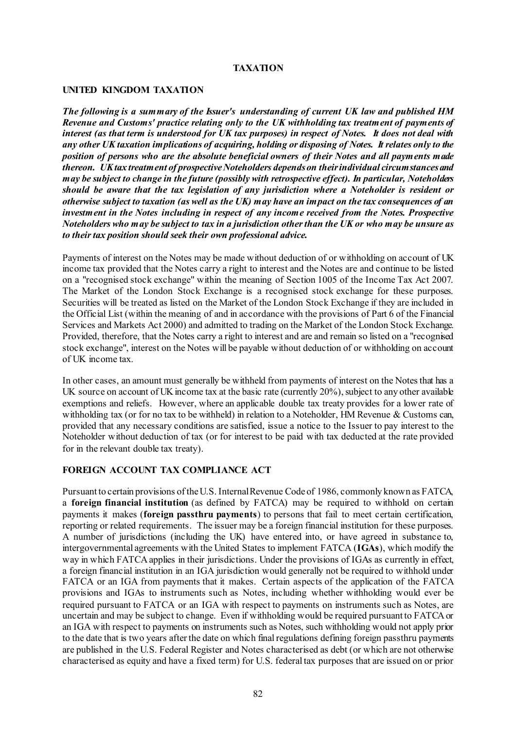#### **TAXATION**

#### **UNITED KINGDOM TAXATION**

*The following is a summary of the Issuer's understanding of current UK law and published HM Revenue and Customs' practice relating only to the UK withholding tax treatment of payments of interest (as that term is understood for UK tax purposes) in respect of Notes. It does not deal with any other UK taxation implications of acquiring, holding or disposing of Notes. It relates only to the position of persons who are the absolute beneficial owners of their Notes and all payments made thereon. UK tax treatment of prospective Noteholders depends on their individual circumstances and may be subject to change in the future (possibly with retrospective effect). In particular, Noteholders should be aware that the tax legislation of any jurisdiction where a Noteholder is resident or otherwise subject to taxation (as well as the UK) may have an impact on the tax consequences of an investment in the Notes including in respect of any income received from the Notes. Prospective Noteholders who may be subject to tax in a jurisdiction other than the UK or who may be unsure as to their tax position should seek their own professional advice.* 

Payments of interest on the Notes may be made without deduction of or withholding on account of UK income tax provided that the Notes carry a right to interest and the Notes are and continue to be listed on a "recognised stock exchange" within the meaning of Section 1005 of the Income Tax Act 2007. The Market of the London Stock Exchange is a recognised stock exchange for these purposes. Securities will be treated as listed on the Market of the London Stock Exchange if they are included in the Official List (within the meaning of and in accordance with the provisions of Part 6 of the Financial Services and Markets Act 2000) and admitted to trading on the Market of the London Stock Exchange. Provided, therefore, that the Notes carry a right to interest and are and remain so listed on a "recognised stock exchange", interest on the Notes will be payable without deduction of or withholding on account of UK income tax.

In other cases, an amount must generally be withheld from payments of interest on the Notes that has a UK source on account of UK income tax at the basic rate (currently 20%), subject to any other available exemptions and reliefs. However, where an applicable double tax treaty provides for a lower rate of withholding tax (or for no tax to be withheld) in relation to a Noteholder, HM Revenue & Customs can, provided that any necessary conditions are satisfied, issue a notice to the Issuer to pay interest to the Noteholder without deduction of tax (or for interest to be paid with tax deducted at the rate provided for in the relevant double tax treaty).

#### **FOREIGN ACCOUNT TAX COMPLIANCE ACT**

Pursuant to certain provisions of the U.S. Internal Revenue Code of 1986, commonly known as FATCA, a **foreign financial institution** (as defined by FATCA) may be required to withhold on certain payments it makes (**foreign passthru payments**) to persons that fail to meet certain certification, reporting or related requirements. The issuer may be a foreign financial institution for these purposes. A number of jurisdictions (including the UK) have entered into, or have agreed in substance to, intergovernmental agreements with the United States to implement FATCA (**IGAs**), which modify the way in which FATCA applies in their jurisdictions. Under the provisions of IGAs as currently in effect, a foreign financial institution in an IGA jurisdiction would generally not be required to withhold under FATCA or an IGA from payments that it makes. Certain aspects of the application of the FATCA provisions and IGAs to instruments such as Notes, including whether withholding would ever be required pursuant to FATCA or an IGA with respect to payments on instruments such as Notes, are uncertain and may be subject to change. Even if withholding would be required pursuant to FATCA or an IGA with respect to payments on instruments such as Notes, such withholding would not apply prior to the date that is two years after the date on which final regulations defining foreign passthru payments are published in the U.S. Federal Register and Notes characterised as debt (or which are not otherwise characterised as equity and have a fixed term) for U.S. federal tax purposes that are issued on or prior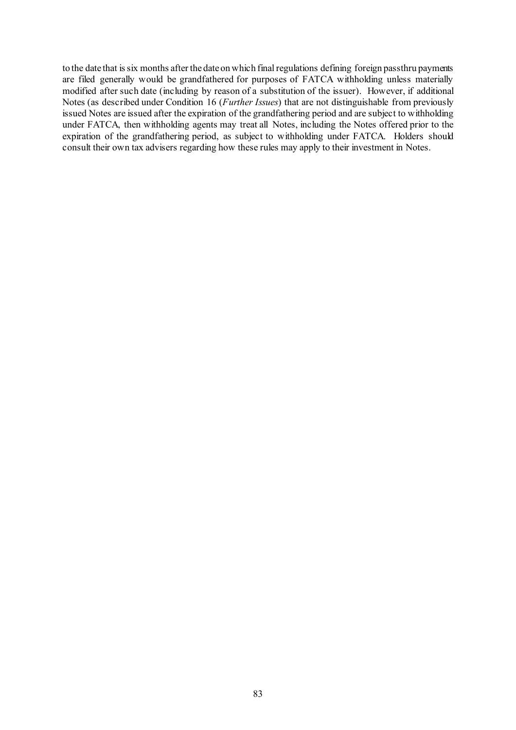to the date that is six months after the date on which final regulations defining foreign passthru payments are filed generally would be grandfathered for purposes of FATCA withholding unless materially modified after such date (including by reason of a substitution of the issuer). However, if additional Notes (as described under Condition [16](#page-44-0) (*Further Issues*) that are not distinguishable from previously issued Notes are issued after the expiration of the grandfathering period and are subject to withholding under FATCA, then withholding agents may treat all Notes, including the Notes offered prior to the expiration of the grandfathering period, as subject to withholding under FATCA. Holders should consult their own tax advisers regarding how these rules may apply to their investment in Notes.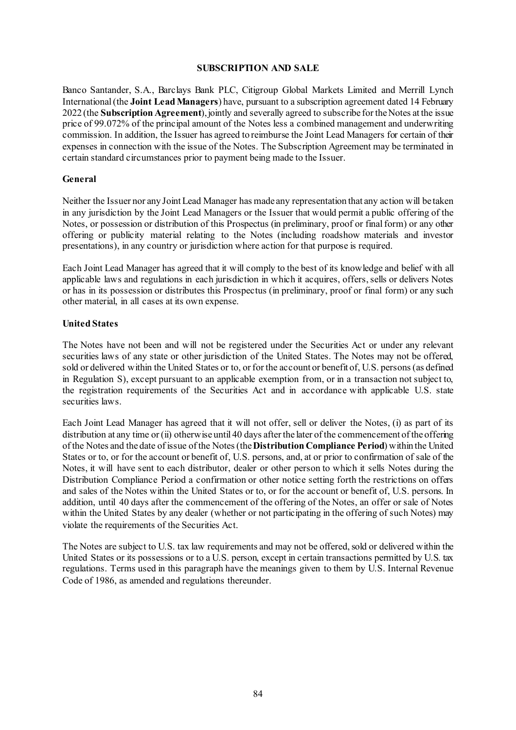#### **SUBSCRIPTION AND SALE**

Banco Santander, S.A., Barclays Bank PLC, Citigroup Global Markets Limited and Merrill Lynch International (the **Joint Lead Managers**) have, pursuant to a subscription agreement dated 14 February 2022 (the **Subscription Agreement**), jointly and severally agreed to subscribe for the Notes at the issue price of 99.072% of the principal amount of the Notes less a combined management and underwriting commission. In addition, the Issuer has agreed to reimburse the Joint Lead Managers for certain of their expenses in connection with the issue of the Notes. The Subscription Agreement may be terminated in certain standard circumstances prior to payment being made to the Issuer.

#### **General**

Neither the Issuer nor any Joint Lead Manager has made any representation that any action will be taken in any jurisdiction by the Joint Lead Managers or the Issuer that would permit a public offering of the Notes, or possession or distribution of this Prospectus (in preliminary, proof or final form) or any other offering or publicity material relating to the Notes (including roadshow materials and investor presentations), in any country or jurisdiction where action for that purpose is required.

Each Joint Lead Manager has agreed that it will comply to the best of its knowledge and belief with all applicable laws and regulations in each jurisdiction in which it acquires, offers, sells or delivers Notes or has in its possession or distributes this Prospectus (in preliminary, proof or final form) or any such other material, in all cases at its own expense.

#### **United States**

The Notes have not been and will not be registered under the Securities Act or under any relevant securities laws of any state or other jurisdiction of the United States. The Notes may not be offered, sold or delivered within the United States or to, or for the account or benefit of, U.S. persons (as defined in Regulation S), except pursuant to an applicable exemption from, or in a transaction not subject to, the registration requirements of the Securities Act and in accordance with applicable U.S. state securities laws.

Each Joint Lead Manager has agreed that it will not offer, sell or deliver the Notes, (i) as part of its distribution at any time or (ii) otherwise until 40 days after the later of the commencement of the offering of the Notes and the date of issue of the Notes (the **Distribution Compliance Period**) within the United States or to, or for the account or benefit of, U.S. persons, and, at or prior to confirmation of sale of the Notes, it will have sent to each distributor, dealer or other person to which it sells Notes during the Distribution Compliance Period a confirmation or other notice setting forth the restrictions on offers and sales of the Notes within the United States or to, or for the account or benefit of, U.S. persons. In addition, until 40 days after the commencement of the offering of the Notes, an offer or sale of Notes within the United States by any dealer (whether or not participating in the offering of such Notes) may violate the requirements of the Securities Act.

The Notes are subject to U.S. tax law requirements and may not be offered, sold or delivered within the United States or its possessions or to a U.S. person, except in certain transactions permitted by U.S. tax regulations. Terms used in this paragraph have the meanings given to them by U.S. Internal Revenue Code of 1986, as amended and regulations thereunder.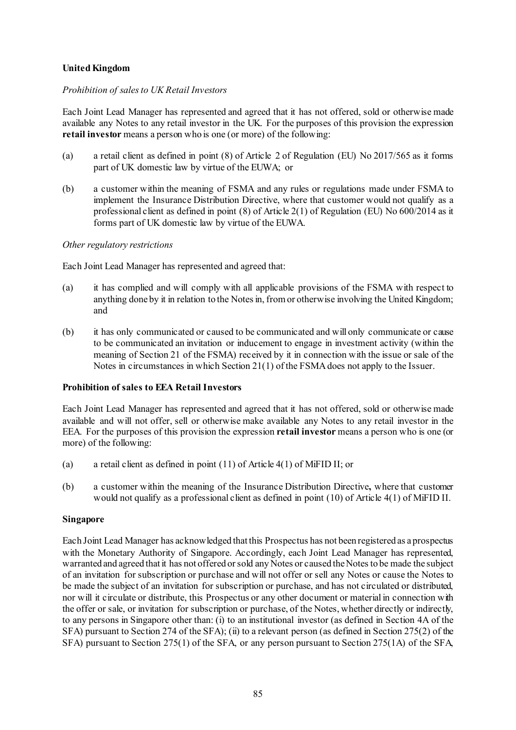## **United Kingdom**

#### *Prohibition of sales to UK Retail Investors*

Each Joint Lead Manager has represented and agreed that it has not offered, sold or otherwise made available any Notes to any retail investor in the UK. For the purposes of this provision the expression **retail investor** means a person who is one (or more) of the following:

- (a) a retail client as defined in point (8) of Article 2 of Regulation (EU) No 2017/565 as it forms part of UK domestic law by virtue of the EUWA; or
- (b) a customer within the meaning of FSMA and any rules or regulations made under FSMA to implement the Insurance Distribution Directive, where that customer would not qualify as a professional client as defined in point (8) of Article 2(1) of Regulation (EU) No 600/2014 as it forms part of UK domestic law by virtue of the EUWA.

#### *Other regulatory restrictions*

Each Joint Lead Manager has represented and agreed that:

- (a) it has complied and will comply with all applicable provisions of the FSMA with respect to anything done by it in relation to the Notes in, from or otherwise involving the United Kingdom; and
- (b) it has only communicated or caused to be communicated and will only communicate or cause to be communicated an invitation or inducement to engage in investment activity (within the meaning of Section 21 of the FSMA) received by it in connection with the issue or sale of the Notes in circumstances in which Section 21(1) of the FSMA does not apply to the Issuer.

#### **Prohibition of sales to EEA Retail Investors**

Each Joint Lead Manager has represented and agreed that it has not offered, sold or otherwise made available and will not offer, sell or otherwise make available any Notes to any retail investor in the EEA. For the purposes of this provision the expression **retail investor** means a person who is one (or more) of the following:

- (a) a retail client as defined in point (11) of Article 4(1) of MiFID II; or
- (b) a customer within the meaning of the Insurance Distribution Directive**,** where that customer would not qualify as a professional client as defined in point (10) of Article 4(1) of MiFID II.

#### **Singapore**

Each Joint Lead Manager has acknowledged that this Prospectus has not been registered as a prospectus with the Monetary Authority of Singapore. Accordingly, each Joint Lead Manager has represented, warranted and agreed that it has not offered or sold any Notes or caused the Notes to be made the subject of an invitation for subscription or purchase and will not offer or sell any Notes or cause the Notes to be made the subject of an invitation for subscription or purchase, and has not circulated or distributed, nor will it circulate or distribute, this Prospectus or any other document or material in connection with the offer or sale, or invitation for subscription or purchase, of the Notes, whether directly or indirectly, to any persons in Singapore other than: (i) to an institutional investor (as defined in Section 4A of the SFA) pursuant to Section 274 of the SFA); (ii) to a relevant person (as defined in Section 275(2) of the SFA) pursuant to Section 275(1) of the SFA, or any person pursuant to Section 275(1A) of the SFA,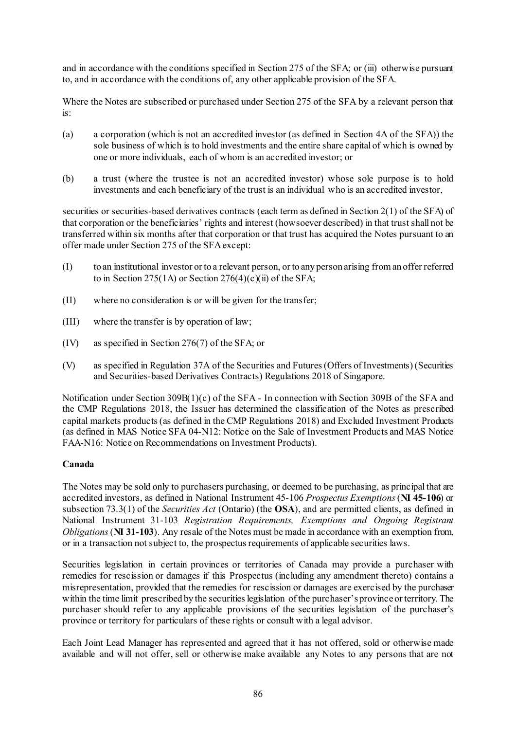and in accordance with the conditions specified in Section 275 of the SFA; or (iii) otherwise pursuant to, and in accordance with the conditions of, any other applicable provision of the SFA.

Where the Notes are subscribed or purchased under Section 275 of the SFA by a relevant person that  $i$ s:

- (a) a corporation (which is not an accredited investor (as defined in Section 4A of the SFA)) the sole business of which is to hold investments and the entire share capital of which is owned by one or more individuals, each of whom is an accredited investor; or
- (b) a trust (where the trustee is not an accredited investor) whose sole purpose is to hold investments and each beneficiary of the trust is an individual who is an accredited investor,

securities or securities-based derivatives contracts (each term as defined in Section 2(1) of the SFA) of that corporation or the beneficiaries' rights and interest (howsoever described) in that trust shall not be transferred within six months after that corporation or that trust has acquired the Notes pursuant to an offer made under Section 275 of the SFA except:

- (I) to an institutional investor or to a relevant person, or to any person arising from an offer referred to in Section 275(1A) or Section 276(4)(c)(ii) of the SFA;
- (II) where no consideration is or will be given for the transfer;
- (III) where the transfer is by operation of law;
- (IV) as specified in Section 276(7) of the SFA; or
- (V) as specified in Regulation 37A of the Securities and Futures (Offers of Investments) (Securities and Securities-based Derivatives Contracts) Regulations 2018 of Singapore.

Notification under Section 309B(1)(c) of the SFA - In connection with Section 309B of the SFA and the CMP Regulations 2018, the Issuer has determined the classification of the Notes as prescribed capital markets products (as defined in the CMP Regulations 2018) and Excluded Investment Products (as defined in MAS Notice SFA 04-N12: Notice on the Sale of Investment Products and MAS Notice FAA-N16: Notice on Recommendations on Investment Products).

#### **Canada**

The Notes may be sold only to purchasers purchasing, or deemed to be purchasing, as principal that are accredited investors, as defined in National Instrument 45-106 *Prospectus Exemptions*(**NI 45-106**) or subsection 73.3(1) of the *Securities Act* (Ontario) (the **OSA**), and are permitted clients, as defined in National Instrument 31-103 *Registration Requirements, Exemptions and Ongoing Registrant Obligations*(**NI 31-103**). Any resale of the Notes must be made in accordance with an exemption from, or in a transaction not subject to, the prospectus requirements of applicable securities laws.

Securities legislation in certain provinces or territories of Canada may provide a purchaser with remedies for rescission or damages if this Prospectus (including any amendment thereto) contains a misrepresentation, provided that the remedies for rescission or damages are exercised by the purchaser within the time limit prescribed by the securities legislation of the purchaser's province or territory. The purchaser should refer to any applicable provisions of the securities legislation of the purchaser's province or territory for particulars of these rights or consult with a legal advisor.

Each Joint Lead Manager has represented and agreed that it has not offered, sold or otherwise made available and will not offer, sell or otherwise make available any Notes to any persons that are not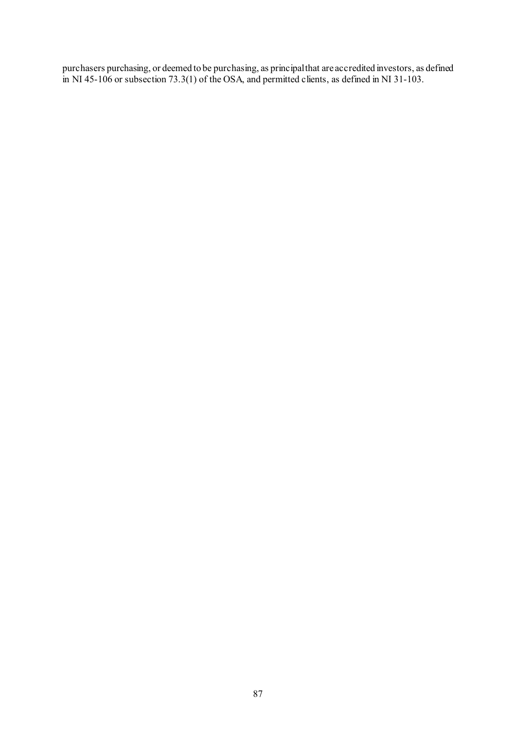purchasers purchasing, or deemed to be purchasing, as principal that are accredited investors, as defined in NI 45-106 or subsection 73.3(1) of the OSA, and permitted clients, as defined in NI 31-103.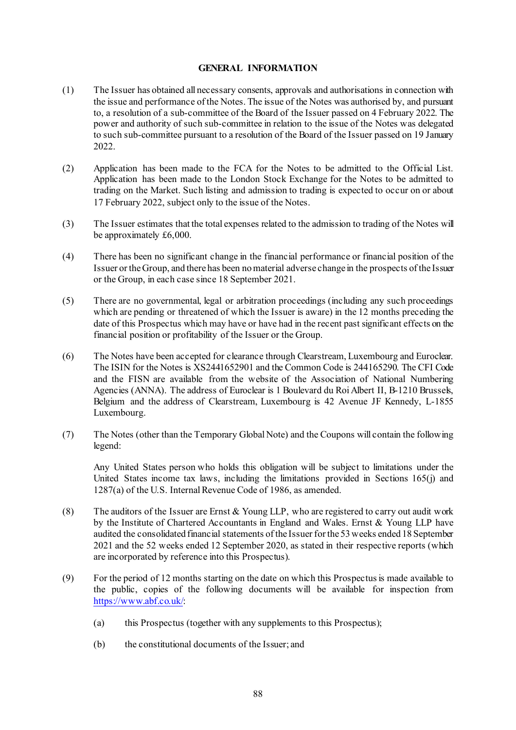#### **GENERAL INFORMATION**

- (1) The Issuer has obtained all necessary consents, approvals and authorisations in connection with the issue and performance of the Notes. The issue of the Notes was authorised by, and pursuant to, a resolution of a sub-committee of the Board of the Issuer passed on 4 February 2022. The power and authority of such sub-committee in relation to the issue of the Notes was delegated to such sub-committee pursuant to a resolution of the Board of the Issuer passed on 19 January 2022.
- (2) Application has been made to the FCA for the Notes to be admitted to the Official List. Application has been made to the London Stock Exchange for the Notes to be admitted to trading on the Market. Such listing and admission to trading is expected to occur on or about 17 February 2022, subject only to the issue of the Notes.
- (3) The Issuer estimates that the total expenses related to the admission to trading of the Notes will be approximately £6,000.
- (4) There has been no significant change in the financial performance or financial position of the Issuer or the Group, and there has been no material adverse change in the prospects of the Issuer or the Group, in each case since 18 September 2021.
- (5) There are no governmental, legal or arbitration proceedings (including any such proceedings which are pending or threatened of which the Issuer is aware) in the 12 months preceding the date of this Prospectus which may have or have had in the recent past significant effects on the financial position or profitability of the Issuer or the Group.
- (6) The Notes have been accepted for clearance through Clearstream, Luxembourg and Euroclear. The ISIN for the Notes is XS2441652901 and the Common Code is 244165290. The CFI Code and the FISN are available from the website of the Association of National Numbering Agencies (ANNA). The address of Euroclear is 1 Boulevard du Roi Albert II, B-1210 Brussels, Belgium and the address of Clearstream, Luxembourg is 42 Avenue JF Kennedy, L-1855 Luxembourg.
- (7) The Notes (other than the Temporary Global Note) and the Coupons will contain the following legend:

Any United States person who holds this obligation will be subject to limitations under the United States income tax laws, including the limitations provided in Sections 165(j) and 1287(a) of the U.S. Internal Revenue Code of 1986, as amended.

- (8) The auditors of the Issuer are Ernst & Young LLP, who are registered to carry out audit work by the Institute of Chartered Accountants in England and Wales. Ernst & Young LLP have audited the consolidated financial statements of the Issuer for the 53 weeks ended 18 September 2021 and the 52 weeks ended 12 September 2020, as stated in their respective reports (which are incorporated by reference into this Prospectus).
- (9) For the period of 12 months starting on the date on which this Prospectus is made available to the public, copies of the following documents will be available for inspection from <https://www.abf.co.uk/>:
	- (a) this Prospectus (together with any supplements to this Prospectus);
	- (b) the constitutional documents of the Issuer; and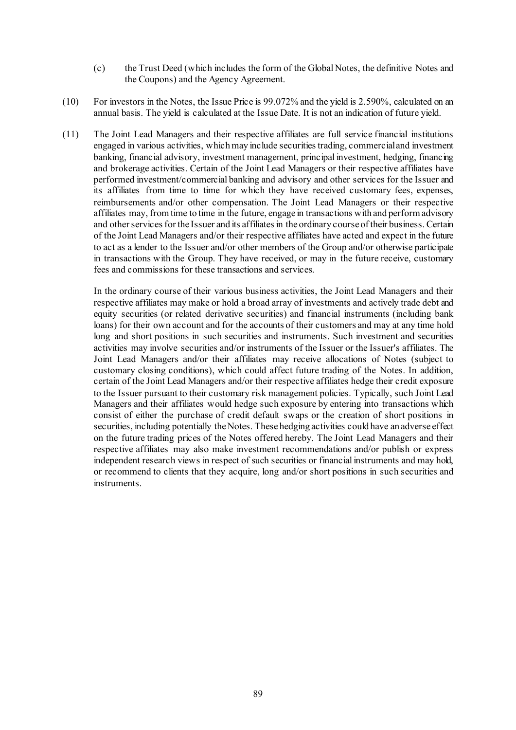- (c) the Trust Deed (which includes the form of the Global Notes, the definitive Notes and the Coupons) and the Agency Agreement.
- (10) For investors in the Notes, the Issue Price is 99.072% and the yield is 2.590%, calculated on an annual basis. The yield is calculated at the Issue Date. It is not an indication of future yield.
- (11) The Joint Lead Managers and their respective affiliates are full service financial institutions engaged in various activities, which may include securities trading, commercial and investment banking, financial advisory, investment management, principal investment, hedging, financing and brokerage activities. Certain of the Joint Lead Managers or their respective affiliates have performed investment/commercial banking and advisory and other services for the Issuer and its affiliates from time to time for which they have received customary fees, expenses, reimbursements and/or other compensation. The Joint Lead Managers or their respective affiliates may, from time to time in the future, engage in transactions with and perform advisory and other services for the Issuer and its affiliates in the ordinary course of their business. Certain of the Joint Lead Managers and/or their respective affiliates have acted and expect in the future to act as a lender to the Issuer and/or other members of the Group and/or otherwise participate in transactions with the Group. They have received, or may in the future receive, customary fees and commissions for these transactions and services.

In the ordinary course of their various business activities, the Joint Lead Managers and their respective affiliates may make or hold a broad array of investments and actively trade debt and equity securities (or related derivative securities) and financial instruments (including bank loans) for their own account and for the accounts of their customers and may at any time hold long and short positions in such securities and instruments. Such investment and securities activities may involve securities and/or instruments of the Issuer or the Issuer's affiliates. The Joint Lead Managers and/or their affiliates may receive allocations of Notes (subject to customary closing conditions), which could affect future trading of the Notes. In addition, certain of the Joint Lead Managers and/or their respective affiliates hedge their credit exposure to the Issuer pursuant to their customary risk management policies. Typically, such Joint Lead Managers and their affiliates would hedge such exposure by entering into transactions which consist of either the purchase of credit default swaps or the creation of short positions in securities, including potentially the Notes. These hedging activities could have an adverse effect on the future trading prices of the Notes offered hereby. The Joint Lead Managers and their respective affiliates may also make investment recommendations and/or publish or express independent research views in respect of such securities or financial instruments and may hold, or recommend to clients that they acquire, long and/or short positions in such securities and instruments.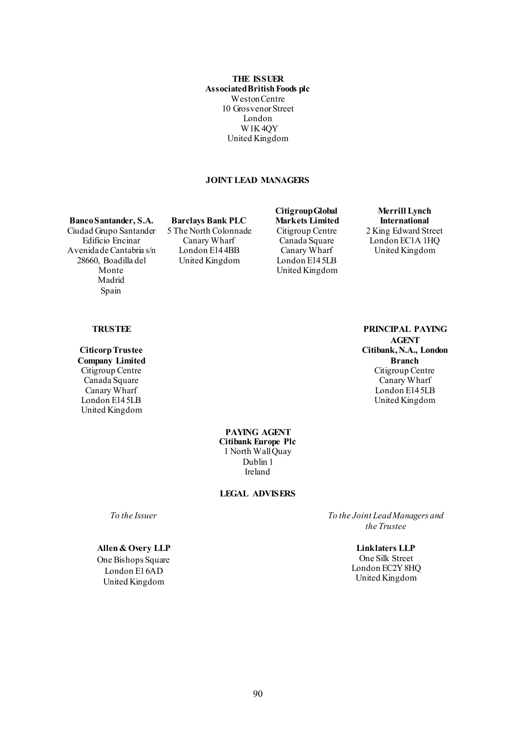**THE ISSUER Associated British Foods plc** Weston Centre 10 Grosvenor Street London W1K 4QY United Kingdom

#### **JOINT LEAD MANAGERS**

**Banco Santander, S.A. Barclays Bank PLC** Ciudad Grupo Santander Edificio Encinar Avenida de Cantabria s/n 28660, Boadilla del Monte Madrid Spain

5 The North Colonnade Canary Wharf London E14 4BB United Kingdom

**Citigroup Global Markets Limited** Citigroup Centre Canada Square Canary Wharf London E14 5LB United Kingdom

**Merrill Lynch International** 2 King Edward Street London EC1A 1HQ United Kingdom

#### **TRUSTEE PRINCIPAL PAYING**

**Citicorp Trustee Company Limited** Citigroup Centre Canada Square Canary Wharf London E14 5LB United Kingdom

**AGENT Citibank, N.A., London Branch** Citigroup Centre Canary Wharf London E14 5LB United Kingdom

**PAYING AGENT Citibank Europe Plc** 1 North Wall Quay Dublin 1 Ireland

**LEGAL ADVISERS**

#### **Allen & Overy LLP**

One Bishops Square London E1 6AD United Kingdom

*To the Issuer To the Joint Lead Managers and the Trustee*

> **Linklaters LLP** One Silk Street London EC2Y 8HQ United Kingdom